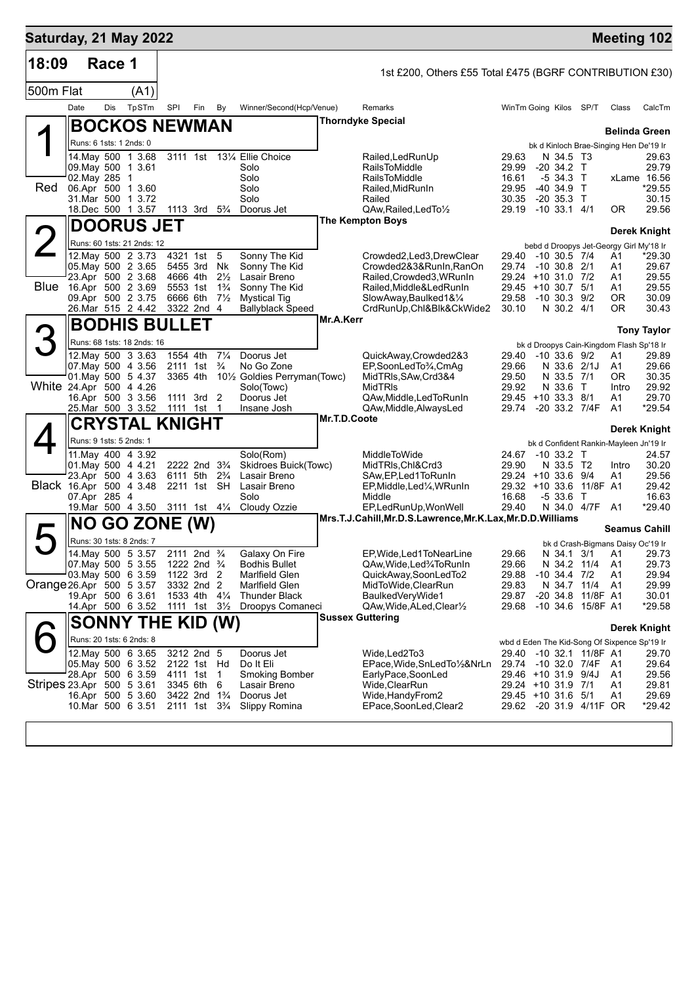| Saturday, 21 May 2022     |      |               |                                                          |            |                                                                                  |                      |                                                                     |              |                                                                        |                |                                           |                           |             | <b>Meeting 102</b>                                            |
|---------------------------|------|---------------|----------------------------------------------------------|------------|----------------------------------------------------------------------------------|----------------------|---------------------------------------------------------------------|--------------|------------------------------------------------------------------------|----------------|-------------------------------------------|---------------------------|-------------|---------------------------------------------------------------|
| 18:09                     |      | Race 1        |                                                          |            |                                                                                  |                      |                                                                     |              | 1st £200, Others £55 Total £475 (BGRF CONTRIBUTION £30)                |                |                                           |                           |             |                                                               |
| 500m Flat                 |      |               | (A1)                                                     |            |                                                                                  |                      |                                                                     |              |                                                                        |                |                                           |                           |             |                                                               |
|                           | Date | Dis           | TpSTm                                                    | SPI        | Fin                                                                              | By                   | Winner/Second(Hcp/Venue)                                            |              | Remarks                                                                |                | WinTm Going Kilos SP/T                    |                           | Class       | CalcTm                                                        |
|                           |      |               | <b>BOCKOS NEWMAN</b>                                     |            |                                                                                  |                      |                                                                     |              | <b>Thorndyke Special</b>                                               |                |                                           |                           |             | <b>Belinda Green</b>                                          |
|                           |      |               | Runs: 6 1sts: 1 2nds: 0                                  |            |                                                                                  |                      |                                                                     |              |                                                                        |                |                                           |                           |             | bk d Kinloch Brae-Singing Hen De'19 Ir                        |
|                           |      |               | 14. May 500 1 3.68                                       |            |                                                                                  |                      | 3111 1st 131/4 Ellie Choice                                         |              | Railed, Led Run Up                                                     | 29.63          |                                           | N 34.5 T3                 |             | 29.63<br>29.79                                                |
|                           |      | 02. May 285 1 | 09. May 500 1 3.61                                       |            |                                                                                  |                      | Solo<br>Solo                                                        |              | <b>RailsToMiddle</b><br><b>RailsToMiddle</b>                           | 29.99<br>16.61 | $-20$ 34.2 T<br>-5 34.3 T                 |                           |             | xLame 16.56                                                   |
| Red                       |      |               | 06.Apr 500 1 3.60<br>31.Mar 500 1 3.72                   |            |                                                                                  |                      | Solo<br>Solo                                                        |              | Railed, MidRunIn<br>Railed                                             | 29.95<br>30.35 | $-40, 34.9$<br>$-20, 35.3$ T              | $\top$                    |             | $*29.55$<br>30.15                                             |
|                           |      |               | 18.Dec 500 1 3.57 1113 3rd 5 <sup>3</sup> / <sub>4</sub> |            |                                                                                  |                      | Doorus Jet                                                          |              | QAw, Railed, Led To 1/2                                                |                | 29.19 -10 33.1 4/1                        |                           | 0R          | 29.56                                                         |
|                           |      |               | <b>DOORUS JET</b>                                        |            |                                                                                  |                      |                                                                     |              | <b>The Kempton Boys</b>                                                |                |                                           |                           |             | Derek Knight                                                  |
| $\angle$                  |      |               | Runs: 60 1sts: 21 2nds: 12                               |            |                                                                                  |                      |                                                                     |              |                                                                        |                |                                           |                           |             | bebd d Droopys Jet-Georgy Girl My'18 Ir                       |
|                           |      |               | 12. May 500 2 3.73                                       |            | 4321 1st 5                                                                       |                      | Sonny The Kid                                                       |              | Crowded2,Led3,DrewClear                                                |                | 29.40 -10 30.5 7/4                        |                           | A1          | $*29.30$                                                      |
|                           |      |               | 05. May 500 2 3.65<br>23.Apr 500 2 3.68                  |            | 5455 3rd<br>4666 4th                                                             | Nk<br>$2\frac{1}{2}$ | Sonny The Kid<br>Lasair Breno                                       |              | Crowded2&3&RunIn,RanOn<br>Railed, Crowded3, WRunIn                     |                | 29.74 -10 30.8 2/1<br>29.24 +10 31.0 7/2  |                           | A1<br>A1    | 29.67<br>29.55                                                |
| Blue                      |      |               | 16.Apr 500 2 3.69                                        |            | 5553 1st                                                                         | $1\frac{3}{4}$       | Sonny The Kid                                                       |              | Railed, Middle&LedRunIn                                                |                | 29.45 +10 30.7 5/1                        |                           | Α1          | 29.55                                                         |
|                           |      |               | 09.Apr 500 2 3.75<br>26.Mar 515 2 4.42                   |            | 6666 6th<br>3322 2nd 4                                                           | $7\frac{1}{2}$       | <b>Mystical Tig</b><br>Ballyblack Speed                             |              | SlowAway, Baulked 1& 1/4<br>CrdRunUp,Chl&Blk&CkWide2                   | 30.10          | 29.58 -10 30.3 9/2                        | N 30.2 4/1                | 0R<br>ΟR    | 30.09<br>30.43                                                |
|                           |      |               | <b>BODHIS BULLET</b>                                     |            |                                                                                  |                      |                                                                     | Mr.A.Kerr    |                                                                        |                |                                           |                           |             | <b>Tony Taylor</b>                                            |
|                           |      |               | Runs: 68 1sts: 18 2nds: 16                               |            |                                                                                  |                      |                                                                     |              |                                                                        |                |                                           |                           |             | bk d Droopys Cain-Kingdom Flash Sp'18 Ir                      |
|                           |      |               | 12. May 500 3 3.63                                       | 1554 4th   |                                                                                  | $7\frac{1}{4}$       | Doorus Jet                                                          |              | QuickAway,Crowded2&3                                                   |                | 29.40 -10 33.6 9/2                        |                           | Α1          | 29.89                                                         |
|                           |      |               | 07 May 500 4 3.56<br>01 May 500 5 4.37                   |            | 2111 1st<br>3365 4th                                                             | $\frac{3}{4}$        | No Go Zone<br>10 <sup>1</sup> / <sub>2</sub> Goldies Perryman(Towc) |              | EP,SoonLedTo¼,CmAg<br>MidTRIs, SAw, Crd3&4                             | 29.66<br>29.50 |                                           | N 33.6 2/1J<br>N 33.5 7/1 | A1<br>0R    | 29.66<br>30.35                                                |
| White 24.Apr 500 4 4.26   |      |               |                                                          |            |                                                                                  |                      | Solo(Towc)                                                          |              | <b>MidTRIs</b>                                                         | 29.92          | N 33.6                                    | $\top$                    | Intro       | 29.92                                                         |
|                           |      |               | 16.Apr 500 3 3.56<br>25.Mar 500 3 3.52                   | 1111 1st 1 | 1111 3rd 2                                                                       |                      | Doorus Jet<br>Insane Josh                                           |              | QAw,Middle,LedToRunIn<br>QAw,Middle,AlwaysLed                          | 29.74          | 29.45 +10 33.3 8/1<br>-20 33.2 7/4F       |                           | Α1<br>A1    | 29.70<br>*29.54                                               |
|                           |      |               | <b>CRYSTAL KNIGHT</b>                                    |            |                                                                                  |                      |                                                                     | Mr.T.D.Coote |                                                                        |                |                                           |                           |             |                                                               |
|                           |      |               | Runs: 9 1sts: 5 2nds: 1                                  |            |                                                                                  |                      |                                                                     |              |                                                                        |                |                                           |                           |             | <b>Derek Knight</b><br>bk d Confident Rankin-Mayleen Jn'19 Ir |
|                           |      |               | 11. May 400 4 3.92                                       |            |                                                                                  |                      | Solo(Rom)                                                           |              | MiddleToWide                                                           |                | 24.67 -10 33.2 T                          |                           |             | 24.57                                                         |
|                           |      |               | 01. May 500 4 4.21<br>23.Apr 500 4 3.63                  |            | 2222 2nd 3 <sup>3</sup> / <sub>4</sub><br>6111 5th 2 <sup>3</sup> / <sub>4</sub> |                      | Skidroes Buick(Towc)<br>Lasair Breno                                |              | MidTRIs, Chl&Crd3<br>SAw,EP,Led1ToRunIn                                | 29.90          | 29.24 +10 33.6 9/4                        | N 33.5 T2                 | Intro<br>A1 | 30.20<br>29.56                                                |
| Black 16.Apr 500 4 3.48   |      |               |                                                          |            | 2211 1st SH                                                                      |                      | Lasair Breno                                                        |              | EP, Middle, Led <sup>1</sup> / <sub>4</sub> , WRunIn                   |                | $29.32 + 10.336$                          |                           | 11/8F A1    | 29.42                                                         |
|                           |      | 07.Apr 285 4  | 19. Mar 500 4 3.50 3111 1st 41/4                         |            |                                                                                  |                      | Solo<br>Cloudy Ozzie                                                |              | Middle<br>EP,LedRunUp, WonWell                                         | 16.68<br>29.40 | $-533.6$ T                                | N 34.0 4/7F               | A1          | 16.63<br>*29.40                                               |
|                           |      |               | <b>NO GO ZONE (W)</b>                                    |            |                                                                                  |                      |                                                                     |              | Mrs.T.J.Cahill, Mr.D.S.Lawrence, Mr.K.Lax, Mr.D.D. Williams            |                |                                           |                           |             |                                                               |
|                           |      |               | Runs: 30 1sts: 8 2nds: 7                                 |            |                                                                                  |                      |                                                                     |              |                                                                        |                |                                           |                           |             | <b>Seamus Cahill</b><br>bk d Crash-Bigmans Daisy Oc'19 Ir     |
|                           |      |               | 14. May 500 5 3.57                                       |            | 2111 2nd <sup>3</sup> / <sub>4</sub>                                             |                      | Galaxy On Fire                                                      |              | EP, Wide, Led 1 To Near Line                                           | 29.66          |                                           |                           |             | N 34.1 3/1 A1 29.73                                           |
|                           |      |               | 07 May 500 5 3.55<br>03. May 500 6 3.59                  |            | 1222 2nd $\frac{3}{4}$<br>1122 3rd 2                                             |                      | <b>Bodhis Bullet</b><br>Marlfield Glen                              |              | QAw, Wide, Led <sup>3</sup> /4To Run In<br>QuickAway,SoonLedTo2        | 29.66<br>29.88 | $-10, 34.4, 7/2$                          | N 34.2 11/4               | A1<br>A1    | 29.73<br>29.94                                                |
| Orange 26.Apr 500 5 3.57  |      |               |                                                          |            | 3332 2nd 2                                                                       |                      | Marlfield Glen                                                      |              | MidToWide, ClearRun                                                    | 29.83          |                                           | N 34.7 11/4               | A1          | 29.99                                                         |
|                           |      |               | 19.Apr 500 6 3.61<br>14.Apr 500 6 3.52                   | 1111 1st   | 1533 4th 41/4                                                                    | $3\frac{1}{2}$       | Thunder Black<br>Droopys Comaneci                                   |              | BaulkedVeryWide1<br>QAw, Wide, ALed, Clear <sup>1</sup> / <sub>2</sub> | 29.87<br>29.68 | -20 34.8 11/8F A1<br>-10 34.6 15/8F A1    |                           |             | 30.01<br>$*29.58$                                             |
|                           |      |               | <b>SONNY THE KID (W)</b>                                 |            |                                                                                  |                      |                                                                     |              | <b>Sussex Guttering</b>                                                |                |                                           |                           |             |                                                               |
|                           |      |               | Runs: 20 1sts: 6 2nds: 8                                 |            |                                                                                  |                      |                                                                     |              |                                                                        |                |                                           |                           |             | <b>Derek Knight</b>                                           |
|                           |      |               | 12. May 500 6 3.65                                       |            | 3212 2nd 5                                                                       |                      | Doorus Jet                                                          |              | Wide,Led2To3                                                           |                | 29.40 -10 32.1 11/8F A1                   |                           |             | wbd d Eden The Kid-Song Of Sixpence Sp'19 Ir<br>29.70         |
|                           |      |               | 05. May 500 6 3.52                                       |            | 2122 1st Hd                                                                      |                      | Do It Eli                                                           |              | EPace,Wide,SnLedTo½&NrLn                                               |                | 29.74 -10 32.0 7/4F                       |                           | A1          | 29.64                                                         |
| Stripes 23.Apr 500 5 3.61 |      |               | 28.Apr 500 6 3.59                                        |            | 4111 1st<br>3345 6th                                                             | 1<br>6               | <b>Smoking Bomber</b><br>Lasair Breno                               |              | EarlyPace,SoonLed<br>Wide,ClearRun                                     |                | 29.46 +10 31.9 9/4J<br>29.24 +10 31.9 7/1 |                           | A1<br>A1    | 29.56<br>29.81                                                |
|                           |      |               | 16.Apr 500 5 3.60                                        |            | 3422 2nd 1 <sup>3</sup> / <sub>4</sub>                                           |                      | Doorus Jet                                                          |              | Wide,HandyFrom2                                                        |                | 29.45 +10 31.6 5/1                        |                           | A1          | 29.69                                                         |
|                           |      |               | 10.Mar 500 6 3.51                                        |            | 2111 1st 3 <sup>3</sup> / <sub>4</sub>                                           |                      | Slippy Romina                                                       |              | EPace,SoonLed,Clear2                                                   |                | 29.62 -20 31.9 4/11F OR                   |                           |             | *29.42                                                        |
|                           |      |               |                                                          |            |                                                                                  |                      |                                                                     |              |                                                                        |                |                                           |                           |             |                                                               |
|                           |      |               |                                                          |            |                                                                                  |                      |                                                                     |              |                                                                        |                |                                           |                           |             |                                                               |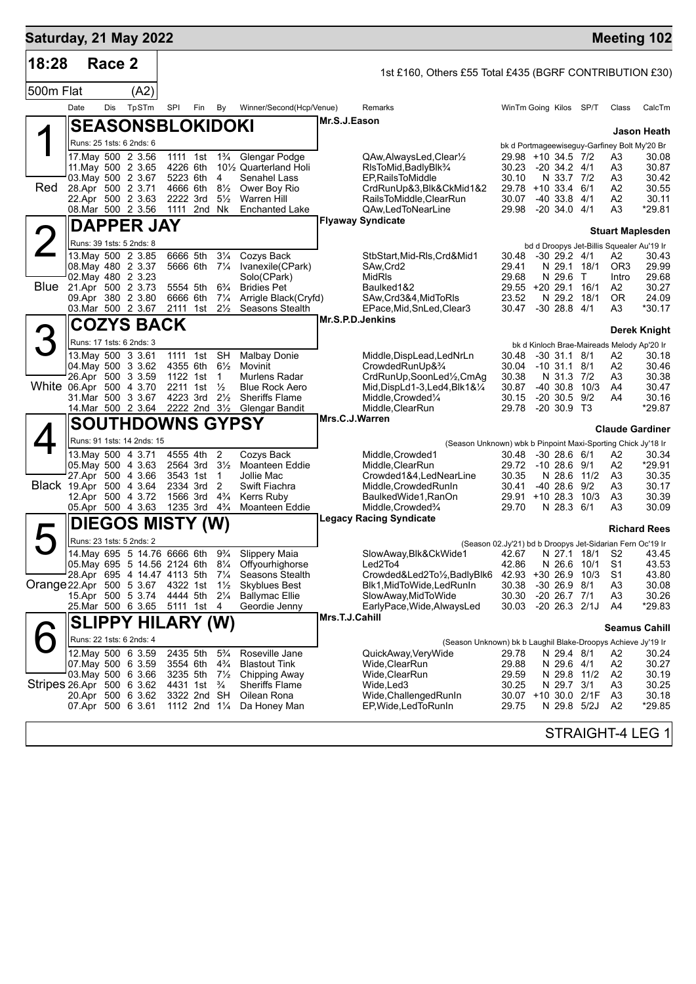| Saturday, 21 May 2022             |                                          |        |                                                |     |                                                     |                                  |                                                    |                |                                                                                    |                              |                                      |                |                      | <b>Meeting 102</b>                                 |
|-----------------------------------|------------------------------------------|--------|------------------------------------------------|-----|-----------------------------------------------------|----------------------------------|----------------------------------------------------|----------------|------------------------------------------------------------------------------------|------------------------------|--------------------------------------|----------------|----------------------|----------------------------------------------------|
| 18:28                             |                                          | Race 2 |                                                |     |                                                     |                                  |                                                    |                | 1st £160, Others £55 Total £435 (BGRF CONTRIBUTION £30)                            |                              |                                      |                |                      |                                                    |
| 500m Flat                         |                                          |        | (A2)                                           |     |                                                     |                                  |                                                    |                |                                                                                    |                              |                                      |                |                      |                                                    |
|                                   | Date                                     | Dis    | TpSTm                                          | SPI | Fin                                                 | By                               | Winner/Second(Hcp/Venue)                           |                | Remarks                                                                            | WinTm Going Kilos SP/T       |                                      |                | Class                | CalcTm                                             |
|                                   |                                          |        | <b>SEASONSBLOKIDOKI</b>                        |     |                                                     |                                  |                                                    | Mr.S.J.Eason   |                                                                                    |                              |                                      |                |                      | Jason Heath                                        |
|                                   |                                          |        | Runs: 25 1sts: 6 2nds: 6                       |     |                                                     |                                  |                                                    |                |                                                                                    |                              |                                      |                |                      | bk d Portmageewiseguy-Garfiney Bolt My'20 Br       |
|                                   |                                          |        | 17.May 500 2 3.56                              |     | 1111 1st                                            | $1\frac{3}{4}$                   | Glengar Podge                                      |                | QAw,AlwaysLed,Clear <sup>y</sup>                                                   | 29.98 +10 34.5 7/2           |                                      |                | A3                   | 30.08                                              |
|                                   | 03. May 500 2 3.67                       |        | 11. May 500 2 3.65                             |     | 4226 6th<br>5223 6th                                | 4                                | 101/ <sub>2</sub> Quarterland Holi<br>Senahel Lass |                | RIsToMid, BadlyBlk <sup>3</sup> /4<br>EP, Rails To Middle                          | 30.23<br>30.10               | $-20, 34.2, 4/1$<br>N 33.7 7/2       |                | A3<br>A3             | 30.87<br>30.42                                     |
| Red                               | 28.Apr 500 2 3.71                        |        |                                                |     | 4666 6th                                            | $8\frac{1}{2}$                   | Ower Boy Rio                                       |                | CrdRunUp&3,Blk&CkMid1&2                                                            | 29.78 +10 33.4 6/1           |                                      |                | A2                   | 30.55                                              |
|                                   | 22.Apr 500 2 3.63<br>08.Mar 500 2 3.56   |        |                                                |     | 2222 3rd<br>1111 2nd Nk                             | $5\frac{1}{2}$                   | <b>Warren Hill</b><br><b>Enchanted Lake</b>        |                | RailsToMiddle,ClearRun<br>QAw,LedToNearLine                                        | 30.07<br>29.98               | $-40$ 33.8 $4/1$<br>$-20, 34.0, 4/1$ |                | A2<br>A3             | 30.11<br>*29.81                                    |
|                                   |                                          |        |                                                |     |                                                     |                                  |                                                    |                | <b>Flyaway Syndicate</b>                                                           |                              |                                      |                |                      |                                                    |
|                                   |                                          |        | <b>DAPPER JAY</b>                              |     |                                                     |                                  |                                                    |                |                                                                                    |                              |                                      |                |                      | <b>Stuart Maplesden</b>                            |
| $\angle$                          |                                          |        | Runs: 39 1sts: 5 2nds: 8<br>13. May 500 2 3.85 |     | 6666 5th                                            | $3\frac{1}{4}$                   | Cozys Back                                         |                | StbStart,Mid-RIs,Crd&Mid1                                                          | 30.48                        | $-30$ 29.2 $4/1$                     |                | А2                   | bd d Droopys Jet-Billis Squealer Au'19 Ir<br>30.43 |
|                                   | 08. May 480 2 3.37                       |        |                                                |     | 5666 6th                                            | $7\frac{1}{4}$                   | Ivanexile(CPark)                                   |                | SAw,Crd2                                                                           | 29.41                        | N 29.1 18/1                          |                | OR3                  | 29.99                                              |
| Blue                              | 02. May 480 2 3.23<br>21.Apr 500 2 3.73  |        |                                                |     | 5554 5th                                            | $6\frac{3}{4}$                   | Solo(CPark)<br><b>Bridies Pet</b>                  |                | MidRIs<br>Baulked1&2                                                               | 29.68<br>29.55 +20 29.1      | N 29.6                               | $\top$<br>16/1 | Intro<br>A2          | 29.68<br>30.27                                     |
|                                   | 09.Apr 380 2 3.80                        |        |                                                |     | 6666 6th                                            | $7\frac{1}{4}$                   | Arrigle Black(Cryfd)                               |                | SAw, Crd3&4, MidToRIs                                                              | 23.52                        | N 29.2                               | 18/1           | 0R                   | 24.09                                              |
|                                   | 03. Mar 500 2 3.67                       |        |                                                |     | 2111 1st                                            | $2\frac{1}{2}$                   | <b>Seasons Stealth</b>                             |                | EPace, Mid, SnLed, Clear3<br>Mr.S.P.D.Jenkins                                      | 30.47                        | $-30$ 28.8 $4/1$                     |                | A3                   | $*30.17$                                           |
|                                   |                                          |        | <b>COZYS BACK</b>                              |     |                                                     |                                  |                                                    |                |                                                                                    |                              |                                      |                |                      | Derek Knight                                       |
|                                   |                                          |        | Runs: 17 1sts: 6 2nds: 3                       |     |                                                     |                                  |                                                    |                |                                                                                    |                              |                                      |                |                      | bk d Kinloch Brae-Maireads Melody Ap'20 Ir         |
|                                   | 13. May 500 3 3.61<br>04. May 500 3 3.62 |        |                                                |     | 1111 1st SH<br>4355 6th 61/2                        |                                  | <b>Malbay Donie</b><br>Movinit                     |                | Middle, DispLead, LedNrLn<br>CrowdedRunUp&3/4                                      | 30.48<br>30.04 -10 31.1 8/1  | $-30$ 31.1 8/1                       |                | A2<br>A2             | 30.18<br>30.46                                     |
|                                   | 26.Apr 500 3 3.59                        |        |                                                |     | 1122 1st                                            | $\mathbf{1}$                     | Murlens Radar                                      |                | CrdRunUp,SoonLed1/2,CmAg                                                           | 30.38                        | N 31.3 7/2                           |                | A3                   | 30.38                                              |
| White 06.Apr 500 4 3.70           | 31. Mar 500 3 3.67                       |        |                                                |     | 2211 1st<br>4223 3rd                                | $\frac{1}{2}$<br>$2\frac{1}{2}$  | <b>Blue Rock Aero</b><br>Sheriffs Flame            |                | Mid, DispLd1-3, Led4, Blk1&1/4<br>Middle, Crowded <sup>1/4</sup>                   | 30.87<br>30.15               | $-40, 30.8$<br>$-20, 30.5, 9/2$      | 10/3           | A4<br>A4             | 30.47<br>30.16                                     |
|                                   | 14. Mar 500 2 3.64 2222 2nd 31/2         |        |                                                |     |                                                     |                                  | <b>Glengar Bandit</b>                              |                | Middle, ClearRun                                                                   | 29.78                        | $-20,30.9, T3$                       |                |                      | *29.87                                             |
|                                   |                                          |        | <b>SOUTHDOWNS GYPSY</b>                        |     |                                                     |                                  |                                                    | Mrs.C.J.Warren |                                                                                    |                              |                                      |                |                      | <b>Claude Gardiner</b>                             |
|                                   |                                          |        | Runs: 91 1sts: 14 2nds: 15                     |     |                                                     |                                  |                                                    |                | (Season Unknown) wbk b Pinpoint Maxi-Sporting Chick Jy'18 Ir                       |                              |                                      |                |                      |                                                    |
|                                   |                                          |        | 13. May 500 4 3.71                             |     | 4555 4th                                            | 2                                | Cozys Back                                         |                | Middle, Crowded1                                                                   | 30.48                        | $-3028.661$                          |                | A2                   | 30.34                                              |
|                                   | 05. May 500 4 3.63<br>27.Apr 500 4 3.66  |        |                                                |     | $2564$ 3rd $3\frac{1}{2}$<br>3543 1st               | $\mathbf{1}$                     | Moanteen Eddie<br>Jollie Mac                       |                | Middle, ClearRun<br>Crowded1&4,LedNearLine                                         | 29.72 -10 28.6 9/1<br>30.35  | N 28.6 11/2                          |                | A2<br>A3             | *29.91<br>30.35                                    |
| Black 19.Apr 500 4 3.64           |                                          |        |                                                |     | 2334 3rd                                            | 2                                | Swift Fiachra                                      |                | Middle,CrowdedRunIn                                                                | 30.41                        | $-4028.6$                            | 9/2            | A3                   | 30.17                                              |
|                                   | 12.Apr 500 4 3.72<br>05.Apr 500 4 3.63   |        |                                                |     | 1566 3rd<br>1235 3rd                                | $4\frac{3}{4}$<br>$4\frac{3}{4}$ | Kerrs Ruby<br>Moanteen Eddie                       |                | BaulkedWide1, RanOn<br>Middle, Crowded%                                            | 29.91 +10 28.3 10/3<br>29.70 | N 28.3 6/1                           |                | A3<br>A3             | 30.39<br>30.09                                     |
|                                   |                                          |        | <b>DIEGOS MISTY (W)</b>                        |     |                                                     |                                  |                                                    |                | <b>Legacy Racing Syndicate</b>                                                     |                              |                                      |                |                      |                                                    |
|                                   |                                          |        | Runs: 23 1sts: 5 2nds: 2                       |     |                                                     |                                  |                                                    |                |                                                                                    |                              |                                      |                |                      | <b>Richard Rees</b>                                |
|                                   |                                          |        | 14. May 695 5 14.76 6666 6th                   |     |                                                     | $9\frac{3}{4}$                   | Slippery Maia                                      |                | (Season 02.Jy'21) bd b Droopys Jet-Sidarian Fern Oc'19 Ir<br>SlowAway, Blk&CkWide1 |                              |                                      |                | 42.67 N 27.1 18/1 S2 | 43.45                                              |
|                                   |                                          |        |                                                |     |                                                     |                                  | 05. May 695 5 14.56 2124 6th 81/4 Offyour highorse |                | Led2To4                                                                            | 42.86                        | N 26.6 10/1                          |                | S1                   | 43.53                                              |
| Orange 22.Apr 500 5 3.67 4322 1st | 28.Apr 695 4 14.47 4113 5th              |        |                                                |     |                                                     | $7\frac{1}{4}$<br>$1\frac{1}{2}$ | Seasons Stealth<br><b>Skyblues Best</b>            |                | Crowded&Led2To1/2,BadlyBlk6<br>Blk1,MidToWide,LedRunIn                             | 42.93 +30 26.9 10/3<br>30.38 | $-30$ 26.9 $8/1$                     |                | S1<br>A <sub>3</sub> | 43.80<br>30.08                                     |
|                                   | 15.Apr 500 5 3.74                        |        |                                                |     | 4444 5th                                            | $2\frac{1}{4}$                   | <b>Ballymac Ellie</b>                              |                | SlowAway, MidToWide                                                                | 30.30                        | $-20$ 26.7 $7/1$                     |                | A <sub>3</sub>       | 30.26                                              |
|                                   | 25.Mar 500 6 3.65                        |        |                                                |     | 5111 1st 4                                          |                                  | Geordie Jenny                                      | Mrs.T.J.Cahill | EarlyPace, Wide, AlwaysLed                                                         | 30.03                        | $-20$ 26.3 $2/1J$                    |                | A4                   | *29.83                                             |
|                                   |                                          |        | SLIPPY HILARY (W)                              |     |                                                     |                                  |                                                    |                |                                                                                    |                              |                                      |                |                      | <b>Seamus Cahill</b>                               |
|                                   |                                          |        | Runs: 22 1sts: 6 2nds: 4                       |     |                                                     |                                  |                                                    |                | (Season Unknown) bk b Laughil Blake-Droopys Achieve Jy'19 Ir                       |                              |                                      |                |                      |                                                    |
|                                   | 07. May 500 6 3.59                       |        | 12. May 500 6 3.59                             |     | 2435 5th 5 <sup>3</sup> / <sub>4</sub><br>3554 6th  | $4\frac{3}{4}$                   | Roseville Jane<br><b>Blastout Tink</b>             |                | QuickAway, Very Wide<br>Wide, Clear Run                                            | 29.78<br>29.88               | N 29.4 8/1<br>N 29.6 4/1             |                | A2<br>A2             | 30.24<br>30.27                                     |
|                                   | 03. May 500 6 3.66                       |        |                                                |     | 3235 5th                                            | $7\frac{1}{2}$                   | Chipping Away                                      |                | Wide, ClearRun                                                                     | 29.59                        | N 29.8 11/2                          |                | A2                   | 30.19                                              |
| Stripes 26.Apr 500 6 3.62         | 20.Apr 500 6 3.62                        |        |                                                |     | 4431 1st <sup>3</sup> / <sub>4</sub><br>3322 2nd SH |                                  | <b>Sheriffs Flame</b><br>Oilean Rona               |                | Wide, Led 3<br>Wide, Challenged RunIn                                              | 30.25<br>30.07 +10 30.0 2/1F | N 29.7 3/1                           |                | A3<br>A <sub>3</sub> | 30.25<br>30.18                                     |
|                                   | 07.Apr 500 6 3.61                        |        |                                                |     | 1112 2nd 1 <sup>1</sup> / <sub>4</sub>              |                                  | Da Honey Man                                       |                | EP, Wide, Led To Run In                                                            | 29.75                        | N 29.8 5/2J                          |                | A2                   | *29.85                                             |
|                                   |                                          |        |                                                |     |                                                     |                                  |                                                    |                |                                                                                    |                              |                                      |                |                      |                                                    |
|                                   |                                          |        |                                                |     |                                                     |                                  |                                                    |                |                                                                                    |                              |                                      |                |                      | STRAIGHT-4 LEG 1                                   |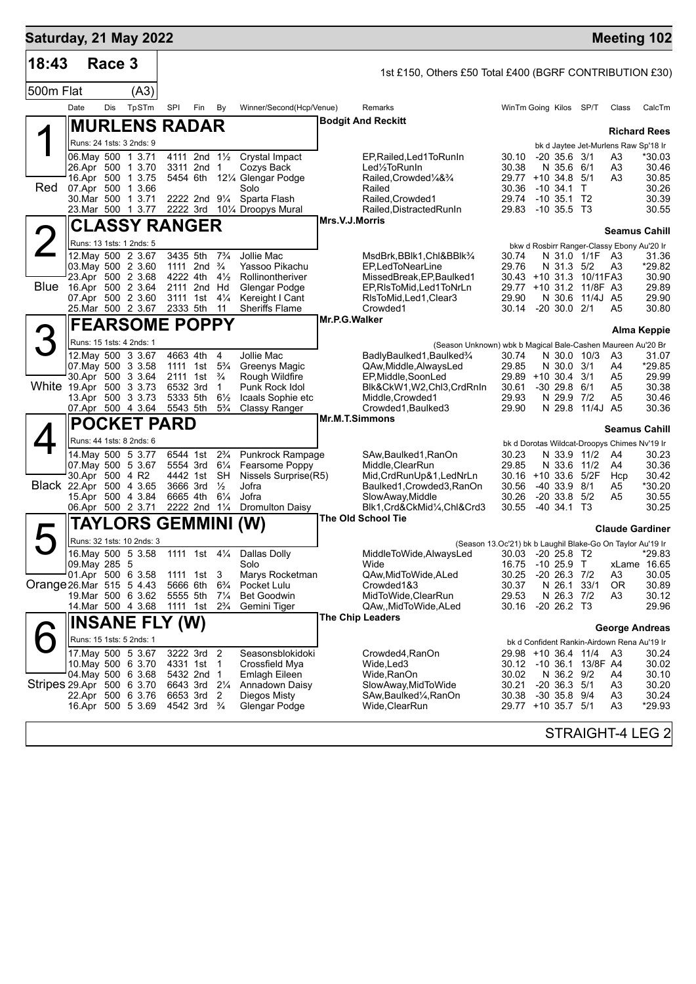| Race 3<br>18:43<br>1st £150, Others £50 Total £400 (BGRF CONTRIBUTION £30)<br>500m Flat<br>(A3)<br>TpSTm<br>Dis<br>SPI<br>Fin<br>By<br>Winner/Second(Hcp/Venue)<br>WinTm Going Kilos SP/T<br>Date<br>Remarks<br>Class<br><b>Bodgit And Reckitt</b><br><b>MURLENS RADAR</b><br><b>Richard Rees</b><br>Runs: 24 1sts: 3 2nds: 9<br>bk d Jaytee Jet-Murlens Raw Sp'18 Ir<br>06. May 500 1 3.71<br>4111 2nd 11/2<br>Crystal Impact<br>$-20$ 35.6 3/1<br>A3<br>EP, Railed, Led 1 To Run In<br>30.10<br>3311 2nd 1<br>Cozys Back<br>Led <sup>1</sup> / <sub>2</sub> ToRunIn<br>30.38<br>N 35.6 6/1<br>A3<br>26.Apr 500 1 3.70<br>16.Apr 500 1 3.75<br>5454 6th<br>12¼ Glengar Podge<br>Railed, Crowded <sup>1</sup> / <sub>4</sub> & <sup>3</sup> / <sub>4</sub><br>29.77 +10 34.8 5/1<br>A3<br>Red<br>07.Apr 500 1 3.66<br>Solo<br>Railed<br>30.36<br>$-10,34.1$ T<br>30.Mar 500 1 3.71<br>2222 2nd $9\frac{1}{4}$<br>Sparta Flash<br>Railed, Crowded1<br>29.74<br>$-10,35.1$ T2<br>23. Mar 500 1 3.77<br>2222 3rd 101/4 Droopys Mural<br>Railed, Distracted RunIn<br>29.83 -10 35.5 T3<br>Mrs.V.J.Morris<br><b>CLASSY RANGER</b><br><b>Seamus Cahill</b><br>Runs: 13 1sts: 1 2nds: 5<br>bkw d Rosbirr Ranger-Classy Ebony Au'20 Ir<br>12. May 500 2 3.67<br>3435 5th<br>$7\frac{3}{4}$<br>Jollie Mac<br>N 31.0 1/1F A3<br>MsdBrk,BBlk1,Chl&BBlk¾<br>30.74<br>03. May 500 2 3.60<br>1111 2nd $\frac{3}{4}$<br>Yassoo Pikachu<br>EP,LedToNearLine<br>29.76<br>N 31.3 5/2<br>A3<br>23.Apr 500 2 3.68<br>4222 4th<br>$4\frac{1}{2}$<br>Rollinontheriver<br>MissedBreak, EP, Baulked1<br>30.43 +10 31.3 10/11 FA3<br>Blue<br>16.Apr 500 2 3.64<br>2111 2nd Hd<br><b>Glengar Podge</b><br>EP, RIsToMid, Led 1 ToNrLn<br>29.77 +10 31.2 11/8F A3<br>07.Apr 500 2 3.60<br>$4\frac{1}{4}$<br>3111 1st<br>Kereight I Cant<br>RIsToMid, Led1, Clear3<br>29.90<br>N 30.6 11/4J A5<br>25.Mar 500 2 3.67<br><b>Sheriffs Flame</b><br>30.14 -20 30.0 2/1<br>2333 5th<br>11<br>Crowded1<br>A5<br>Mr.P.G.Walker<br><b>FEARSOME POPPY</b><br><b>Alma Keppie</b><br>Runs: 15 1sts: 4 2nds: 1<br>(Season Unknown) wbk b Magical Bale-Cashen Maureen Au'20 Br<br>4<br>Jollie Mac<br>12. May 500 3 3.67<br>4663 4th<br>BadlyBaulked1, Baulked3/4<br>N 30.0 10/3<br>A3<br>30.74<br>$5\frac{3}{4}$<br>07 May 500 3 3.58<br>29.85<br>N 30.0 3/1<br>A4<br>1111 1st<br>Greenys Magic<br>QAw, Middle, Always Led<br>30.Apr 500 3 3.64<br>2111 1st<br>$\frac{3}{4}$<br>29.89 +10 30.4 3/1<br>A5<br>Rough Wildfire<br>EP, Middle, Soon Led<br>White 19.Apr 500 3 3.73<br>6532 3rd<br>$-30$ 29.8 $6/1$<br>$\mathbf{1}$<br>Punk Rock Idol<br>30.61<br>A5<br>Blk&CkW1,W2,Chl3,CrdRnIn<br>13.Apr 500 3 3.73<br>5333 5th<br>$6\frac{1}{2}$<br>Icaals Sophie etc<br>Middle, Crowded1<br>29.93<br>N 29.9 7/2<br>A5<br>07.Apr 500 4 3.64<br>5543 5th<br>29.90<br>N 29.8 11/4J A5<br>$5\frac{3}{4}$<br>Classy Ranger<br>Crowded1, Baulked3<br><b>Mr.M.T.Simmons</b><br><b>POCKET PARD</b><br><b>Seamus Cahill</b><br>Runs: 44 1sts: 8 2nds: 6<br>bk d Dorotas Wildcat-Droopys Chimes Nv'19 Ir<br>$2\frac{3}{4}$<br>14. May 500 5 3.77<br>6544 1st<br>Punkrock Rampage<br>SAw, Baulked 1, RanOn<br>30.23<br>A4<br>N 33.9 11/2<br>07. May 500 5 3.67<br>5554 3rd<br>$6\frac{1}{4}$<br>Fearsome Poppy<br>Middle, ClearRun<br>29.85<br>N 33.6<br>11/2<br>A4<br>30.Apr 500 4 R2<br>4442 1st<br>SH<br>Nissels Surprise(R5)<br>Mid, CrdRunUp&1, LedNrLn<br>30.16 +10 33.6 5/2F<br>Hcp<br>Black 22.Apr 500 4 3.65<br>3666 3rd<br>Jofra<br>$-40, 33.9, 8/1$<br>$\frac{1}{2}$<br>Baulked1,Crowded3,RanOn<br>30.56<br>A5<br>15.Apr 500 4 3.84<br>6665 4th<br>$6\frac{1}{4}$<br>Jofra<br>$-20$ 33.8 $5/2$<br>SlowAway, Middle<br>30.26<br>A5<br>06.Apr 500 2 3.71<br>2222 2nd 11/4<br><b>Dromulton Daisy</b><br>$-40, 34.1, 73$<br>Blk1, Crd&CkMid1/4, Chl&Crd3<br>30.55<br>The Old School Tie<br>TAYLORS GEMMINI (W)<br><b>Claude Gardiner</b><br>Runs: 32 1sts: 10 2nds: 3<br>(Season 13.Oc'21) bk b Laughil Blake-Go On Taylor Au'19 Ir<br>16.May 500 5 3.58<br>1111 1st 41/4<br>30.03 -20 25.8 T2<br>Dallas Dolly<br>MiddleToWide,AlwaysLed<br>09. May 285 5<br>Solo<br>Wide<br>$-1025.9$ T<br>xLame 16.65<br>16.75<br>01.Apr 500 6 3.58<br>Marys Rocketman<br>30.25<br>$-20$ 26.3 $7/2$<br>1111 1st 3<br>QAw, Mid To Wide, ALed<br>A3<br>Orange 26.Mar 515 5 4.43<br>5666 6th<br>$6\frac{3}{4}$<br>30.37<br>33/1<br>Pocket Lulu<br>Crowded1&3<br>N 26.1<br>0R<br>19.Mar 500 6 3.62<br>MidToWide, ClearRun<br>29.53<br>N 26.3 7/2<br>5555 5th<br>$7\frac{1}{4}$<br>Bet Goodwin<br>A3<br>14. Mar 500 4 3.68<br>$2\frac{3}{4}$<br>30.16<br>$-20$ 26.2 T3<br>1111 1st<br>Gemini Tiger<br>QAw,,MidToWide,ALed<br><b>The Chip Leaders</b><br><b>INSANE FLY (W)</b><br><b>George Andreas</b><br>Runs: 15 1sts: 5 2nds: 1<br>bk d Confident Rankin-Airdown Rena Au'19 Ir<br>17. May 500 5 3.67<br>3222 3rd 2<br>Seasonsblokidoki<br>29.98 +10 36.4 11/4<br>Crowded4,RanOn<br>A3<br>10. May 500 6 3.70<br>4331 1st 1<br>Crossfield Mya<br>Wide,Led3<br>30.12 -10 36.1<br>13/8F A4<br>04. May 500 6 3.68<br>5432 2nd 1<br>30.02<br>N 36.2 9/2<br><b>Emlagh Eileen</b><br>Wide,RanOn<br>A4<br>Stripes 29 Apr 500 6 3.70<br>6643 3rd<br>30.21<br>$-20$ 36.3 $5/1$<br>$2\frac{1}{4}$<br>Annadown Daisy<br>SlowAway, MidToWide<br>A3<br>22.Apr 500 6 3.76<br>6653 3rd<br>30.38<br>$-30$ 35.8 $9/4$<br>A <sub>3</sub><br>-2<br>Diegos Misty<br>SAw,Baulked¼,RanOn | Saturday, 21 May 2022 |  |  |  |  |  |  |  | <b>Meeting 102</b> |
|--------------------------------------------------------------------------------------------------------------------------------------------------------------------------------------------------------------------------------------------------------------------------------------------------------------------------------------------------------------------------------------------------------------------------------------------------------------------------------------------------------------------------------------------------------------------------------------------------------------------------------------------------------------------------------------------------------------------------------------------------------------------------------------------------------------------------------------------------------------------------------------------------------------------------------------------------------------------------------------------------------------------------------------------------------------------------------------------------------------------------------------------------------------------------------------------------------------------------------------------------------------------------------------------------------------------------------------------------------------------------------------------------------------------------------------------------------------------------------------------------------------------------------------------------------------------------------------------------------------------------------------------------------------------------------------------------------------------------------------------------------------------------------------------------------------------------------------------------------------------------------------------------------------------------------------------------------------------------------------------------------------------------------------------------------------------------------------------------------------------------------------------------------------------------------------------------------------------------------------------------------------------------------------------------------------------------------------------------------------------------------------------------------------------------------------------------------------------------------------------------------------------------------------------------------------------------------------------------------------------------------------------------------------------------------------------------------------------------------------------------------------------------------------------------------------------------------------------------------------------------------------------------------------------------------------------------------------------------------------------------------------------------------------------------------------------------------------------------------------------------------------------------------------------------------------------------------------------------------------------------------------------------------------------------------------------------------------------------------------------------------------------------------------------------------------------------------------------------------------------------------------------------------------------------------------------------------------------------------------------------------------------------------------------------------------------------------------------------------------------------------------------------------------------------------------------------------------------------------------------------------------------------------------------------------------------------------------------------------------------------------------------------------------------------------------------------------------------------------------------------------------------------------------------------------------------------------------------------------------------------------------------------------------------------------------------------------------------------------------------------------------------------------------------------------------------------------------------------------------------------------------------------------------------------------------------------------------------------------------------------------------------------------------------------------------------------------------------------------------------------------------------------------------------------------------------------------------------------------------------------------------------------------------------------------------------------------------------------------------------------------------------------------------------------------------------------------------------------------------------------------------------------------------------------------------------------------------------------------------------------------------------------------------------------------------------------------------------------------------------------------------------------|-----------------------|--|--|--|--|--|--|--|--------------------|
|                                                                                                                                                                                                                                                                                                                                                                                                                                                                                                                                                                                                                                                                                                                                                                                                                                                                                                                                                                                                                                                                                                                                                                                                                                                                                                                                                                                                                                                                                                                                                                                                                                                                                                                                                                                                                                                                                                                                                                                                                                                                                                                                                                                                                                                                                                                                                                                                                                                                                                                                                                                                                                                                                                                                                                                                                                                                                                                                                                                                                                                                                                                                                                                                                                                                                                                                                                                                                                                                                                                                                                                                                                                                                                                                                                                                                                                                                                                                                                                                                                                                                                                                                                                                                                                                                                                                                                                                                                                                                                                                                                                                                                                                                                                                                                                                                                                                                                                                                                                                                                                                                                                                                                                                                                                                                                                                                                                                  |                       |  |  |  |  |  |  |  |                    |
|                                                                                                                                                                                                                                                                                                                                                                                                                                                                                                                                                                                                                                                                                                                                                                                                                                                                                                                                                                                                                                                                                                                                                                                                                                                                                                                                                                                                                                                                                                                                                                                                                                                                                                                                                                                                                                                                                                                                                                                                                                                                                                                                                                                                                                                                                                                                                                                                                                                                                                                                                                                                                                                                                                                                                                                                                                                                                                                                                                                                                                                                                                                                                                                                                                                                                                                                                                                                                                                                                                                                                                                                                                                                                                                                                                                                                                                                                                                                                                                                                                                                                                                                                                                                                                                                                                                                                                                                                                                                                                                                                                                                                                                                                                                                                                                                                                                                                                                                                                                                                                                                                                                                                                                                                                                                                                                                                                                                  |                       |  |  |  |  |  |  |  |                    |
|                                                                                                                                                                                                                                                                                                                                                                                                                                                                                                                                                                                                                                                                                                                                                                                                                                                                                                                                                                                                                                                                                                                                                                                                                                                                                                                                                                                                                                                                                                                                                                                                                                                                                                                                                                                                                                                                                                                                                                                                                                                                                                                                                                                                                                                                                                                                                                                                                                                                                                                                                                                                                                                                                                                                                                                                                                                                                                                                                                                                                                                                                                                                                                                                                                                                                                                                                                                                                                                                                                                                                                                                                                                                                                                                                                                                                                                                                                                                                                                                                                                                                                                                                                                                                                                                                                                                                                                                                                                                                                                                                                                                                                                                                                                                                                                                                                                                                                                                                                                                                                                                                                                                                                                                                                                                                                                                                                                                  |                       |  |  |  |  |  |  |  | CalcTm             |
|                                                                                                                                                                                                                                                                                                                                                                                                                                                                                                                                                                                                                                                                                                                                                                                                                                                                                                                                                                                                                                                                                                                                                                                                                                                                                                                                                                                                                                                                                                                                                                                                                                                                                                                                                                                                                                                                                                                                                                                                                                                                                                                                                                                                                                                                                                                                                                                                                                                                                                                                                                                                                                                                                                                                                                                                                                                                                                                                                                                                                                                                                                                                                                                                                                                                                                                                                                                                                                                                                                                                                                                                                                                                                                                                                                                                                                                                                                                                                                                                                                                                                                                                                                                                                                                                                                                                                                                                                                                                                                                                                                                                                                                                                                                                                                                                                                                                                                                                                                                                                                                                                                                                                                                                                                                                                                                                                                                                  |                       |  |  |  |  |  |  |  |                    |
|                                                                                                                                                                                                                                                                                                                                                                                                                                                                                                                                                                                                                                                                                                                                                                                                                                                                                                                                                                                                                                                                                                                                                                                                                                                                                                                                                                                                                                                                                                                                                                                                                                                                                                                                                                                                                                                                                                                                                                                                                                                                                                                                                                                                                                                                                                                                                                                                                                                                                                                                                                                                                                                                                                                                                                                                                                                                                                                                                                                                                                                                                                                                                                                                                                                                                                                                                                                                                                                                                                                                                                                                                                                                                                                                                                                                                                                                                                                                                                                                                                                                                                                                                                                                                                                                                                                                                                                                                                                                                                                                                                                                                                                                                                                                                                                                                                                                                                                                                                                                                                                                                                                                                                                                                                                                                                                                                                                                  |                       |  |  |  |  |  |  |  |                    |
|                                                                                                                                                                                                                                                                                                                                                                                                                                                                                                                                                                                                                                                                                                                                                                                                                                                                                                                                                                                                                                                                                                                                                                                                                                                                                                                                                                                                                                                                                                                                                                                                                                                                                                                                                                                                                                                                                                                                                                                                                                                                                                                                                                                                                                                                                                                                                                                                                                                                                                                                                                                                                                                                                                                                                                                                                                                                                                                                                                                                                                                                                                                                                                                                                                                                                                                                                                                                                                                                                                                                                                                                                                                                                                                                                                                                                                                                                                                                                                                                                                                                                                                                                                                                                                                                                                                                                                                                                                                                                                                                                                                                                                                                                                                                                                                                                                                                                                                                                                                                                                                                                                                                                                                                                                                                                                                                                                                                  |                       |  |  |  |  |  |  |  | *30.03             |
|                                                                                                                                                                                                                                                                                                                                                                                                                                                                                                                                                                                                                                                                                                                                                                                                                                                                                                                                                                                                                                                                                                                                                                                                                                                                                                                                                                                                                                                                                                                                                                                                                                                                                                                                                                                                                                                                                                                                                                                                                                                                                                                                                                                                                                                                                                                                                                                                                                                                                                                                                                                                                                                                                                                                                                                                                                                                                                                                                                                                                                                                                                                                                                                                                                                                                                                                                                                                                                                                                                                                                                                                                                                                                                                                                                                                                                                                                                                                                                                                                                                                                                                                                                                                                                                                                                                                                                                                                                                                                                                                                                                                                                                                                                                                                                                                                                                                                                                                                                                                                                                                                                                                                                                                                                                                                                                                                                                                  |                       |  |  |  |  |  |  |  | 30.46<br>30.85     |
|                                                                                                                                                                                                                                                                                                                                                                                                                                                                                                                                                                                                                                                                                                                                                                                                                                                                                                                                                                                                                                                                                                                                                                                                                                                                                                                                                                                                                                                                                                                                                                                                                                                                                                                                                                                                                                                                                                                                                                                                                                                                                                                                                                                                                                                                                                                                                                                                                                                                                                                                                                                                                                                                                                                                                                                                                                                                                                                                                                                                                                                                                                                                                                                                                                                                                                                                                                                                                                                                                                                                                                                                                                                                                                                                                                                                                                                                                                                                                                                                                                                                                                                                                                                                                                                                                                                                                                                                                                                                                                                                                                                                                                                                                                                                                                                                                                                                                                                                                                                                                                                                                                                                                                                                                                                                                                                                                                                                  |                       |  |  |  |  |  |  |  | 30.26              |
|                                                                                                                                                                                                                                                                                                                                                                                                                                                                                                                                                                                                                                                                                                                                                                                                                                                                                                                                                                                                                                                                                                                                                                                                                                                                                                                                                                                                                                                                                                                                                                                                                                                                                                                                                                                                                                                                                                                                                                                                                                                                                                                                                                                                                                                                                                                                                                                                                                                                                                                                                                                                                                                                                                                                                                                                                                                                                                                                                                                                                                                                                                                                                                                                                                                                                                                                                                                                                                                                                                                                                                                                                                                                                                                                                                                                                                                                                                                                                                                                                                                                                                                                                                                                                                                                                                                                                                                                                                                                                                                                                                                                                                                                                                                                                                                                                                                                                                                                                                                                                                                                                                                                                                                                                                                                                                                                                                                                  |                       |  |  |  |  |  |  |  | 30.39<br>30.55     |
|                                                                                                                                                                                                                                                                                                                                                                                                                                                                                                                                                                                                                                                                                                                                                                                                                                                                                                                                                                                                                                                                                                                                                                                                                                                                                                                                                                                                                                                                                                                                                                                                                                                                                                                                                                                                                                                                                                                                                                                                                                                                                                                                                                                                                                                                                                                                                                                                                                                                                                                                                                                                                                                                                                                                                                                                                                                                                                                                                                                                                                                                                                                                                                                                                                                                                                                                                                                                                                                                                                                                                                                                                                                                                                                                                                                                                                                                                                                                                                                                                                                                                                                                                                                                                                                                                                                                                                                                                                                                                                                                                                                                                                                                                                                                                                                                                                                                                                                                                                                                                                                                                                                                                                                                                                                                                                                                                                                                  |                       |  |  |  |  |  |  |  |                    |
|                                                                                                                                                                                                                                                                                                                                                                                                                                                                                                                                                                                                                                                                                                                                                                                                                                                                                                                                                                                                                                                                                                                                                                                                                                                                                                                                                                                                                                                                                                                                                                                                                                                                                                                                                                                                                                                                                                                                                                                                                                                                                                                                                                                                                                                                                                                                                                                                                                                                                                                                                                                                                                                                                                                                                                                                                                                                                                                                                                                                                                                                                                                                                                                                                                                                                                                                                                                                                                                                                                                                                                                                                                                                                                                                                                                                                                                                                                                                                                                                                                                                                                                                                                                                                                                                                                                                                                                                                                                                                                                                                                                                                                                                                                                                                                                                                                                                                                                                                                                                                                                                                                                                                                                                                                                                                                                                                                                                  |                       |  |  |  |  |  |  |  |                    |
|                                                                                                                                                                                                                                                                                                                                                                                                                                                                                                                                                                                                                                                                                                                                                                                                                                                                                                                                                                                                                                                                                                                                                                                                                                                                                                                                                                                                                                                                                                                                                                                                                                                                                                                                                                                                                                                                                                                                                                                                                                                                                                                                                                                                                                                                                                                                                                                                                                                                                                                                                                                                                                                                                                                                                                                                                                                                                                                                                                                                                                                                                                                                                                                                                                                                                                                                                                                                                                                                                                                                                                                                                                                                                                                                                                                                                                                                                                                                                                                                                                                                                                                                                                                                                                                                                                                                                                                                                                                                                                                                                                                                                                                                                                                                                                                                                                                                                                                                                                                                                                                                                                                                                                                                                                                                                                                                                                                                  |                       |  |  |  |  |  |  |  | 31.36              |
|                                                                                                                                                                                                                                                                                                                                                                                                                                                                                                                                                                                                                                                                                                                                                                                                                                                                                                                                                                                                                                                                                                                                                                                                                                                                                                                                                                                                                                                                                                                                                                                                                                                                                                                                                                                                                                                                                                                                                                                                                                                                                                                                                                                                                                                                                                                                                                                                                                                                                                                                                                                                                                                                                                                                                                                                                                                                                                                                                                                                                                                                                                                                                                                                                                                                                                                                                                                                                                                                                                                                                                                                                                                                                                                                                                                                                                                                                                                                                                                                                                                                                                                                                                                                                                                                                                                                                                                                                                                                                                                                                                                                                                                                                                                                                                                                                                                                                                                                                                                                                                                                                                                                                                                                                                                                                                                                                                                                  |                       |  |  |  |  |  |  |  | *29.82<br>30.90    |
|                                                                                                                                                                                                                                                                                                                                                                                                                                                                                                                                                                                                                                                                                                                                                                                                                                                                                                                                                                                                                                                                                                                                                                                                                                                                                                                                                                                                                                                                                                                                                                                                                                                                                                                                                                                                                                                                                                                                                                                                                                                                                                                                                                                                                                                                                                                                                                                                                                                                                                                                                                                                                                                                                                                                                                                                                                                                                                                                                                                                                                                                                                                                                                                                                                                                                                                                                                                                                                                                                                                                                                                                                                                                                                                                                                                                                                                                                                                                                                                                                                                                                                                                                                                                                                                                                                                                                                                                                                                                                                                                                                                                                                                                                                                                                                                                                                                                                                                                                                                                                                                                                                                                                                                                                                                                                                                                                                                                  |                       |  |  |  |  |  |  |  | 29.89              |
|                                                                                                                                                                                                                                                                                                                                                                                                                                                                                                                                                                                                                                                                                                                                                                                                                                                                                                                                                                                                                                                                                                                                                                                                                                                                                                                                                                                                                                                                                                                                                                                                                                                                                                                                                                                                                                                                                                                                                                                                                                                                                                                                                                                                                                                                                                                                                                                                                                                                                                                                                                                                                                                                                                                                                                                                                                                                                                                                                                                                                                                                                                                                                                                                                                                                                                                                                                                                                                                                                                                                                                                                                                                                                                                                                                                                                                                                                                                                                                                                                                                                                                                                                                                                                                                                                                                                                                                                                                                                                                                                                                                                                                                                                                                                                                                                                                                                                                                                                                                                                                                                                                                                                                                                                                                                                                                                                                                                  |                       |  |  |  |  |  |  |  | 29.90<br>30.80     |
|                                                                                                                                                                                                                                                                                                                                                                                                                                                                                                                                                                                                                                                                                                                                                                                                                                                                                                                                                                                                                                                                                                                                                                                                                                                                                                                                                                                                                                                                                                                                                                                                                                                                                                                                                                                                                                                                                                                                                                                                                                                                                                                                                                                                                                                                                                                                                                                                                                                                                                                                                                                                                                                                                                                                                                                                                                                                                                                                                                                                                                                                                                                                                                                                                                                                                                                                                                                                                                                                                                                                                                                                                                                                                                                                                                                                                                                                                                                                                                                                                                                                                                                                                                                                                                                                                                                                                                                                                                                                                                                                                                                                                                                                                                                                                                                                                                                                                                                                                                                                                                                                                                                                                                                                                                                                                                                                                                                                  |                       |  |  |  |  |  |  |  |                    |
|                                                                                                                                                                                                                                                                                                                                                                                                                                                                                                                                                                                                                                                                                                                                                                                                                                                                                                                                                                                                                                                                                                                                                                                                                                                                                                                                                                                                                                                                                                                                                                                                                                                                                                                                                                                                                                                                                                                                                                                                                                                                                                                                                                                                                                                                                                                                                                                                                                                                                                                                                                                                                                                                                                                                                                                                                                                                                                                                                                                                                                                                                                                                                                                                                                                                                                                                                                                                                                                                                                                                                                                                                                                                                                                                                                                                                                                                                                                                                                                                                                                                                                                                                                                                                                                                                                                                                                                                                                                                                                                                                                                                                                                                                                                                                                                                                                                                                                                                                                                                                                                                                                                                                                                                                                                                                                                                                                                                  |                       |  |  |  |  |  |  |  |                    |
|                                                                                                                                                                                                                                                                                                                                                                                                                                                                                                                                                                                                                                                                                                                                                                                                                                                                                                                                                                                                                                                                                                                                                                                                                                                                                                                                                                                                                                                                                                                                                                                                                                                                                                                                                                                                                                                                                                                                                                                                                                                                                                                                                                                                                                                                                                                                                                                                                                                                                                                                                                                                                                                                                                                                                                                                                                                                                                                                                                                                                                                                                                                                                                                                                                                                                                                                                                                                                                                                                                                                                                                                                                                                                                                                                                                                                                                                                                                                                                                                                                                                                                                                                                                                                                                                                                                                                                                                                                                                                                                                                                                                                                                                                                                                                                                                                                                                                                                                                                                                                                                                                                                                                                                                                                                                                                                                                                                                  |                       |  |  |  |  |  |  |  | 31.07              |
|                                                                                                                                                                                                                                                                                                                                                                                                                                                                                                                                                                                                                                                                                                                                                                                                                                                                                                                                                                                                                                                                                                                                                                                                                                                                                                                                                                                                                                                                                                                                                                                                                                                                                                                                                                                                                                                                                                                                                                                                                                                                                                                                                                                                                                                                                                                                                                                                                                                                                                                                                                                                                                                                                                                                                                                                                                                                                                                                                                                                                                                                                                                                                                                                                                                                                                                                                                                                                                                                                                                                                                                                                                                                                                                                                                                                                                                                                                                                                                                                                                                                                                                                                                                                                                                                                                                                                                                                                                                                                                                                                                                                                                                                                                                                                                                                                                                                                                                                                                                                                                                                                                                                                                                                                                                                                                                                                                                                  |                       |  |  |  |  |  |  |  | *29.85<br>29.99    |
|                                                                                                                                                                                                                                                                                                                                                                                                                                                                                                                                                                                                                                                                                                                                                                                                                                                                                                                                                                                                                                                                                                                                                                                                                                                                                                                                                                                                                                                                                                                                                                                                                                                                                                                                                                                                                                                                                                                                                                                                                                                                                                                                                                                                                                                                                                                                                                                                                                                                                                                                                                                                                                                                                                                                                                                                                                                                                                                                                                                                                                                                                                                                                                                                                                                                                                                                                                                                                                                                                                                                                                                                                                                                                                                                                                                                                                                                                                                                                                                                                                                                                                                                                                                                                                                                                                                                                                                                                                                                                                                                                                                                                                                                                                                                                                                                                                                                                                                                                                                                                                                                                                                                                                                                                                                                                                                                                                                                  |                       |  |  |  |  |  |  |  | 30.38              |
|                                                                                                                                                                                                                                                                                                                                                                                                                                                                                                                                                                                                                                                                                                                                                                                                                                                                                                                                                                                                                                                                                                                                                                                                                                                                                                                                                                                                                                                                                                                                                                                                                                                                                                                                                                                                                                                                                                                                                                                                                                                                                                                                                                                                                                                                                                                                                                                                                                                                                                                                                                                                                                                                                                                                                                                                                                                                                                                                                                                                                                                                                                                                                                                                                                                                                                                                                                                                                                                                                                                                                                                                                                                                                                                                                                                                                                                                                                                                                                                                                                                                                                                                                                                                                                                                                                                                                                                                                                                                                                                                                                                                                                                                                                                                                                                                                                                                                                                                                                                                                                                                                                                                                                                                                                                                                                                                                                                                  |                       |  |  |  |  |  |  |  | 30.46<br>30.36     |
|                                                                                                                                                                                                                                                                                                                                                                                                                                                                                                                                                                                                                                                                                                                                                                                                                                                                                                                                                                                                                                                                                                                                                                                                                                                                                                                                                                                                                                                                                                                                                                                                                                                                                                                                                                                                                                                                                                                                                                                                                                                                                                                                                                                                                                                                                                                                                                                                                                                                                                                                                                                                                                                                                                                                                                                                                                                                                                                                                                                                                                                                                                                                                                                                                                                                                                                                                                                                                                                                                                                                                                                                                                                                                                                                                                                                                                                                                                                                                                                                                                                                                                                                                                                                                                                                                                                                                                                                                                                                                                                                                                                                                                                                                                                                                                                                                                                                                                                                                                                                                                                                                                                                                                                                                                                                                                                                                                                                  |                       |  |  |  |  |  |  |  |                    |
|                                                                                                                                                                                                                                                                                                                                                                                                                                                                                                                                                                                                                                                                                                                                                                                                                                                                                                                                                                                                                                                                                                                                                                                                                                                                                                                                                                                                                                                                                                                                                                                                                                                                                                                                                                                                                                                                                                                                                                                                                                                                                                                                                                                                                                                                                                                                                                                                                                                                                                                                                                                                                                                                                                                                                                                                                                                                                                                                                                                                                                                                                                                                                                                                                                                                                                                                                                                                                                                                                                                                                                                                                                                                                                                                                                                                                                                                                                                                                                                                                                                                                                                                                                                                                                                                                                                                                                                                                                                                                                                                                                                                                                                                                                                                                                                                                                                                                                                                                                                                                                                                                                                                                                                                                                                                                                                                                                                                  |                       |  |  |  |  |  |  |  |                    |
|                                                                                                                                                                                                                                                                                                                                                                                                                                                                                                                                                                                                                                                                                                                                                                                                                                                                                                                                                                                                                                                                                                                                                                                                                                                                                                                                                                                                                                                                                                                                                                                                                                                                                                                                                                                                                                                                                                                                                                                                                                                                                                                                                                                                                                                                                                                                                                                                                                                                                                                                                                                                                                                                                                                                                                                                                                                                                                                                                                                                                                                                                                                                                                                                                                                                                                                                                                                                                                                                                                                                                                                                                                                                                                                                                                                                                                                                                                                                                                                                                                                                                                                                                                                                                                                                                                                                                                                                                                                                                                                                                                                                                                                                                                                                                                                                                                                                                                                                                                                                                                                                                                                                                                                                                                                                                                                                                                                                  |                       |  |  |  |  |  |  |  | 30.23              |
|                                                                                                                                                                                                                                                                                                                                                                                                                                                                                                                                                                                                                                                                                                                                                                                                                                                                                                                                                                                                                                                                                                                                                                                                                                                                                                                                                                                                                                                                                                                                                                                                                                                                                                                                                                                                                                                                                                                                                                                                                                                                                                                                                                                                                                                                                                                                                                                                                                                                                                                                                                                                                                                                                                                                                                                                                                                                                                                                                                                                                                                                                                                                                                                                                                                                                                                                                                                                                                                                                                                                                                                                                                                                                                                                                                                                                                                                                                                                                                                                                                                                                                                                                                                                                                                                                                                                                                                                                                                                                                                                                                                                                                                                                                                                                                                                                                                                                                                                                                                                                                                                                                                                                                                                                                                                                                                                                                                                  |                       |  |  |  |  |  |  |  | 30.36<br>30.42     |
|                                                                                                                                                                                                                                                                                                                                                                                                                                                                                                                                                                                                                                                                                                                                                                                                                                                                                                                                                                                                                                                                                                                                                                                                                                                                                                                                                                                                                                                                                                                                                                                                                                                                                                                                                                                                                                                                                                                                                                                                                                                                                                                                                                                                                                                                                                                                                                                                                                                                                                                                                                                                                                                                                                                                                                                                                                                                                                                                                                                                                                                                                                                                                                                                                                                                                                                                                                                                                                                                                                                                                                                                                                                                                                                                                                                                                                                                                                                                                                                                                                                                                                                                                                                                                                                                                                                                                                                                                                                                                                                                                                                                                                                                                                                                                                                                                                                                                                                                                                                                                                                                                                                                                                                                                                                                                                                                                                                                  |                       |  |  |  |  |  |  |  | *30.20             |
|                                                                                                                                                                                                                                                                                                                                                                                                                                                                                                                                                                                                                                                                                                                                                                                                                                                                                                                                                                                                                                                                                                                                                                                                                                                                                                                                                                                                                                                                                                                                                                                                                                                                                                                                                                                                                                                                                                                                                                                                                                                                                                                                                                                                                                                                                                                                                                                                                                                                                                                                                                                                                                                                                                                                                                                                                                                                                                                                                                                                                                                                                                                                                                                                                                                                                                                                                                                                                                                                                                                                                                                                                                                                                                                                                                                                                                                                                                                                                                                                                                                                                                                                                                                                                                                                                                                                                                                                                                                                                                                                                                                                                                                                                                                                                                                                                                                                                                                                                                                                                                                                                                                                                                                                                                                                                                                                                                                                  |                       |  |  |  |  |  |  |  | 30.55<br>30.25     |
|                                                                                                                                                                                                                                                                                                                                                                                                                                                                                                                                                                                                                                                                                                                                                                                                                                                                                                                                                                                                                                                                                                                                                                                                                                                                                                                                                                                                                                                                                                                                                                                                                                                                                                                                                                                                                                                                                                                                                                                                                                                                                                                                                                                                                                                                                                                                                                                                                                                                                                                                                                                                                                                                                                                                                                                                                                                                                                                                                                                                                                                                                                                                                                                                                                                                                                                                                                                                                                                                                                                                                                                                                                                                                                                                                                                                                                                                                                                                                                                                                                                                                                                                                                                                                                                                                                                                                                                                                                                                                                                                                                                                                                                                                                                                                                                                                                                                                                                                                                                                                                                                                                                                                                                                                                                                                                                                                                                                  |                       |  |  |  |  |  |  |  |                    |
|                                                                                                                                                                                                                                                                                                                                                                                                                                                                                                                                                                                                                                                                                                                                                                                                                                                                                                                                                                                                                                                                                                                                                                                                                                                                                                                                                                                                                                                                                                                                                                                                                                                                                                                                                                                                                                                                                                                                                                                                                                                                                                                                                                                                                                                                                                                                                                                                                                                                                                                                                                                                                                                                                                                                                                                                                                                                                                                                                                                                                                                                                                                                                                                                                                                                                                                                                                                                                                                                                                                                                                                                                                                                                                                                                                                                                                                                                                                                                                                                                                                                                                                                                                                                                                                                                                                                                                                                                                                                                                                                                                                                                                                                                                                                                                                                                                                                                                                                                                                                                                                                                                                                                                                                                                                                                                                                                                                                  |                       |  |  |  |  |  |  |  |                    |
|                                                                                                                                                                                                                                                                                                                                                                                                                                                                                                                                                                                                                                                                                                                                                                                                                                                                                                                                                                                                                                                                                                                                                                                                                                                                                                                                                                                                                                                                                                                                                                                                                                                                                                                                                                                                                                                                                                                                                                                                                                                                                                                                                                                                                                                                                                                                                                                                                                                                                                                                                                                                                                                                                                                                                                                                                                                                                                                                                                                                                                                                                                                                                                                                                                                                                                                                                                                                                                                                                                                                                                                                                                                                                                                                                                                                                                                                                                                                                                                                                                                                                                                                                                                                                                                                                                                                                                                                                                                                                                                                                                                                                                                                                                                                                                                                                                                                                                                                                                                                                                                                                                                                                                                                                                                                                                                                                                                                  |                       |  |  |  |  |  |  |  | *29.83             |
|                                                                                                                                                                                                                                                                                                                                                                                                                                                                                                                                                                                                                                                                                                                                                                                                                                                                                                                                                                                                                                                                                                                                                                                                                                                                                                                                                                                                                                                                                                                                                                                                                                                                                                                                                                                                                                                                                                                                                                                                                                                                                                                                                                                                                                                                                                                                                                                                                                                                                                                                                                                                                                                                                                                                                                                                                                                                                                                                                                                                                                                                                                                                                                                                                                                                                                                                                                                                                                                                                                                                                                                                                                                                                                                                                                                                                                                                                                                                                                                                                                                                                                                                                                                                                                                                                                                                                                                                                                                                                                                                                                                                                                                                                                                                                                                                                                                                                                                                                                                                                                                                                                                                                                                                                                                                                                                                                                                                  |                       |  |  |  |  |  |  |  | 30.05              |
|                                                                                                                                                                                                                                                                                                                                                                                                                                                                                                                                                                                                                                                                                                                                                                                                                                                                                                                                                                                                                                                                                                                                                                                                                                                                                                                                                                                                                                                                                                                                                                                                                                                                                                                                                                                                                                                                                                                                                                                                                                                                                                                                                                                                                                                                                                                                                                                                                                                                                                                                                                                                                                                                                                                                                                                                                                                                                                                                                                                                                                                                                                                                                                                                                                                                                                                                                                                                                                                                                                                                                                                                                                                                                                                                                                                                                                                                                                                                                                                                                                                                                                                                                                                                                                                                                                                                                                                                                                                                                                                                                                                                                                                                                                                                                                                                                                                                                                                                                                                                                                                                                                                                                                                                                                                                                                                                                                                                  |                       |  |  |  |  |  |  |  | 30.89              |
|                                                                                                                                                                                                                                                                                                                                                                                                                                                                                                                                                                                                                                                                                                                                                                                                                                                                                                                                                                                                                                                                                                                                                                                                                                                                                                                                                                                                                                                                                                                                                                                                                                                                                                                                                                                                                                                                                                                                                                                                                                                                                                                                                                                                                                                                                                                                                                                                                                                                                                                                                                                                                                                                                                                                                                                                                                                                                                                                                                                                                                                                                                                                                                                                                                                                                                                                                                                                                                                                                                                                                                                                                                                                                                                                                                                                                                                                                                                                                                                                                                                                                                                                                                                                                                                                                                                                                                                                                                                                                                                                                                                                                                                                                                                                                                                                                                                                                                                                                                                                                                                                                                                                                                                                                                                                                                                                                                                                  |                       |  |  |  |  |  |  |  | 30.12<br>29.96     |
|                                                                                                                                                                                                                                                                                                                                                                                                                                                                                                                                                                                                                                                                                                                                                                                                                                                                                                                                                                                                                                                                                                                                                                                                                                                                                                                                                                                                                                                                                                                                                                                                                                                                                                                                                                                                                                                                                                                                                                                                                                                                                                                                                                                                                                                                                                                                                                                                                                                                                                                                                                                                                                                                                                                                                                                                                                                                                                                                                                                                                                                                                                                                                                                                                                                                                                                                                                                                                                                                                                                                                                                                                                                                                                                                                                                                                                                                                                                                                                                                                                                                                                                                                                                                                                                                                                                                                                                                                                                                                                                                                                                                                                                                                                                                                                                                                                                                                                                                                                                                                                                                                                                                                                                                                                                                                                                                                                                                  |                       |  |  |  |  |  |  |  |                    |
|                                                                                                                                                                                                                                                                                                                                                                                                                                                                                                                                                                                                                                                                                                                                                                                                                                                                                                                                                                                                                                                                                                                                                                                                                                                                                                                                                                                                                                                                                                                                                                                                                                                                                                                                                                                                                                                                                                                                                                                                                                                                                                                                                                                                                                                                                                                                                                                                                                                                                                                                                                                                                                                                                                                                                                                                                                                                                                                                                                                                                                                                                                                                                                                                                                                                                                                                                                                                                                                                                                                                                                                                                                                                                                                                                                                                                                                                                                                                                                                                                                                                                                                                                                                                                                                                                                                                                                                                                                                                                                                                                                                                                                                                                                                                                                                                                                                                                                                                                                                                                                                                                                                                                                                                                                                                                                                                                                                                  |                       |  |  |  |  |  |  |  |                    |
|                                                                                                                                                                                                                                                                                                                                                                                                                                                                                                                                                                                                                                                                                                                                                                                                                                                                                                                                                                                                                                                                                                                                                                                                                                                                                                                                                                                                                                                                                                                                                                                                                                                                                                                                                                                                                                                                                                                                                                                                                                                                                                                                                                                                                                                                                                                                                                                                                                                                                                                                                                                                                                                                                                                                                                                                                                                                                                                                                                                                                                                                                                                                                                                                                                                                                                                                                                                                                                                                                                                                                                                                                                                                                                                                                                                                                                                                                                                                                                                                                                                                                                                                                                                                                                                                                                                                                                                                                                                                                                                                                                                                                                                                                                                                                                                                                                                                                                                                                                                                                                                                                                                                                                                                                                                                                                                                                                                                  |                       |  |  |  |  |  |  |  | 30.24              |
|                                                                                                                                                                                                                                                                                                                                                                                                                                                                                                                                                                                                                                                                                                                                                                                                                                                                                                                                                                                                                                                                                                                                                                                                                                                                                                                                                                                                                                                                                                                                                                                                                                                                                                                                                                                                                                                                                                                                                                                                                                                                                                                                                                                                                                                                                                                                                                                                                                                                                                                                                                                                                                                                                                                                                                                                                                                                                                                                                                                                                                                                                                                                                                                                                                                                                                                                                                                                                                                                                                                                                                                                                                                                                                                                                                                                                                                                                                                                                                                                                                                                                                                                                                                                                                                                                                                                                                                                                                                                                                                                                                                                                                                                                                                                                                                                                                                                                                                                                                                                                                                                                                                                                                                                                                                                                                                                                                                                  |                       |  |  |  |  |  |  |  | 30.02<br>30.10     |
|                                                                                                                                                                                                                                                                                                                                                                                                                                                                                                                                                                                                                                                                                                                                                                                                                                                                                                                                                                                                                                                                                                                                                                                                                                                                                                                                                                                                                                                                                                                                                                                                                                                                                                                                                                                                                                                                                                                                                                                                                                                                                                                                                                                                                                                                                                                                                                                                                                                                                                                                                                                                                                                                                                                                                                                                                                                                                                                                                                                                                                                                                                                                                                                                                                                                                                                                                                                                                                                                                                                                                                                                                                                                                                                                                                                                                                                                                                                                                                                                                                                                                                                                                                                                                                                                                                                                                                                                                                                                                                                                                                                                                                                                                                                                                                                                                                                                                                                                                                                                                                                                                                                                                                                                                                                                                                                                                                                                  |                       |  |  |  |  |  |  |  | 30.20              |
| 16.Apr 500 5 3.69<br>4542 3rd <sup>3</sup> / <sub>4</sub><br>29.77 +10 35.7 5/1<br>A <sub>3</sub><br>Glengar Podge<br>Wide, ClearRun                                                                                                                                                                                                                                                                                                                                                                                                                                                                                                                                                                                                                                                                                                                                                                                                                                                                                                                                                                                                                                                                                                                                                                                                                                                                                                                                                                                                                                                                                                                                                                                                                                                                                                                                                                                                                                                                                                                                                                                                                                                                                                                                                                                                                                                                                                                                                                                                                                                                                                                                                                                                                                                                                                                                                                                                                                                                                                                                                                                                                                                                                                                                                                                                                                                                                                                                                                                                                                                                                                                                                                                                                                                                                                                                                                                                                                                                                                                                                                                                                                                                                                                                                                                                                                                                                                                                                                                                                                                                                                                                                                                                                                                                                                                                                                                                                                                                                                                                                                                                                                                                                                                                                                                                                                                             |                       |  |  |  |  |  |  |  | 30.24<br>*29.93    |
|                                                                                                                                                                                                                                                                                                                                                                                                                                                                                                                                                                                                                                                                                                                                                                                                                                                                                                                                                                                                                                                                                                                                                                                                                                                                                                                                                                                                                                                                                                                                                                                                                                                                                                                                                                                                                                                                                                                                                                                                                                                                                                                                                                                                                                                                                                                                                                                                                                                                                                                                                                                                                                                                                                                                                                                                                                                                                                                                                                                                                                                                                                                                                                                                                                                                                                                                                                                                                                                                                                                                                                                                                                                                                                                                                                                                                                                                                                                                                                                                                                                                                                                                                                                                                                                                                                                                                                                                                                                                                                                                                                                                                                                                                                                                                                                                                                                                                                                                                                                                                                                                                                                                                                                                                                                                                                                                                                                                  |                       |  |  |  |  |  |  |  |                    |
| STRAIGHT-4 LEG 2                                                                                                                                                                                                                                                                                                                                                                                                                                                                                                                                                                                                                                                                                                                                                                                                                                                                                                                                                                                                                                                                                                                                                                                                                                                                                                                                                                                                                                                                                                                                                                                                                                                                                                                                                                                                                                                                                                                                                                                                                                                                                                                                                                                                                                                                                                                                                                                                                                                                                                                                                                                                                                                                                                                                                                                                                                                                                                                                                                                                                                                                                                                                                                                                                                                                                                                                                                                                                                                                                                                                                                                                                                                                                                                                                                                                                                                                                                                                                                                                                                                                                                                                                                                                                                                                                                                                                                                                                                                                                                                                                                                                                                                                                                                                                                                                                                                                                                                                                                                                                                                                                                                                                                                                                                                                                                                                                                                 |                       |  |  |  |  |  |  |  |                    |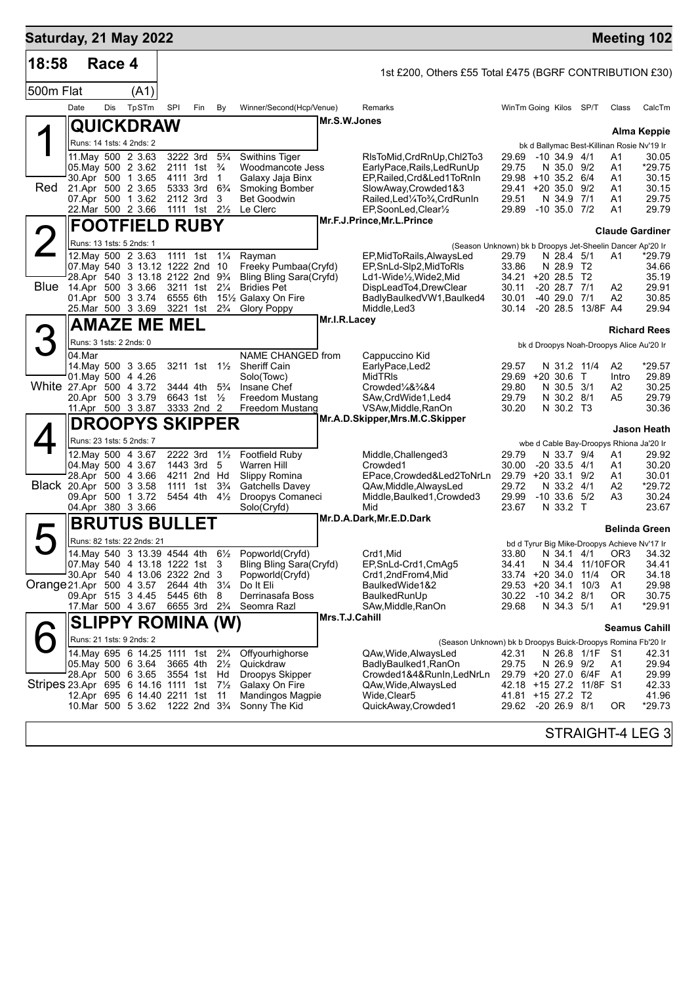| Saturday, 21 May 2022                    |                         |        |                                                                                                                                                                                                                              |                                                                                    |                                                         |                                                             |                                                                                                                                                        |                |                                                                                                                                                                                                        |                                           |                                                                                                                                                                            |        |                                        | <b>Meeting 102</b>                                  |
|------------------------------------------|-------------------------|--------|------------------------------------------------------------------------------------------------------------------------------------------------------------------------------------------------------------------------------|------------------------------------------------------------------------------------|---------------------------------------------------------|-------------------------------------------------------------|--------------------------------------------------------------------------------------------------------------------------------------------------------|----------------|--------------------------------------------------------------------------------------------------------------------------------------------------------------------------------------------------------|-------------------------------------------|----------------------------------------------------------------------------------------------------------------------------------------------------------------------------|--------|----------------------------------------|-----------------------------------------------------|
| 18:58                                    |                         | Race 4 |                                                                                                                                                                                                                              |                                                                                    |                                                         |                                                             |                                                                                                                                                        |                | 1st £200, Others £55 Total £475 (BGRF CONTRIBUTION £30)                                                                                                                                                |                                           |                                                                                                                                                                            |        |                                        |                                                     |
| 500m Flat                                |                         |        | (A1)                                                                                                                                                                                                                         |                                                                                    |                                                         |                                                             |                                                                                                                                                        |                |                                                                                                                                                                                                        |                                           |                                                                                                                                                                            |        |                                        |                                                     |
|                                          | Date                    | Dis    | TpSTm                                                                                                                                                                                                                        | SPI                                                                                | Fin                                                     | By                                                          | Winner/Second(Hcp/Venue)                                                                                                                               |                | <b>Remarks</b>                                                                                                                                                                                         |                                           | WinTm Going Kilos SP/T                                                                                                                                                     |        | Class                                  | CalcTm                                              |
|                                          |                         |        | QUICKDRAW                                                                                                                                                                                                                    |                                                                                    |                                                         |                                                             |                                                                                                                                                        | Mr.S.W.Jones   |                                                                                                                                                                                                        |                                           |                                                                                                                                                                            |        |                                        | Alma Keppie                                         |
|                                          |                         |        | Runs: 14 1sts: 4 2nds: 2                                                                                                                                                                                                     |                                                                                    |                                                         |                                                             |                                                                                                                                                        |                |                                                                                                                                                                                                        |                                           | bk d Ballymac Best-Killinan Rosie Nv'19 Ir                                                                                                                                 |        |                                        |                                                     |
| Red                                      |                         |        | 11. May 500 2 3.63<br>05. May 500 2 3.62<br>30.Apr 500 1 3.65<br>21.Apr 500 2 3.65<br>07.Apr 500 1 3.62<br>22. Mar 500 2 3.66                                                                                                | 3222 3rd<br>4111 3rd<br>5333 3rd<br>2112 3rd<br>1111 1st 21/ <sub>2</sub>          | 2111 1st                                                | $5\frac{3}{4}$<br>$\frac{3}{4}$<br>1<br>$6\frac{3}{4}$<br>3 | <b>Swithins Tiger</b><br>Woodmancote Jess<br>Galaxy Jaja Binx<br><b>Smoking Bomber</b><br><b>Bet Goodwin</b><br>Le Clerc                               |                | RIsToMid,CrdRnUp,Chl2To3<br>EarlyPace,Rails,LedRunUp<br>EP, Railed, Crd&Led1ToRnIn<br>SlowAway,Crowded1&3<br>Railed,Led¼To¾,CrdRunIn<br>EP,SoonLed,Clear1/2                                            | 29.69<br>29.75<br>29.51<br>29.89          | $-10, 34.9, 4/1$<br>N 35.0 9/2<br>29.98 +10 35.2 6/4<br>29.41 +20 35.0 9/2<br>N 34.9 7/1<br>$-10$ 35.0 $7/2$                                                               |        | Α1<br>A1<br>A1<br>A1<br>A1<br>A1       | 30.05<br>*29.75<br>30.15<br>30.15<br>29.75<br>29.79 |
|                                          |                         |        | <b>FOOTFIELD RUBY</b>                                                                                                                                                                                                        |                                                                                    |                                                         |                                                             |                                                                                                                                                        |                | Mr.F.J.Prince, Mr.L.Prince                                                                                                                                                                             |                                           |                                                                                                                                                                            |        |                                        | <b>Claude Gardiner</b>                              |
|                                          |                         |        | Runs: 13 1sts: 5 2nds: 1                                                                                                                                                                                                     |                                                                                    |                                                         |                                                             |                                                                                                                                                        |                |                                                                                                                                                                                                        |                                           | (Season Unknown) bk b Droopys Jet-Sheelin Dancer Ap'20 Ir                                                                                                                  |        |                                        |                                                     |
| <b>Blue</b>                              |                         |        | 12. May 500 2 3.63<br>07. May 540 3 13.12 1222 2nd 10<br>28.Apr 540 3 13.18 2122 2nd 93/4<br>14.Apr 500 3 3.66<br>01.Apr 500 3 3.74<br>25.Mar 500 3 3.69                                                                     | 1111 1st 1¼<br>3211 1st 21/4<br>6555 6th<br>3221 1st 2 <sup>3</sup> / <sub>4</sub> |                                                         |                                                             | Rayman<br>Freeky Pumbaa(Cryfd)<br>Bling Bling Sara(Cryfd)<br><b>Bridies Pet</b><br>151/2 Galaxy On Fire<br><b>Glory Poppy</b>                          |                | EP, Mid To Rails, Always Led<br>EP, SnLd-Slp2, MidToRIs<br>Ld1-Wide1/ <sub>2</sub> , Wide2, Mid<br>DispLeadTo4,DrewClear<br>BadlyBaulkedVW1,Baulked4<br>Middle, Led3                                   | 29.79<br>33.86<br>30.11<br>30.01<br>30.14 | N 28.4 5/1<br>N 28.9 T2<br>34.21 +20 28.5 T2<br>$-20$ 28.7 $7/1$<br>-40 29.0 7/1<br>-20 28.5 13/8F A4                                                                      |        | A1<br>A2<br>A2                         | *29.79<br>34.66<br>35.19<br>29.91<br>30.85<br>29.94 |
|                                          |                         |        | AMAZE ME MEL                                                                                                                                                                                                                 |                                                                                    |                                                         |                                                             |                                                                                                                                                        | Mr.I.R.Lacey   |                                                                                                                                                                                                        |                                           |                                                                                                                                                                            |        |                                        |                                                     |
|                                          | Runs: 3 1sts: 2 2nds: 0 |        |                                                                                                                                                                                                                              |                                                                                    |                                                         |                                                             |                                                                                                                                                        |                |                                                                                                                                                                                                        |                                           |                                                                                                                                                                            |        |                                        | <b>Richard Rees</b>                                 |
|                                          | 04.Mar                  |        |                                                                                                                                                                                                                              |                                                                                    |                                                         |                                                             | NAME CHANGED from                                                                                                                                      |                | Cappuccino Kid                                                                                                                                                                                         |                                           | bk d Droopys Noah-Droopys Alice Au'20 Ir                                                                                                                                   |        |                                        |                                                     |
| White 27.Apr 500 4 3.72                  |                         |        | 14. May 500 3 3.65<br>01. May 500 4 4.26<br>20.Apr 500 3 3.79<br>11.Apr 500 3 3.87                                                                                                                                           | 3444 4th                                                                           | 3211 1st 11/ <sub>2</sub><br>6643 1st 1/2<br>3333 2nd 2 | $5\frac{3}{4}$                                              | <b>Sheriff Cain</b><br>Solo(Towc)<br>Insane Chef<br>Freedom Mustang<br>Freedom Mustang                                                                 |                | EarlyPace, Led2<br><b>MidTRIS</b><br>Crowded1/4&3/4&4<br>SAw, CrdWide1, Led4<br>VSAw, Middle, RanOn<br>Mr.A.D.Skipper,Mrs.M.C.Skipper                                                                  | 29.57<br>29.80<br>29.79<br>30.20          | N 31.2 11/4<br>29.69 +20 30.6<br>N 30.5 3/1<br>N 30.2 8/1<br>N 30.2 T3                                                                                                     | $\top$ | A2<br>Intro<br>A2<br>A5                | *29.57<br>29.89<br>30.25<br>29.79<br>30.36          |
|                                          |                         |        | <b>DROOPYS SKIPPER</b>                                                                                                                                                                                                       |                                                                                    |                                                         |                                                             |                                                                                                                                                        |                |                                                                                                                                                                                                        |                                           |                                                                                                                                                                            |        |                                        | Jason Heath                                         |
| Black 20.Apr 500 3 3.58                  |                         |        | Runs: 23 1sts: 5 2nds: 7<br>12. May 500 4 3.67<br>04 May 500 4 3.67<br>28.Apr 500 4 3.66<br>09.Apr 500 1 3.72<br>04.Apr 380 3 3.66                                                                                           | 2222 3rd<br>1443 3rd                                                               | 4211 2nd Hd<br>1111 1st<br>5454 4th 41/2                | $1\frac{1}{2}$<br>5<br>$3\frac{3}{4}$                       | <b>Footfield Ruby</b><br>Warren Hill<br>Slippy Romina<br>Gatchells Davey<br>Droopys Comaneci<br>Solo(Cryfd)                                            |                | Middle,Challenged3<br>Crowded1<br>EPace,Crowded&Led2ToNrLn<br>QAw,Middle,AlwaysLed<br>Middle, Baulked1, Crowded3<br>Mid                                                                                | 29.79<br>30.00<br>29.72<br>29.99<br>23.67 | wbe d Cable Bay-Droopys Rhiona Ja'20 Ir<br>N 33.7 9/4<br>$-20$ 33.5 $4/1$<br>29.79 +20 33.1 9/2<br>N 33.2 4/1<br>$-10$ 33.6 $5/2$<br>N 33.2 T                              |        | A1<br>A1<br>Α1<br>A2<br>A <sub>3</sub> | 29.92<br>30.20<br>30.01<br>*29.72<br>30.24<br>23.67 |
|                                          |                         |        | <b>BRUTUS BULLET</b>                                                                                                                                                                                                         |                                                                                    |                                                         |                                                             |                                                                                                                                                        |                | Mr.D.A.Dark, Mr.E.D.Dark                                                                                                                                                                               |                                           |                                                                                                                                                                            |        |                                        | <b>Belinda Green</b>                                |
| Orange 21.Apr 500 4 3.57                 |                         |        | Runs: 82 1sts: 22 2nds: 21<br>07. May 540 4 13.18 1222 1st 3<br>30.Apr 540 4 13.06 2322 2nd 3<br>09.Apr 515 3 4.45<br>17.Mar 500 4 3.67                                                                                      | 2644 4th 31/4<br>5445 6th                                                          | 6655 3rd 2 <sup>3</sup> / <sub>4</sub>                  | 8                                                           | 14. May 540 3 13.39 4544 4th 61/2 Popworld(Cryfd)<br><b>Bling Bling Sara(Cryfd)</b><br>Popworld(Cryfd)<br>Do It Eli<br>Derrinasafa Boss<br>Seomra Razl |                | Crd1,Mid<br>EP, SnLd-Crd1, CmAg5<br>Crd1,2ndFrom4,Mid<br>BaulkedWide1&2<br>BaulkedRunUp<br>SAw, Middle, RanOn                                                                                          | 34.41<br>29.68                            | bd d Tyrur Big Mike-Droopys Achieve Nv'17 Ir<br>33.80 N 34.1 4/1 OR3 34.32<br>N 34.4 11/10FOR<br>33.74 +20 34.0<br>29.53 +20 34.1 10/3<br>30.22 -10 34.2 8/1<br>N 34.3 5/1 | 11/4   | OR.<br>A1<br>0R<br>A1                  | 34.41<br>34.18<br>29.98<br>30.75<br>*29.91          |
|                                          |                         |        | <b>SLIPPY ROMINA (W)</b>                                                                                                                                                                                                     |                                                                                    |                                                         |                                                             |                                                                                                                                                        | Mrs.T.J.Cahill |                                                                                                                                                                                                        |                                           |                                                                                                                                                                            |        |                                        | <b>Seamus Cahill</b>                                |
| Stripes 23.Apr 695 6 14.16 1111 1st 71/2 |                         |        | Runs: 21 1sts: 9 2nds: 2<br>14. May 695 6 14. 25 1111 1st 2 <sup>3</sup> / <sub>4</sub><br>05.May 500 6 3.64<br>28.Apr 500 6 3.65<br>12.Apr 695 6 14.40 2211 1st<br>10.Mar 500 5 3.62 1222 2nd 3 <sup>3</sup> / <sub>4</sub> | 3665 4th 21/ <sub>2</sub><br>3554 1st                                              |                                                         | Hd<br>-11                                                   | Offyourhighorse<br>Quickdraw<br>Droopys Skipper<br>Galaxy On Fire<br><b>Mandingos Magpie</b><br>Sonny The Kid                                          |                | (Season Unknown) bk b Droopys Buick-Droopys Romina Fb'20 Ir<br>QAw, Wide, Always Led<br>BadlyBaulked1, RanOn<br>Crowded1&4&RunIn,LedNrLn<br>QAw, Wide, Always Led<br>Wide,Clear5<br>QuickAway,Crowded1 | 42.31<br>29.75                            | N 26.8 1/1F S1<br>N 26.9 9/2<br>29.79 +20 27.0 6/4F<br>42.18 +15 27.2 11/8F S1<br>41.81 +15 27.2 T2<br>29.62 -20 26.9 8/1                                                  |        | A1<br>A1<br>0R                         | 42.31<br>29.94<br>29.99<br>42.33<br>41.96<br>*29.73 |
|                                          |                         |        |                                                                                                                                                                                                                              |                                                                                    |                                                         |                                                             |                                                                                                                                                        |                |                                                                                                                                                                                                        |                                           |                                                                                                                                                                            |        |                                        | STRAIGHT-4 LEG 3                                    |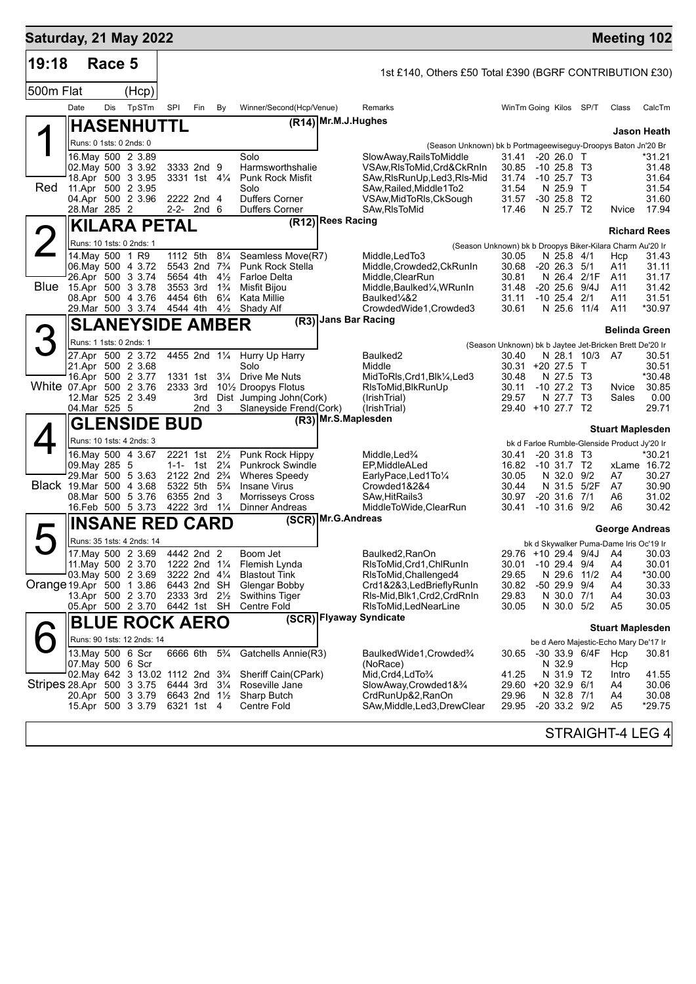| Saturday, 21 May 2022     |                   |        |                                                               |                       |                                                      |                                  |                                                                          |                       |                                                                                          |                                                         |                                                    |                                  | <b>Meeting 102</b>                                       |                          |
|---------------------------|-------------------|--------|---------------------------------------------------------------|-----------------------|------------------------------------------------------|----------------------------------|--------------------------------------------------------------------------|-----------------------|------------------------------------------------------------------------------------------|---------------------------------------------------------|----------------------------------------------------|----------------------------------|----------------------------------------------------------|--------------------------|
| 19:18                     |                   | Race 5 |                                                               |                       |                                                      |                                  |                                                                          |                       | 1st £140, Others £50 Total £390 (BGRF CONTRIBUTION £30)                                  |                                                         |                                                    |                                  |                                                          |                          |
| 500m Flat                 |                   |        | (Hcp)                                                         |                       |                                                      |                                  |                                                                          |                       |                                                                                          |                                                         |                                                    |                                  |                                                          |                          |
|                           | Date              | Dis    | TpSTm                                                         | SPI                   | Fin                                                  | By                               | Winner/Second(Hcp/Venue)                                                 |                       | Remarks                                                                                  | WinTm Going Kilos SP/T                                  |                                                    |                                  | Class                                                    | CalcTm                   |
|                           |                   |        | <b>HASENHUTTL</b>                                             |                       |                                                      |                                  |                                                                          | (R14) Mr.M.J.Hughes   |                                                                                          |                                                         |                                                    |                                  |                                                          | Jason Heath              |
|                           |                   |        | Runs: 0 1sts: 0 2nds: 0                                       |                       |                                                      |                                  |                                                                          |                       | (Season Unknown) bk b Portmageewiseguy-Droopys Baton Jn'20 Br                            |                                                         |                                                    |                                  |                                                          |                          |
|                           |                   |        | 16. May 500 2 3.89<br>02. May 500 3 3.92<br>18.Apr 500 3 3.95 |                       | 3333 2nd 9<br>3331 1st 41/4                          |                                  | Solo<br>Harmsworthshalie<br><b>Punk Rock Misfit</b>                      |                       | SlowAway, RailsToMiddle<br>VSAw, RIsToMid, Crd&CkRnIn<br>SAw, RIs Run Up, Led 3, RIs-Mid | 31.41<br>30.85<br>31.74                                 | $-20, 26.0$ T<br>$-10, 25.8$ T3<br>$-10, 25.7, 13$ |                                  |                                                          | *31.21<br>31.48<br>31.64 |
| Red                       |                   |        | 11.Apr 500 2 3.95<br>04.Apr 500 2 3.96                        |                       | 2222 2nd 4                                           |                                  | Solo<br><b>Duffers Corner</b>                                            |                       | SAw, Railed, Middle1To2<br>VSAw, MidToRIs, CkSough                                       | 31.54<br>31.57                                          | N 25.9 T<br>$-30$ 25.8 T <sub>2</sub>              |                                  |                                                          | 31.54<br>31.60           |
|                           | 28.Mar 285 2      |        |                                                               |                       | $2 - 2 - 2$ nd 6                                     |                                  | <b>Duffers Corner</b>                                                    | (R12) Rees Racing     | SAw, RIsToMid                                                                            | 17.46                                                   | N 25.7 T2                                          |                                  | Nvice                                                    | 17.94                    |
|                           |                   |        | KILARA PETAL                                                  |                       |                                                      |                                  |                                                                          |                       |                                                                                          |                                                         |                                                    |                                  | <b>Richard Rees</b>                                      |                          |
| $\angle$                  |                   |        | Runs: 10 1sts: 0 2nds: 1                                      | 1112 5th              |                                                      | $8\frac{1}{4}$                   |                                                                          |                       | (Season Unknown) bk b Droopys Biker-Kilara Charm Au'20 Ir                                |                                                         |                                                    |                                  |                                                          |                          |
|                           | 14.May 500 1 R9   |        | 06. May 500 4 3.72                                            |                       | 5543 2nd 7 <sup>3</sup> / <sub>4</sub>               |                                  | Seamless Move(R7)<br><b>Punk Rock Stella</b>                             |                       | Middle,LedTo3<br>Middle, Crowded 2, CkRunIn                                              | 30.05<br>30.68                                          | N 25.8 4/1<br>$-20$ 26.3 $5/1$                     |                                  | Hcp<br>A11                                               | 31.43<br>31.11           |
| <b>Blue</b>               |                   |        | 26.Apr 500 3 3.74                                             | 5654 4th              |                                                      | $4\frac{1}{2}$                   | <b>Farloe Delta</b>                                                      |                       | Middle, ClearRun                                                                         | 30.81<br>31.48                                          |                                                    | N 26.4 2/1F<br>$-20$ 25.6 $9/4J$ | A11                                                      | 31.17                    |
|                           |                   |        | 15.Apr 500 3 3.78<br>08.Apr 500 4 3.76                        | 3553 3rd<br>4454 6th  |                                                      | $1\frac{3}{4}$<br>$6\frac{1}{4}$ | Misfit Bijou<br>Kata Millie                                              |                       | Middle, Baulked <sup>1</sup> / <sub>4</sub> , WRunIn<br>Baulked1⁄4&2                     | 31.11                                                   | -10 25.4                                           | 2/1                              | A11<br>A11                                               | 31.42<br>31.51           |
|                           |                   |        | 29. Mar 500 3 3.74 4544 4th                                   |                       |                                                      | $4\frac{1}{2}$                   | Shady Alf                                                                |                       | CrowdedWide1,Crowded3                                                                    | 30.61                                                   | N 25.6 11/4                                        |                                  | A11                                                      | *30.97                   |
|                           |                   |        | <b>SLANEYSIDE AMBER</b>                                       |                       |                                                      |                                  | (R3)                                                                     | Jans Bar Racing       |                                                                                          |                                                         |                                                    |                                  | <b>Belinda Green</b>                                     |                          |
|                           |                   |        | Runs: 1 1sts: 0 2nds: 1                                       |                       |                                                      |                                  |                                                                          |                       |                                                                                          | (Season Unknown) bk b Jaytee Jet-Bricken Brett De'20 Ir |                                                    |                                  |                                                          |                          |
|                           |                   |        | 27.Apr 500 2 3.72<br>21.Apr 500 2 3.68                        |                       | 4455 2nd 11/4                                        |                                  | Hurry Up Harry<br>Solo                                                   |                       | Baulked <sub>2</sub><br>Middle                                                           | 30.40<br>30.31 +20 27.5 T                               |                                                    | N 28.1 10/3 A7                   |                                                          | 30.51<br>30.51           |
|                           |                   |        | 16.Apr 500 2 3.77                                             |                       | 1331 1st                                             | $3\frac{1}{4}$                   | Drive Me Nuts                                                            |                       | MidToRIs,Crd1,Blk¼,Led3                                                                  | 30.48                                                   | N 27.5 T3                                          |                                  |                                                          | *30.48                   |
| White 07.Apr 500 2 3.76   |                   |        | 12.Mar 525 2 3.49                                             | 2333 3rd              | 3rd                                                  |                                  | 10 <sup>1</sup> / <sub>2</sub> Droopys Flotus<br>Dist Jumping John(Cork) |                       | RIsToMid,BIkRunUp<br>(IrishTrial)                                                        | 30.11<br>29.57                                          | $-10$ 27.2 T3<br>N 27.7 T3                         |                                  | Nvice<br>Sales                                           | 30.85<br>0.00            |
|                           | 04.Mar 525 5      |        |                                                               |                       | 2nd <sub>3</sub>                                     |                                  | Slaneyside Frend(Cork)                                                   |                       | (IrishTrial)                                                                             | 29.40 +10 27.7 T2                                       |                                                    |                                  |                                                          | 29.71                    |
|                           |                   |        | <b>GLENSIDE BUD</b>                                           |                       |                                                      |                                  |                                                                          | (R3) Mr.S.Maplesden   |                                                                                          |                                                         |                                                    |                                  | <b>Stuart Maplesden</b>                                  |                          |
|                           |                   |        | Runs: 10 1sts: 4 2nds: 3                                      |                       |                                                      |                                  |                                                                          |                       |                                                                                          |                                                         |                                                    |                                  | bk d Farloe Rumble-Glenside Product Jy'20 Ir             |                          |
|                           | 09. May 285 5     |        | 16. May 500 4 3.67                                            | 2221 1st<br>$1 - 1 -$ |                                                      | $2\frac{1}{2}$<br>$2\frac{1}{4}$ | Punk Rock Hippy<br><b>Punkrock Swindle</b>                               |                       | Middle, Led <sup>3</sup> / <sub>4</sub><br>EP, Middle ALed                               | 30.41<br>16.82                                          | $-20$ 31.8 T3<br>-10 31.7 T2                       |                                  |                                                          | *30.21<br>xLame 16.72    |
|                           |                   |        | 29. Mar 500 5 3.63                                            |                       | 1st<br>2122 2nd 2 <sup>3</sup> / <sub>4</sub>        |                                  | <b>Wheres Speedy</b>                                                     |                       | EarlyPace,Led1To1/4                                                                      | 30.05                                                   | N 32.0 9/2                                         |                                  | A7                                                       | 30.27                    |
| Black 19.Mar 500 4 3.68   |                   |        | 08.Mar 500 5 3.76                                             |                       | 5322 5th 5 <sup>3</sup> / <sub>4</sub><br>6355 2nd 3 |                                  | <b>Insane Virus</b><br>Morrisseys Cross                                  |                       | Crowded1&2&4<br>SAw, HitRails 3                                                          | 30.44<br>30.97                                          | N 31.5<br>$-20$ 31.6 $7/1$                         | 5/2F                             | A7<br>A6                                                 | 30.90<br>31.02           |
|                           |                   |        | 16.Feb 500 5 3.73                                             |                       | 4222 3rd 11/4                                        |                                  | Dinner Andreas                                                           |                       | MiddleToWide,ClearRun                                                                    | 30.41                                                   | $-10$ 31.6 $9/2$                                   |                                  | A6                                                       | 30.42                    |
|                           |                   |        | <b>INSANE RED CARD</b>                                        |                       |                                                      |                                  |                                                                          | $(SCR)$ Mr.G. Andreas |                                                                                          |                                                         |                                                    |                                  |                                                          |                          |
|                           |                   |        | Runs: 35 1sts: 4 2nds: 14                                     |                       |                                                      |                                  |                                                                          |                       |                                                                                          |                                                         |                                                    |                                  | George Andreas<br>bk d Skywalker Puma-Dame Iris Oc'19 Ir |                          |
|                           |                   |        | 17. May 500 2 3.69                                            |                       | 4442 2nd 2                                           |                                  | Boom Jet                                                                 |                       | Baulked2, RanOn                                                                          |                                                         |                                                    |                                  | 29.76 +10 29.4 9/4J A4                                   | 30.03                    |
|                           |                   |        | 11. May 500 2 3.70<br>03. May 500 2 3.69                      |                       | 1222 2nd 11/4<br>3222 2nd 41/4                       |                                  | Flemish Lynda<br><b>Blastout Tink</b>                                    |                       | RIsToMid, Crd1, ChlRunIn<br>RIsToMid, Challenged4                                        | 30.01<br>29.65                                          | $-10$ 29.4 $9/4$                                   | N 29.6 11/2                      | A4<br>A4                                                 | 30.01<br>*30.00          |
| Orange 19.Apr 500 1 3.86  |                   |        |                                                               |                       | 6443 2nd SH                                          |                                  | Glengar Bobby                                                            |                       | Crd1&2&3,LedBrieflyRunIn                                                                 | 30.82                                                   | -50 29.9 9/4                                       |                                  | A4                                                       | 30.33                    |
|                           |                   |        | 13.Apr 500 2 3.70<br>05.Apr 500 2 3.70                        | 6442 1st SH           | 2333 3rd 21/2                                        |                                  | Swithins Tiger<br><b>Centre Fold</b>                                     |                       | RIs-Mid, Blk1, Crd2, CrdRnIn<br>RIsToMid, LedNearLine                                    | 29.83<br>30.05                                          | N 30.0 7/1<br>N 30.0 5/2                           |                                  | A4<br>A <sub>5</sub>                                     | 30.03<br>30.05           |
|                           |                   |        | <b>BLUE ROCK AERO</b>                                         |                       |                                                      |                                  |                                                                          |                       | (SCR) Flyaway Syndicate                                                                  |                                                         |                                                    |                                  |                                                          |                          |
|                           |                   |        | Runs: 90 1sts: 12 2nds: 14                                    |                       |                                                      |                                  |                                                                          |                       |                                                                                          |                                                         |                                                    |                                  | <b>Stuart Maplesden</b>                                  |                          |
|                           |                   |        | 13. May 500 6 Scr                                             |                       | 6666 6th                                             | $5\frac{3}{4}$                   | Gatchells Annie(R3)                                                      |                       | BaulkedWide1,Crowded3⁄4                                                                  | 30.65                                                   |                                                    | -30 33.9 6/4F                    | be d Aero Majestic-Echo Mary De'17 Ir<br>Hcp             | 30.81                    |
|                           | 07. May 500 6 Scr |        |                                                               |                       |                                                      |                                  |                                                                          |                       | (NoRace)                                                                                 |                                                         | N 32.9                                             |                                  | Hcp                                                      |                          |
| Stripes 28.Apr 500 3 3.75 |                   |        | 02. May 642 3 13.02 1112 2nd 3 <sup>3</sup> / <sub>4</sub>    |                       | 6444 3rd 31/4                                        |                                  | Sheriff Cain(CPark)<br>Roseville Jane                                    |                       | Mid,Crd4,LdTo <sup>3</sup> /4<br>SlowAway,Crowded1&3/4                                   | 41.25<br>29.60 +20 32.9                                 | N 31.9 T2                                          | 6/1                              | Intro<br>A4                                              | 41.55<br>30.06           |
|                           |                   |        | 20.Apr 500 3 3.79                                             |                       | 6643 2nd 11/2                                        |                                  | Sharp Butch                                                              |                       | CrdRunUp&2,RanOn                                                                         | 29.96                                                   | N 32.8 7/1                                         |                                  | A4                                                       | 30.08                    |
|                           |                   |        | 15.Apr 500 3 3.79                                             |                       | 6321 1st 4                                           |                                  | Centre Fold                                                              |                       | SAw,Middle,Led3,DrewClear                                                                | 29.95                                                   | $-20$ 33.2 $9/2$                                   |                                  | A5                                                       | *29.75                   |
|                           |                   |        |                                                               |                       |                                                      |                                  |                                                                          |                       |                                                                                          |                                                         |                                                    |                                  | STRAIGHT-4 LEG 4                                         |                          |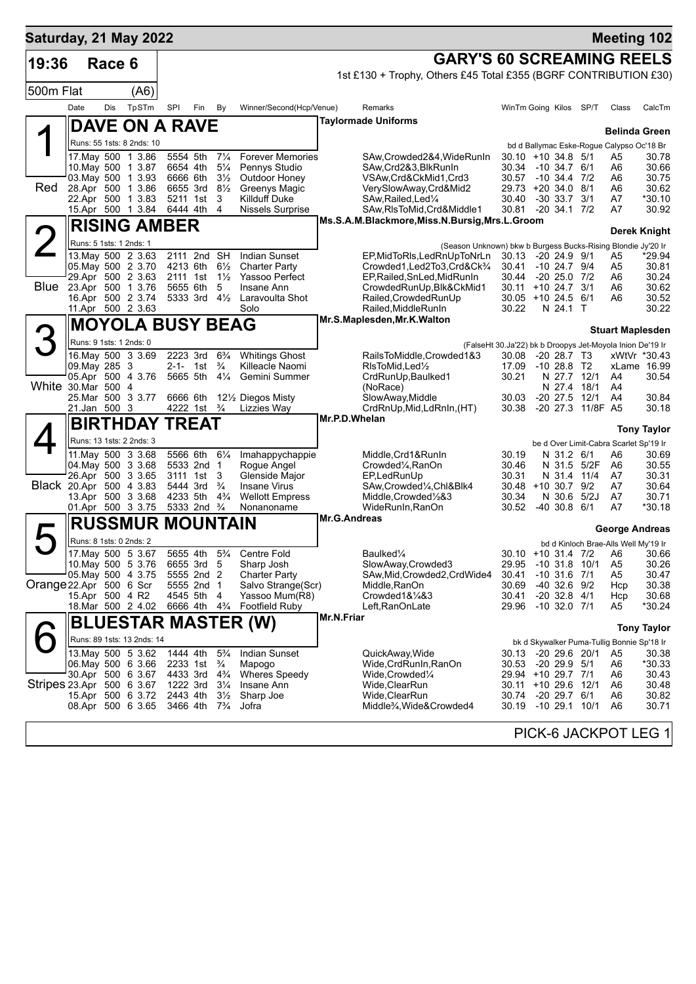| Saturday, 21 May 2022     |                         |            |                                          |                      |                                        |                                  |                                          |            |                                                                                             |                |                                         |                            | <b>Meeting 102</b>                                                                   |                      |
|---------------------------|-------------------------|------------|------------------------------------------|----------------------|----------------------------------------|----------------------------------|------------------------------------------|------------|---------------------------------------------------------------------------------------------|----------------|-----------------------------------------|----------------------------|--------------------------------------------------------------------------------------|----------------------|
| 19:36                     |                         | Race 6     |                                          |                      |                                        |                                  |                                          |            | <b>GARY'S 60 SCREAMING REELS</b>                                                            |                |                                         |                            |                                                                                      |                      |
|                           |                         |            |                                          |                      |                                        |                                  |                                          |            | 1st £130 + Trophy, Others £45 Total £355 (BGRF CONTRIBUTION £30)                            |                |                                         |                            |                                                                                      |                      |
| 500m Flat                 |                         |            | (A6)                                     |                      |                                        |                                  |                                          |            |                                                                                             |                |                                         |                            |                                                                                      |                      |
|                           | Date                    | <b>Dis</b> | TpSTm                                    | SPI                  | Fin                                    | By                               | Winner/Second(Hcp/Venue)                 |            | Remarks                                                                                     |                | WinTm Going Kilos SP/T                  |                            | Class                                                                                | CalcTm               |
|                           |                         |            | <b>DAVE ON A RAVE</b>                    |                      |                                        |                                  |                                          |            | <b>Taylormade Uniforms</b>                                                                  |                |                                         |                            |                                                                                      | <b>Belinda Green</b> |
|                           |                         |            | Runs: 55 1sts: 8 2nds: 10                |                      |                                        |                                  |                                          |            |                                                                                             |                |                                         |                            | bd d Ballymac Eske-Rogue Calypso Oc'18 Br                                            |                      |
|                           |                         |            | 17. May 500 1 3.86<br>10. May 500 1 3.87 | 5554 5th<br>6654 4th |                                        | $7\frac{1}{4}$<br>$5\frac{1}{4}$ | <b>Forever Memories</b><br>Pennys Studio |            | SAw,Crowded2&4,WideRunIn<br>SAw, Crd2&3, BlkRunIn                                           | 30.34          | $30.10 + 10.34.8$ 5/1<br>-10 34.7 6/1   |                            | A5<br>A6                                                                             | 30.78<br>30.66       |
|                           |                         |            | 03. May 500 1 3.93                       | 6666 6th             |                                        | $3\frac{1}{2}$                   | Outdoor Honey                            |            | VSAw, Crd&CkMid1, Crd3                                                                      | 30.57          | $-10, 34.4, 7/2$                        |                            | A6                                                                                   | 30.75                |
| Red                       |                         |            | 28.Apr 500 1 3.86                        | 6655 3rd             |                                        | $8\frac{1}{2}$                   | Greenys Magic                            |            | VerySlowAway,Crd&Mid2                                                                       |                | 29.73 +20 34.0 8/1                      |                            | A6                                                                                   | 30.62                |
|                           |                         |            | 22.Apr 500 1 3.83<br>15.Apr 500 1 3.84   | 5211 1st<br>6444 4th |                                        | 3<br>4                           | Killduff Duke<br><b>Nissels Surprise</b> |            | SAw, Railed, Led <sup>1/4</sup><br>SAw, RIsToMid, Crd&Middle1                               | 30.40          | -30 33.7<br>30.81 -20 34.1 7/2          | 3/1                        | A7<br>A7                                                                             | $*30.10$<br>30.92    |
|                           |                         |            | <b>RISING AMBER</b>                      |                      |                                        |                                  |                                          |            | Ms.S.A.M.Blackmore, Miss.N.Bursig, Mrs.L.Groom                                              |                |                                         |                            |                                                                                      |                      |
| <b>2</b>                  |                         |            |                                          |                      |                                        |                                  |                                          |            |                                                                                             |                |                                         |                            |                                                                                      | Derek Knight         |
|                           | Runs: 5 1sts: 1 2nds: 1 |            | 13. May 500 2 3.63                       | 2111 2nd SH          |                                        |                                  | <b>Indian Sunset</b>                     |            | (Season Unknown) bkw b Burgess Bucks-Rising Blondie Jy'20 Ir<br>EP, MidToRIs, LedRnUpToNrLn | 30.13          | -20 24.9 9/1                            |                            | A5                                                                                   | *29.94               |
|                           |                         |            | 05. May 500 2 3.70                       | 4213 6th             |                                        | $6\frac{1}{2}$                   | <b>Charter Party</b>                     |            | Crowded1, Led2To3, Crd&Ck3/4                                                                | 30.41          | $-10$ 24.7 $9/4$                        |                            | A5                                                                                   | 30.81                |
|                           |                         |            | 29.Apr 500 2 3.63                        | 2111 1st             |                                        | $1\frac{1}{2}$                   | Yassoo Perfect                           |            | EP, Railed, SnLed, MidRunIn                                                                 | 30.44          | $-20$ 25.0 $7/2$                        |                            | A6                                                                                   | 30.24                |
| Blue                      |                         |            | 23.Apr 500 1 3.76<br>16.Apr 500 2 3.74   | 5655 6th             | 5333 3rd 41/2                          | 5                                | Insane Ann<br>Laravoulta Shot            |            | CrowdedRunUp, Blk&CkMid1<br>Railed, Crowded RunUp                                           | 30.11          | $+10$ 24.7 3/1<br>$30.05 + 10.24.5$ 6/1 |                            | A6<br>A6                                                                             | 30.62<br>30.52       |
|                           |                         |            | 11.Apr 500 2 3.63                        |                      |                                        |                                  | Solo                                     |            | Railed, MiddleRunIn                                                                         | 30.22          | N 24.1 T                                |                            |                                                                                      | 30.22                |
|                           |                         |            | <b>MOYOLA BUSY BEAG</b>                  |                      |                                        |                                  |                                          |            | Mr.S.Maplesden, Mr.K. Walton                                                                |                |                                         |                            |                                                                                      |                      |
| 3                         | Runs: 9 1sts: 1 2nds: 0 |            |                                          |                      |                                        |                                  |                                          |            |                                                                                             |                |                                         |                            | <b>Stuart Maplesden</b><br>(FalseHt 30.Ja'22) bk b Droopys Jet-Moyola Inion De'19 Ir |                      |
|                           |                         |            | 16. May 500 3 3.69                       |                      | 2223 3rd                               | $6\frac{3}{4}$                   | <b>Whitings Ghost</b>                    |            | RailsToMiddle,Crowded1&3                                                                    | 30.08          | $-20$ 28.7 T <sub>3</sub>               |                            |                                                                                      | xWtVr *30.43         |
|                           | 09. May 285 3           |            |                                          |                      | 2-1- 1st                               | $\frac{3}{4}$                    | Killeacle Naomi                          |            | $RlsToMidLed\frac{1}{2}$                                                                    | 17.09          | $-1028.8$ T2                            |                            |                                                                                      | xLame 16.99          |
| White 30. Mar 500 4       |                         |            | 05.Apr 500 4 3.76                        |                      |                                        | 5665 5th 41/4                    | Gemini Summer                            |            | CrdRunUp, Baulked1<br>(NoRace)                                                              | 30.21          | N 27.4                                  | N 27.7 12/1<br>18/1        | A4<br>A4                                                                             | 30.54                |
|                           |                         |            | 25.Mar 500 3 3.77                        |                      |                                        |                                  | 6666 6th 121/2 Diegos Misty              |            | SlowAway, Middle                                                                            | 30.03          | $-20$ 27.5 $12/1$                       |                            | A4                                                                                   | 30.84                |
|                           | 21.Jan 500 3            |            |                                          |                      | 4222 1st <sup>3</sup> / <sub>4</sub>   |                                  | Lizzies Way                              |            | CrdRnUp, Mid, LdRnIn, (HT)                                                                  | 30.38          | -20 27.3 11/8F A5                       |                            |                                                                                      | 30.18                |
|                           |                         |            | <b>BIRTHDAY TREAT</b>                    |                      |                                        |                                  |                                          |            | Mr.P.D.Whelan                                                                               |                |                                         |                            |                                                                                      | <b>Tony Taylor</b>   |
|                           |                         |            | Runs: 13 1sts: 2 2nds: 3                 |                      |                                        |                                  |                                          |            |                                                                                             |                |                                         |                            | be d Over Limit-Cabra Scarlet Sp'19 Ir                                               |                      |
|                           |                         |            | 11 May 500 3 3.68                        |                      | 5566 6th                               | $6\frac{1}{4}$                   | Imahappychappie                          |            | Middle,Crd1&RunIn                                                                           | 30.19          |                                         | N 31.2 6/1                 | A6                                                                                   | 30.69                |
|                           |                         |            | 04 May 500 3 3.68<br>26.Apr 500 3 3.65   |                      | 5533 2nd 1<br>3111 1st                 | 3                                | Rogue Angel<br>Glenside Major            |            | Crowded <sup>1</sup> / <sub>4</sub> , RanOn<br>EP,LedRunUp                                  | 30.46<br>30.31 |                                         | N 31.5 5/2F<br>N 31.4 11/4 | A6<br>A7                                                                             | 30.55<br>30.31       |
| Black 20.Apr 500 4 3.83   |                         |            |                                          | 5444 3rd             |                                        | $\frac{3}{4}$                    | <b>Insane Virus</b>                      |            | SAw, Crowded <sup>1</sup> / <sub>4</sub> , Chl&Blk4                                         | 30.48          | $+10$ 30.7 9/2                          |                            | A7                                                                                   | 30.64                |
|                           |                         |            | 13.Apr 500 3 3.68                        | 4233 5th             |                                        | $4\frac{3}{4}$                   | <b>Wellott Empress</b>                   |            | Middle, Crowded <sup>1</sup> / <sub>2</sub> &3                                              | 30.34          |                                         | N 30.6 5/2J                | A7                                                                                   | 30.71                |
|                           |                         |            | 01.Apr 500 3 3.75                        |                      | 5333 2nd <sup>3</sup> / <sub>4</sub>   |                                  | Nonanoname                               |            | WideRunIn, RanOn<br>Mr.G.Andreas                                                            | 30.52          | $-40, 30.8, 6/1$                        |                            | A7                                                                                   | *30.18               |
|                           |                         |            | <b>RUSSMUR MOUNTAIN</b>                  |                      |                                        |                                  |                                          |            |                                                                                             |                |                                         |                            | George Andreas                                                                       |                      |
|                           |                         |            | Runs: 8 1sts: 0 2nds: 2                  |                      |                                        |                                  |                                          |            |                                                                                             |                |                                         |                            | bd d Kinloch Brae-Alls Well My'19 Ir                                                 |                      |
|                           |                         |            | 17. May 500 5 3.67                       | 6655 3rd 5           | 5655 4th                               | $5\frac{3}{4}$                   | Centre Fold<br>Sharp Josh                |            | Baulked <sup>1</sup> / <sub>4</sub><br>SlowAway, Crowded3                                   |                |                                         |                            | 30.10 +10 31.4 7/2 A6 30.66                                                          | 30.26                |
|                           |                         |            | 10. May 500 5 3.76<br>05 May 500 4 3.75  |                      | 5555 2nd 2                             |                                  | <b>Charter Party</b>                     |            | SAw, Mid, Crowded 2, CrdWide 4                                                              | 29.95<br>30.41 | $-10$ 31.8 $10/1$<br>$-10$ 31.6 $7/1$   |                            | A5<br>A5                                                                             | 30.47                |
| Orange 22.Apr 500 6 Scr   |                         |            |                                          |                      | 5555 2nd 1                             |                                  | Salvo Strange(Scr)                       |            | Middle, RanOn                                                                               | 30.69          | $-40$ 32.6 $9/2$                        |                            | Hcp                                                                                  | 30.38                |
|                           | 15.Apr 500 4 R2         |            |                                          |                      | 4545 5th                               | 4                                | Yassoo Mum(R8)                           |            | $Crowded1&\frac{1}{4}83$                                                                    | 30.41          | $-20$ 32.8 $4/1$                        |                            | Hcp                                                                                  | 30.68                |
|                           |                         |            | 18. Mar 500 2 4.02                       |                      | 6666 4th                               | $4\frac{3}{4}$                   | <b>Footfield Ruby</b>                    | Mr.N.Friar | Left, RanOn Late                                                                            | 29.96          | $-10$ 32.0 $7/1$                        |                            | A5                                                                                   | *30.24               |
|                           |                         |            |                                          |                      |                                        |                                  | BLUESTAR MASTER (W)                      |            |                                                                                             |                |                                         |                            |                                                                                      | <b>Tony Taylor</b>   |
|                           |                         |            | Runs: 89 1sts: 13 2nds: 14               |                      |                                        |                                  |                                          |            |                                                                                             |                |                                         |                            | bk d Skywalker Puma-Tullig Bonnie Sp'18 Ir                                           |                      |
|                           |                         |            | 13. May 500 5 3.62<br>06. May 500 6 3.66 | 1444 4th             | 2233 1st                               | $5\frac{3}{4}$<br>$\frac{3}{4}$  | Indian Sunset<br>Mapogo                  |            | QuickAway, Wide<br>Wide,CrdRunIn,RanOn                                                      | 30.13<br>30.53 | $-2029.620/1$<br>$-20$ 29.9 $5/1$       |                            | A5                                                                                   | 30.38<br>*30.33      |
|                           |                         |            | 30.Apr 500 6 3.67                        | 4433 3rd             |                                        | $4\frac{3}{4}$                   | <b>Wheres Speedy</b>                     |            | Wide,Crowded1/4                                                                             |                | 29.94 +10 29.7 7/1                      |                            | A6<br>A6                                                                             | 30.43                |
| Stripes 23.Apr 500 6 3.67 |                         |            |                                          | 1222 3rd             |                                        | $3\frac{1}{4}$                   | Insane Ann                               |            | Wide,ClearRun                                                                               | 30.11          | +10 29.6 12/1                           |                            | A6                                                                                   | 30.48                |
|                           |                         |            | 15.Apr 500 6 3.72<br>08.Apr 500 6 3.65   | 2443 4th             | 3466 4th 7 <sup>3</sup> / <sub>4</sub> | $3\frac{1}{2}$                   | Sharp Joe<br>Jofra                       |            | Wide, Clear Run<br>Middle <sup>3</sup> / <sub>4</sub> , Wide&Crowded4                       | 30.74<br>30.19 | $-20$ 29.7 $6/1$<br>-10 29.1 10/1       |                            | A6<br>A6                                                                             | 30.82<br>30.71       |
|                           |                         |            |                                          |                      |                                        |                                  |                                          |            |                                                                                             |                |                                         |                            |                                                                                      |                      |
|                           |                         |            |                                          |                      |                                        |                                  |                                          |            |                                                                                             |                |                                         |                            | PICK-6 JACKPOT LEG 1                                                                 |                      |
|                           |                         |            |                                          |                      |                                        |                                  |                                          |            |                                                                                             |                |                                         |                            |                                                                                      |                      |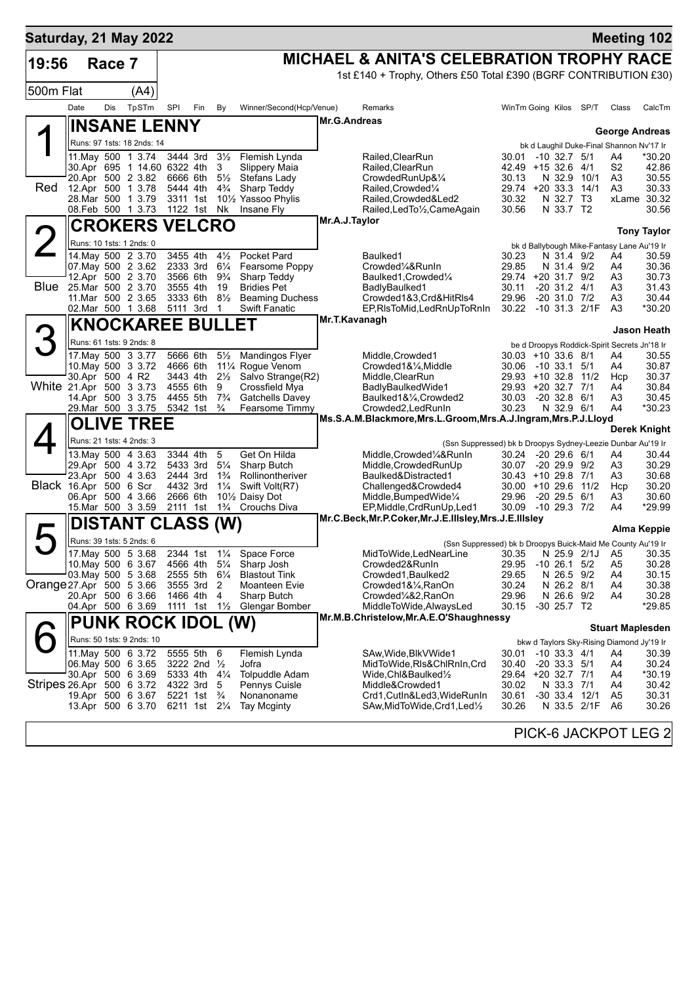| Saturday, 21 May 2022     |                 |        |                                                  |                      |                                         |                                  |                                              |               |                                                                                                           |                                          |                                      |               | <b>Meeting 102</b>                           |                    |
|---------------------------|-----------------|--------|--------------------------------------------------|----------------------|-----------------------------------------|----------------------------------|----------------------------------------------|---------------|-----------------------------------------------------------------------------------------------------------|------------------------------------------|--------------------------------------|---------------|----------------------------------------------|--------------------|
| 19:56                     |                 | Race 7 |                                                  |                      |                                         |                                  |                                              |               | <b>MICHAEL &amp; ANITA'S CELEBRATION TROPHY RACE</b>                                                      |                                          |                                      |               |                                              |                    |
|                           |                 |        |                                                  |                      |                                         |                                  |                                              |               | 1st £140 + Trophy, Others £50 Total £390 (BGRF CONTRIBUTION £30)                                          |                                          |                                      |               |                                              |                    |
| 500m Flat                 |                 |        | (A4)                                             |                      |                                         |                                  |                                              |               |                                                                                                           |                                          |                                      |               |                                              |                    |
|                           | Date            | Dis    | TpSTm                                            | SPI                  | Fin                                     | By                               | Winner/Second(Hcp/Venue)                     |               | <b>Remarks</b>                                                                                            | WinTm Going Kilos SP/T                   |                                      |               | Class                                        | CalcTm             |
|                           |                 |        | <b>INSANE LENNY</b>                              |                      |                                         |                                  |                                              | Mr.G.Andreas  |                                                                                                           |                                          |                                      |               | <b>George Andreas</b>                        |                    |
|                           |                 |        | Runs: 97 1sts: 18 2nds: 14                       |                      |                                         |                                  |                                              |               |                                                                                                           |                                          |                                      |               | bk d Laughil Duke-Final Shannon Nv'17 Ir     |                    |
|                           |                 |        | 11. May 500 1 3.74                               | 3444 3rd             |                                         | $3\frac{1}{2}$                   | Flemish Lynda                                |               | Railed, Clear Run                                                                                         | 30.01 -10 32.7 5/1                       |                                      |               | A4                                           | *30.20             |
|                           |                 |        | 30.Apr 695 1 14.60 6322 4th<br>20.Apr 500 2 3.82 | 6666 6th             |                                         | 3<br>$5\frac{1}{2}$              | Slippery Maia<br>Stefans Lady                |               | Railed, Clear Run<br>CrowdedRunUp&1/4                                                                     | 42.49 +15 32.6 4/1<br>30.13              | N 32.9 10/1                          |               | S <sub>2</sub>                               | 42.86<br>30.55     |
| Red                       |                 |        | 12.Apr 500 1 3.78                                | 5444 4th             |                                         | $4\frac{3}{4}$                   | Sharp Teddy                                  |               | Railed, Crowded <sup>1</sup> / <sub>4</sub>                                                               | 29.74 +20 33.3                           |                                      | 14/1          | A3<br>A3                                     | 30.33              |
|                           |                 |        | 28.Mar 500 1 3.79                                | 3311 1st             |                                         |                                  | 101/ <sub>2</sub> Yassoo Phylis              |               | Railed, Crowded&Led2                                                                                      | 30.32                                    | N 32.7 T3                            |               |                                              | xLame 30.32        |
|                           |                 |        | 08.Feb 500 1 3.73                                |                      | 1122 1st Nk                             |                                  | Insane Fly                                   | Mr.A.J.Taylor | Railed, Led To 1/2, Came Again                                                                            | 30.56                                    | N 33.7 T2                            |               |                                              | 30.56              |
|                           |                 |        | <b>CROKERS VELCRO</b>                            |                      |                                         |                                  |                                              |               |                                                                                                           |                                          |                                      |               |                                              | <b>Tony Taylor</b> |
|                           |                 |        | Runs: 10 1sts: 1 2nds: 0                         |                      |                                         |                                  |                                              |               |                                                                                                           |                                          |                                      |               | bk d Ballybough Mike-Fantasy Lane Au'19 Ir   |                    |
|                           |                 |        | 14 May 500 2 3.70<br>07. May 500 2 3.62          | 3455 4th<br>2333 3rd |                                         | $4\frac{1}{2}$<br>$6\frac{1}{4}$ | Pocket Pard<br>Fearsome Poppy                |               | Baulked1<br>Crowded1/4&RunIn                                                                              | 30.23<br>29.85                           | N 31.4 9/2<br>N 31.4 9/2             |               | A4<br>A4                                     | 30.59<br>30.36     |
|                           |                 |        | 12.Apr 500 2 3.70                                | 3566 6th             |                                         | $9\frac{3}{4}$                   | Sharp Teddy                                  |               | Baulked1, Crowded1/4                                                                                      | 29.74 +20 31.7 9/2                       |                                      |               | A3                                           | 30.73              |
| <b>Blue</b>               |                 |        | 25.Mar 500 2 3.70<br>11. Mar 500 2 3.65          | 3555 4th<br>3333 6th |                                         | 19<br>$8\frac{1}{2}$             | <b>Bridies Pet</b><br><b>Beaming Duchess</b> |               | BadlyBaulked1<br>Crowded1&3,Crd&HitRls4                                                                   | 30.11<br>29.96                           | $-20$ 31.2 $4/1$<br>$-20$ 31.0 $7/2$ |               | A3<br>A3                                     | 31.43<br>30.44     |
|                           |                 |        | 02.Mar 500 1 3.68                                | 5111 3rd             |                                         | -1                               | <b>Swift Fanatic</b>                         |               | EP, RIsToMid, Led RnUpTo RnIn                                                                             | 30.22                                    |                                      | -10 31.3 2/1F | A <sub>3</sub>                               | *30.20             |
|                           |                 |        | <b>KNOCKAREE BULLET</b>                          |                      |                                         |                                  |                                              |               | Mr.T.Kavanagh                                                                                             |                                          |                                      |               |                                              |                    |
|                           |                 |        | Runs: 61 1sts: 9 2nds: 8                         |                      |                                         |                                  |                                              |               |                                                                                                           |                                          |                                      |               | be d Droopys Roddick-Spirit Secrets Jn'18 Ir | Jason Heath        |
|                           |                 |        | 17. May 500 3 3.77                               | 5666 6th             |                                         | $5\frac{1}{2}$                   | Mandingos Flyer                              |               | Middle, Crowded1                                                                                          | 30.03 +10 33.6 8/1                       |                                      |               | A4                                           | 30.55              |
|                           |                 |        | 10. May 500 3 3.72                               | 4666 6th             |                                         |                                  | 111⁄4 Rogue Venom                            |               | Crowded1&1/4, Middle                                                                                      | 30.06 -10 33.1                           |                                      | 5/1           | A4                                           | 30.87              |
| White 21.Apr 500 3 3.73   | 30.Apr 500 4 R2 |        |                                                  | 3443 4th<br>4555 6th |                                         | $2\frac{1}{2}$<br>9              | Salvo Strange(R2)<br>Crossfield Mya          |               | Middle, ClearRun<br>BadlyBaulkedWide1                                                                     | 29.93 +10 32.8<br>29.93 +20 32.7         |                                      | 11/2<br>7/1   | Hcp<br>A4                                    | 30.37<br>30.84     |
|                           |                 |        | 14.Apr 500 3 3.75                                | 4455 5th             |                                         | $7\frac{3}{4}$                   | <b>Gatchells Davey</b>                       |               | Baulked1&1⁄4, Crowded2                                                                                    | 30.03                                    | $-20$ 32.8 $6/1$                     |               | A3                                           | 30.45              |
|                           |                 |        | 29. Mar 500 3 3.75                               | 5342 1st             |                                         | $\frac{3}{4}$                    | Fearsome Timmy                               |               | Crowded2, LedRunIn<br>Ms.S.A.M.Blackmore, Mrs.L.Groom, Mrs.A.J.Ingram, Mrs.P.J.Lloyd                      | 30.23                                    | N 32.9 6/1                           |               | A4                                           | *30.23             |
|                           |                 |        | <b>OLIVE TREE</b>                                |                      |                                         |                                  |                                              |               |                                                                                                           |                                          |                                      |               |                                              | Derek Knight       |
|                           |                 |        | Runs: 21 1sts: 4 2nds: 3                         |                      |                                         |                                  |                                              |               | (Ssn Suppressed) bk b Droopys Sydney-Leezie Dunbar Au'19 Ir                                               |                                          |                                      |               |                                              |                    |
|                           |                 |        | 13. May 500 4 3.63<br>29.Apr 500 4 3.72          | 3344 4th<br>5433 3rd |                                         | 5<br>$5\frac{1}{4}$              | Get On Hilda<br>Sharp Butch                  |               | Middle,Crowded¼&RunIn<br>Middle, Crowded RunUp                                                            | 30.24 -20 29.6 6/1<br>30.07 -20 29.9 9/2 |                                      |               | A4<br>A3                                     | 30.44<br>30.29     |
|                           |                 |        | 23.Apr 500 4 3.63                                | 2444 3rd             |                                         | $1\frac{3}{4}$                   | Rollinontheriver                             |               | Baulked&Distracted1                                                                                       | 30.43 +10 29.8 7/1                       |                                      |               | A3                                           | 30.68              |
| Black 16.Apr 500 6 Scr    |                 |        |                                                  | 4432 3rd             |                                         | $1\frac{1}{4}$                   | Swift Volt(R7)                               |               | Challenged&Crowded4                                                                                       | 30.00 +10 29.6 11/2                      |                                      |               | Hcp                                          | 30.20              |
|                           |                 |        | 06.Apr 500 4 3.66<br>15.Mar 500 3 3.59           | 2666 6th<br>2111 1st |                                         | $1\frac{3}{4}$                   | 101/ <sub>2</sub> Daisy Dot<br>Crouchs Diva  |               | Middle, Bumped Wide <sup>1/4</sup><br>EP, Middle, CrdRunUp, Led1                                          | 29.96 -20 29.5 6/1<br>30.09 -10 29.3 7/2 |                                      |               | A3<br>A4                                     | 30.60<br>*29.99    |
|                           |                 |        | <b>DISTANT CLASS (W)</b>                         |                      |                                         |                                  |                                              |               | Mr.C.Beck, Mr.P.Coker, Mr.J.E.IIIsley, Mrs.J.E.IIIsley                                                    |                                          |                                      |               |                                              |                    |
|                           |                 |        | Runs: 39 1sts: 5 2nds: 6                         |                      |                                         |                                  |                                              |               |                                                                                                           |                                          |                                      |               |                                              | Alma Keppie        |
|                           |                 |        | 17. May 500 5 3.68                               |                      |                                         |                                  | 2344 1st 11/4 Space Force                    |               | (Ssn Suppressed) bk b Droopys Buick-Maid Me County Au'19 Ir<br>MidToWide,LedNearLine 30.35 N 25.9 2/1J A5 |                                          |                                      |               |                                              | 30.35              |
|                           |                 |        | 10. May 500 6 3.67                               |                      | 4566 4th 51/4                           |                                  | Sharp Josh                                   |               | Crowded2&RunIn                                                                                            | 29.95                                    | $-10$ 26.1 $5/2$                     |               | A5                                           | 30.28              |
| Orange 27.Apr 500 5 3.66  |                 |        | 03. May 500 5 3.68                               | 2555 5th<br>3555 3rd |                                         | $6\frac{1}{4}$<br>2              | <b>Blastout Tink</b><br>Moanteen Evie        |               | Crowded1, Baulked2<br>Crowded1&1/4, RanOn                                                                 | 29.65<br>30.24                           | N 26.5 9/2<br>N 26.2 8/1             |               | A4<br>A4                                     | 30.15<br>30.38     |
|                           |                 |        | 20.Apr 500 6 3.66                                |                      | 1466 4th                                | 4                                | Sharp Butch                                  |               | Crowded¼&2,RanOn                                                                                          | 29.96                                    | N 26.6 9/2                           |               | A4                                           | 30.28              |
|                           |                 |        | 04.Apr 500 6 3.69                                |                      | 1111 1st 1½                             |                                  | Glengar Bomber                               |               | MiddleToWide, AlwaysLed                                                                                   | 30.15                                    | $-30$ 25.7 T2                        |               |                                              | *29.85             |
|                           |                 |        | <b>PUNK ROCK IDOL (W)</b>                        |                      |                                         |                                  |                                              |               | Mr.M.B.Christelow, Mr.A.E.O'Shaughnessy                                                                   |                                          |                                      |               | <b>Stuart Maplesden</b>                      |                    |
|                           |                 |        | Runs: 50 1sts: 9 2nds: 10                        |                      |                                         |                                  |                                              |               |                                                                                                           |                                          |                                      |               | bkw d Taylors Sky-Rising Diamond Jy'19 Ir    |                    |
|                           |                 |        | 11. May 500 6 3.72                               |                      | 5555 5th 6                              |                                  | Flemish Lynda                                |               | SAw, Wide, Blk V Wide 1                                                                                   | 30.01                                    | $-10$ 33.3 $4/1$                     |               | A4                                           | 30.39              |
|                           |                 |        | 06. May 500 6 3.65<br>30.Apr 500 6 3.69          |                      | 3222 2nd $\frac{1}{2}$<br>5333 4th 41/4 |                                  | Jofra<br><b>Tolpuddle Adam</b>               |               | MidToWide,RIs&ChlRnIn,Crd<br>Wide,Chl&Baulked½                                                            | 30.40<br>29.64 +20 32.7 7/1              | $-20$ 33.3 $5/1$                     |               | A4<br>A4                                     | 30.24<br>*30.19    |
| Stripes 26.Apr 500 6 3.72 |                 |        |                                                  | 4322 3rd             |                                         | 5                                | Pennys Cuisle                                |               | Middle&Crowded1                                                                                           | 30.02                                    | N 33.3 7/1                           |               | A4                                           | 30.42              |
|                           |                 |        | 19.Apr 500 6 3.67                                |                      | 5221 1st $\frac{3}{4}$                  |                                  | Nonanoname                                   |               | Crd1,CutIn&Led3,WideRunIn                                                                                 | 30.61                                    | -30 33.4 12/1                        |               | A5                                           | 30.31              |
|                           |                 |        | 13.Apr 500 6 3.70                                |                      | 6211 1st 21/4                           |                                  | <b>Tay Mcginty</b>                           |               | SAw,MidToWide,Crd1,Led½                                                                                   | 30.26                                    |                                      | N 33.5 2/1F   | A6                                           | 30.26              |
|                           |                 |        |                                                  |                      |                                         |                                  |                                              |               |                                                                                                           |                                          |                                      |               | PICK-6 JACKPOT LEG 2                         |                    |
|                           |                 |        |                                                  |                      |                                         |                                  |                                              |               |                                                                                                           |                                          |                                      |               |                                              |                    |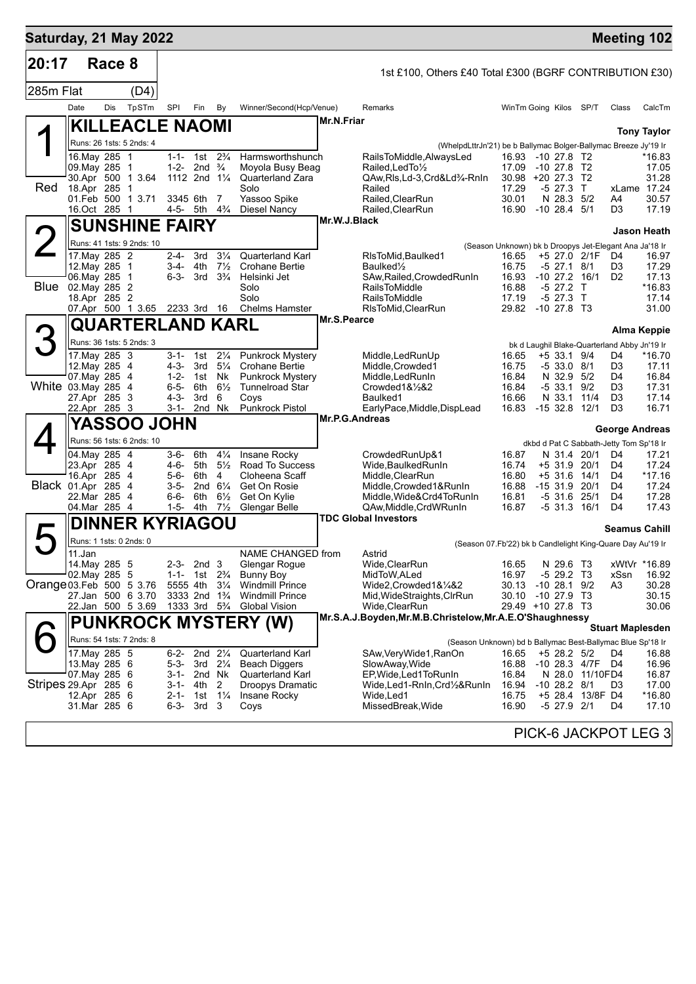| Saturday, 21 May 2022     |                                   |            |                         |                        |                                              |                                  |                                                  |                   |                                                                            |                                                                 |                                |                  | <b>Meeting 102</b>                           |                    |
|---------------------------|-----------------------------------|------------|-------------------------|------------------------|----------------------------------------------|----------------------------------|--------------------------------------------------|-------------------|----------------------------------------------------------------------------|-----------------------------------------------------------------|--------------------------------|------------------|----------------------------------------------|--------------------|
| 20:17                     |                                   | Race 8     |                         |                        |                                              |                                  |                                                  |                   | 1st £100, Others £40 Total £300 (BGRF CONTRIBUTION £30)                    |                                                                 |                                |                  |                                              |                    |
| 285m Flat                 |                                   |            | (D4)                    |                        |                                              |                                  |                                                  |                   |                                                                            |                                                                 |                                |                  |                                              |                    |
|                           | Date                              | <b>Dis</b> | TpSTm                   | SPI                    | Fin                                          | By                               | Winner/Second(Hcp/Venue)                         |                   | Remarks                                                                    | WinTm Going Kilos SP/T                                          |                                |                  | Class                                        | CalcTm             |
|                           | <b>KILLEACLE NAOMI</b>            |            |                         |                        |                                              |                                  |                                                  | <b>Mr.N.Friar</b> |                                                                            |                                                                 |                                |                  |                                              |                    |
|                           | Runs: 26 1sts: 5 2nds: 4          |            |                         |                        |                                              |                                  |                                                  |                   | (WhelpdLttrJn'21) be b Ballymac Bolger-Ballymac Breeze Jy'19 Ir            |                                                                 |                                |                  |                                              | <b>Tony Taylor</b> |
|                           | 16. May 285 1                     |            |                         | $1 - 1 -$              | 1st                                          | $2\frac{3}{4}$                   | Harmsworthshunch                                 |                   | RailsToMiddle, AlwaysLed                                                   | 16.93                                                           | -10 27.8 T2                    |                  |                                              | *16.83             |
|                           | 09.May 285<br>30.Apr 500 1 3.64   |            | $\mathbf 1$             | $1 - 2 -$              | 2nd $\frac{3}{4}$<br>1112 2nd $1\frac{1}{4}$ |                                  | Moyola Busy Beag<br>Quarterland Zara             |                   | Railed, Led To 1/2<br>QAw, Ris, Ld-3, Crd&Ld3/4-Rnin                       | 17.09<br>$30.98 + 20 27.3$                                      | $-10$ 27.8 T <sub>2</sub>      | T2               |                                              | 17.05<br>31.28     |
| Red                       | 18.Apr 285                        |            | -1                      |                        |                                              |                                  | Solo                                             |                   | Railed                                                                     | 17.29                                                           | $-5$ 27.3 T                    |                  |                                              | xLame 17.24        |
|                           | 01.Feb 500<br>16.Oct 285          |            | 1 3.71<br>-1            | 3345 6th<br>4-5- 5th   |                                              | 7<br>$4\frac{3}{4}$              | Yassoo Spike<br><b>Diesel Nancy</b>              |                   | Railed, ClearRun<br>Railed, ClearRun                                       | 30.01<br>16.90                                                  | N 28.3<br>$-10$ 28.4 $5/1$     | 5/2              | A4<br>D3                                     | 30.57<br>17.19     |
|                           | <b>SUNSHINE FAIRY</b>             |            |                         |                        |                                              |                                  |                                                  | Mr.W.J.Black      |                                                                            |                                                                 |                                |                  |                                              |                    |
|                           | Runs: 41 1sts: 9 2nds: 10         |            |                         |                        |                                              |                                  |                                                  |                   |                                                                            |                                                                 |                                |                  |                                              | <b>Jason Heath</b> |
|                           | 17. May 285 2                     |            |                         | $2 - 4 -$              | 3rd                                          | $3\frac{1}{4}$                   | <b>Quarterland Karl</b>                          |                   | RIsToMid, Baulked1                                                         | (Season Unknown) bk b Droopys Jet-Elegant Ana Ja'18 Ir<br>16.65 |                                | +5 27.0 2/1F     | D4                                           | 16.97              |
|                           | 12. May 285                       |            | $\mathbf 1$             | 3-4-                   | 4th                                          | $7\frac{1}{2}$                   | <b>Crohane Bertie</b>                            |                   | Baulked <sup>1/2</sup>                                                     | 16.75                                                           | $-5$ 27.1 $8/1$                |                  | D3                                           | 17.29              |
| <b>Blue</b>               | 06. May 285<br>02. May 285 2      |            | 1                       | $6 - 3 -$              | 3rd                                          | $3\frac{3}{4}$                   | Helsinki Jet<br>Solo                             |                   | SAw, Railed, Crowded RunIn<br><b>RailsToMiddle</b>                         | 16.93<br>16.88                                                  | $-10$ 27.2 $16/1$<br>$-5$ 27.2 | $\top$           | D <sub>2</sub>                               | 17.13<br>*16.83    |
|                           | 18.Apr 285 2                      |            |                         |                        |                                              |                                  | Solo                                             |                   | <b>RailsToMiddle</b>                                                       | 17.19                                                           | $-5$ 27.3                      | T                |                                              | 17.14              |
|                           | 07.Apr 500 1 3.65                 |            |                         | 2233 3rd               |                                              | 16                               | <b>Chelms Hamster</b>                            | Mr.S.Pearce       | RIsToMid, ClearRun                                                         | 29.82                                                           | $-10$ 27.8 T3                  |                  |                                              | 31.00              |
|                           |                                   |            | <b>QUARTERLAND KARL</b> |                        |                                              |                                  |                                                  |                   |                                                                            |                                                                 |                                |                  |                                              | Alma Keppie        |
| 3                         | Runs: 36 1sts: 5 2nds: 3          |            |                         |                        |                                              |                                  |                                                  |                   |                                                                            |                                                                 |                                |                  | bk d Laughil Blake-Quarterland Abby Jn'19 Ir |                    |
|                           | 17. May 285 3<br>12. May 285 4    |            |                         | 3-1-<br>$4 - 3 -$      | 1st<br>3rd                                   | $2\frac{1}{4}$<br>$5\frac{1}{4}$ | <b>Punkrock Mystery</b><br><b>Crohane Bertie</b> |                   | Middle, LedRunUp<br>Middle, Crowded1                                       | 16.65<br>16.75                                                  | $+5$ 33.1 9/4<br>$-533.08/1$   |                  | D4<br>D3                                     | *16.70<br>17.11    |
|                           | 07. May 285                       |            | -4                      | $1 - 2 -$              | 1st                                          | Nk                               | <b>Punkrock Mystery</b>                          |                   | Middle, Led RunIn                                                          | 16.84                                                           | N 32.9 5/2                     |                  | D4                                           | 16.84              |
| White 03. May 285 4       | 27.Apr 285 3                      |            |                         | $6 - 5 -$<br>$4 - 3 -$ | 6th<br>3rd                                   | $6\frac{1}{2}$<br>6              | <b>Tunnelroad Star</b><br>Coys                   |                   | $Crowded1&\frac{1}{2}&2$<br>Baulked1                                       | 16.84<br>16.66                                                  | $-533.1$<br>N 33.1             | 9/2<br>11/4      | D <sub>3</sub><br>D <sub>3</sub>             | 17.31<br>17.14     |
|                           | 22.Apr 285 3                      |            |                         | 3-1-                   | 2nd Nk                                       |                                  | <b>Punkrock Pistol</b>                           |                   | EarlyPace, Middle, DispLead                                                | 16.83                                                           | $-1532.8$                      | 12/1             | D <sub>3</sub>                               | 16.71              |
|                           |                                   |            | YASSOO JOHN             |                        |                                              |                                  |                                                  | Mr.P.G.Andreas    |                                                                            |                                                                 |                                |                  | <b>George Andreas</b>                        |                    |
|                           | Runs: 56 1sts: 6 2nds: 10         |            |                         |                        |                                              |                                  |                                                  |                   |                                                                            |                                                                 |                                |                  | dkbd d Pat C Sabbath-Jetty Tom Sp'18 Ir      |                    |
|                           | 04. May 285 4                     |            |                         | 3-6-                   | 6th                                          | $4\frac{1}{4}$                   | Insane Rocky                                     |                   | CrowdedRunUp&1                                                             | 16.87                                                           | N 31.4 20/1                    |                  | D4                                           | 17.21              |
|                           | 23.Apr 285 4<br>16.Apr 285        |            | $\overline{4}$          | 4-6-<br>$5 - 6 -$      | 5th<br>6th                                   | $5\frac{1}{2}$<br>4              | Road To Success<br>Cloheena Scaff                |                   | Wide, Baulked Run In<br>Middle, ClearRun                                   | 16.74<br>16.80                                                  | +5 31.9<br>$+5$ 31.6           | 20/1<br>14/1     | D4<br>D4                                     | 17.24<br>$*17.16$  |
| Black 01.Apr 285 4        |                                   |            |                         | $3 - 5 -$              | 2nd $6\frac{1}{4}$                           |                                  | Get On Rosie                                     |                   | Middle, Crowded1&RunIn                                                     | 16.88                                                           | $-1531.9$                      | 20/1             | D <sub>4</sub>                               | 17.24              |
|                           | 22.Mar 285 4<br>04.Mar 285 4      |            |                         | $6 - 6 -$<br>$1 - 5 -$ | 6th<br>4th                                   | $6\frac{1}{2}$<br>$7\frac{1}{2}$ | Get On Kylie<br>Glengar Belle                    |                   | Middle.Wide&Crd4ToRunIn<br>QAw, Middle, CrdWRunIn                          | 16.81<br>16.87                                                  | -5 31.6 25/1<br>$-531.316/1$   |                  | D <sub>4</sub><br>D <sub>4</sub>             | 17.28<br>17.43     |
|                           |                                   |            | <b>DINNER KYRIAGOU</b>  |                        |                                              |                                  |                                                  |                   | <b>TDC Global Investors</b>                                                |                                                                 |                                |                  |                                              |                    |
|                           |                                   |            |                         |                        |                                              |                                  |                                                  |                   |                                                                            |                                                                 |                                |                  | <b>Seamus Cahill</b>                         |                    |
|                           | Runs: 1 1sts: 0 2nds: 0<br>11.Jan |            |                         |                        |                                              |                                  | NAME CHANGED from                                |                   | (Season 07.Fb'22) bk b Candlelight King-Quare Day Au'19 Ir<br>Astrid       |                                                                 |                                |                  |                                              |                    |
|                           | 14. May 285 5                     |            |                         | $2 - 3 -$              | 2nd <sub>3</sub>                             |                                  | Glengar Rogue                                    |                   | Wide, Clear Run                                                            | 16.65                                                           | N 29.6 T3                      |                  |                                              | xWtVr *16.89       |
| Orange 03. Feb 500 5 3.76 | 02. May 285 5                     |            |                         | $1 - 1 -$<br>5555 4th  | 1st 2 <sup>3</sup> / <sub>4</sub>            | $3\frac{1}{4}$                   | Bunny Boy<br><b>Windmill Prince</b>              |                   | MidToW, ALed<br>Wide2,Crowded1&1⁄4&2                                       | 16.97<br>30.13                                                  | $-529.2$ T3<br>$-1028.19/2$    |                  | xSsn<br>A3                                   | 16.92<br>30.28     |
|                           | 27.Jan 500 6 3.70                 |            |                         |                        | 3333 2nd 1 <sup>3</sup> / <sub>4</sub>       |                                  | <b>Windmill Prince</b>                           |                   | Mid, WideStraights, ClrRun                                                 | 30.10 -10 27.9 T3                                               |                                |                  |                                              | 30.15              |
|                           | 22.Jan 500 5 3.69                 |            |                         |                        | 1333 3rd $5\frac{1}{4}$                      |                                  | <b>Global Vision</b>                             |                   | Wide, ClearRun<br>Mr.S.A.J.Boyden, Mr.M.B.Christelow, Mr.A.E.O'Shaughnessy | 29.49 +10 27.8 T3                                               |                                |                  |                                              | 30.06              |
|                           |                                   |            |                         |                        |                                              |                                  | <b>PUNKROCK MYSTERY (W)</b>                      |                   |                                                                            |                                                                 |                                |                  | <b>Stuart Maplesden</b>                      |                    |
|                           | Runs: 54 1sts: 7 2nds: 8          |            |                         |                        |                                              |                                  |                                                  |                   | (Season Unknown) bd b Ballymac Best-Ballymac Blue Sp'18 Ir                 |                                                                 |                                |                  |                                              |                    |
|                           | 17. May 285 5<br>13. May 285 6    |            |                         | 6-2-<br>5-3-           | 2nd $2\frac{1}{4}$<br>3rd $2\frac{1}{4}$     |                                  | <b>Quarterland Karl</b><br><b>Beach Diggers</b>  |                   | SAw, Very Wide 1, RanOn<br>SlowAway, Wide                                  | 16.65<br>16.88                                                  | $+5$ 28.2 $5/2$                | -10 28.3 4/7F D4 | D4                                           | 16.88<br>16.96     |
|                           | 07. May 285 6                     |            |                         |                        | 3-1- 2nd Nk                                  |                                  | <b>Quarterland Karl</b>                          |                   | EP, Wide, Led 1 To Run In                                                  | 16.84                                                           |                                | N 28.0 11/10FD4  |                                              | 16.87              |
| Stripes 29 Apr 285 6      |                                   |            |                         |                        | 3-1- 4th                                     | 2                                | Droopys Dramatic                                 |                   | Wide, Led 1-RnIn, Crd 1/2& RunIn                                           | 16.94                                                           | $-10$ 28.2 $8/1$               |                  | D <sub>3</sub>                               | 17.00              |
|                           | 12.Apr 285 6<br>31.Mar 285 6      |            |                         | $2 - 1 -$<br>$6 - 3 -$ | 1st 11/ <sub>4</sub><br>3rd 3                |                                  | Insane Rocky<br>Coys                             |                   | Wide,Led1<br>MissedBreak, Wide                                             | 16.75<br>16.90                                                  | -5 27.9 2/1                    | +5 28.4 13/8F D4 | D4                                           | *16.80<br>17.10    |
|                           |                                   |            |                         |                        |                                              |                                  |                                                  |                   |                                                                            |                                                                 |                                |                  |                                              |                    |
|                           |                                   |            |                         |                        |                                              |                                  |                                                  |                   |                                                                            |                                                                 |                                |                  | PICK-6 JACKPOT LEG 3                         |                    |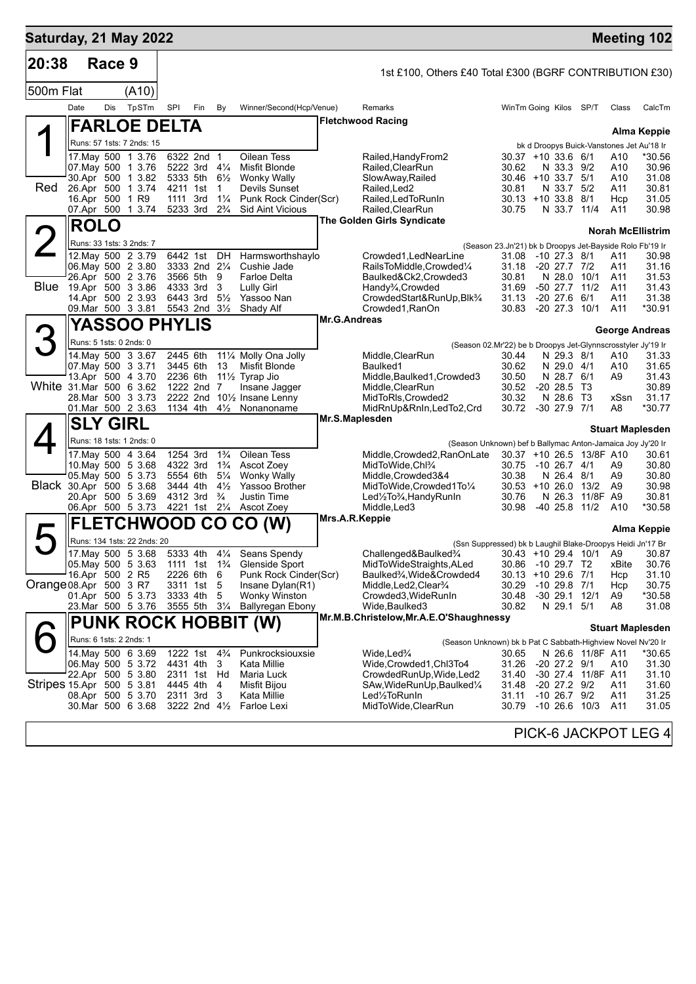| Saturday, 21 May 2022     |                 |        |                                          |                      |                                        |                                  |                                              |                     |                                                                                                        |                                                          |              |                              |                                    |                        | <b>Meeting 102</b>                                       |
|---------------------------|-----------------|--------|------------------------------------------|----------------------|----------------------------------------|----------------------------------|----------------------------------------------|---------------------|--------------------------------------------------------------------------------------------------------|----------------------------------------------------------|--------------|------------------------------|------------------------------------|------------------------|----------------------------------------------------------|
| 20:38                     |                 | Race 9 |                                          |                      |                                        |                                  |                                              |                     | 1st £100, Others £40 Total £300 (BGRF CONTRIBUTION £30)                                                |                                                          |              |                              |                                    |                        |                                                          |
| 500m Flat                 |                 |        | (A10)                                    |                      |                                        |                                  |                                              |                     |                                                                                                        |                                                          |              |                              |                                    |                        |                                                          |
|                           | Date            | Dis    | TpSTm                                    | SPI                  | Fin                                    | By                               | Winner/Second(Hcp/Venue)                     |                     | Remarks                                                                                                | WinTm Going Kilos SP/T                                   |              |                              |                                    | Class                  | CalcTm                                                   |
|                           |                 |        | <b>FARLOE DELTA</b>                      |                      |                                        |                                  |                                              |                     | <b>Fletchwood Racing</b>                                                                               |                                                          |              |                              |                                    |                        |                                                          |
|                           |                 |        | Runs: 57 1sts: 7 2nds: 15                |                      |                                        |                                  |                                              |                     |                                                                                                        |                                                          |              |                              |                                    |                        | Alma Keppie<br>bk d Droopys Buick-Vanstones Jet Au'18 Ir |
|                           |                 |        | 17. May 500 1 3.76                       |                      | 6322 2nd 1                             |                                  | Oilean Tess                                  |                     | Railed, Handy From 2                                                                                   | $30.37 + 10.33.6$ 6/1                                    |              |                              |                                    | A10                    | *30.56                                                   |
|                           |                 |        | 07 May 500 1 3.76                        |                      | 5222 3rd 41/4                          |                                  | Misfit Blonde                                |                     | Railed, ClearRun                                                                                       | 30.62                                                    |              | N 33.3 9/2                   |                                    | A10                    | 30.96                                                    |
| Red                       |                 |        | 30.Apr 500 1 3.82<br>26.Apr 500 1 3.74   | 5333 5th<br>4211 1st |                                        | $6\frac{1}{2}$<br>$\overline{1}$ | <b>Wonky Wally</b><br>Devils Sunset          |                     | SlowAway, Railed<br>Railed, Led <sub>2</sub>                                                           | 30.46 +10 33.7 5/1<br>30.81                              |              | N 33.7 5/2                   |                                    | A10<br>A11             | 31.08<br>30.81                                           |
|                           | 16.Apr 500 1 R9 |        |                                          | 1111 3rd             |                                        | $1\frac{1}{4}$                   | Punk Rock Cinder(Scr)                        |                     | Railed, Led To Run In                                                                                  | $30.13 + 10.33.8$                                        |              |                              | 8/1                                | Hcp                    | 31.05                                                    |
|                           |                 |        | 07.Apr 500 1 3.74                        | 5233 3rd             |                                        | $2\frac{3}{4}$                   | <b>Sid Aint Vicious</b>                      |                     | Railed, ClearRun<br>The Golden Girls Syndicate                                                         | 30.75                                                    |              | N 33.7 11/4                  |                                    | A11                    | 30.98                                                    |
|                           | <b>ROLO</b>     |        |                                          |                      |                                        |                                  |                                              |                     |                                                                                                        |                                                          |              |                              |                                    |                        | <b>Norah McEllistrim</b>                                 |
|                           |                 |        | Runs: 33 1sts: 3 2nds: 7                 |                      |                                        |                                  |                                              |                     |                                                                                                        | (Season 23.Jn'21) bk b Droopys Jet-Bayside Rolo Fb'19 Ir |              |                              |                                    |                        |                                                          |
|                           |                 |        | 12. May 500 2 3.79<br>06. May 500 2 3.80 | 6442 1st             | 3333 2nd 21/4                          | DH                               | Harmsworthshaylo<br>Cushie Jade              |                     | Crowded1, LedNearLine<br>RailsToMiddle,Crowded1/4                                                      | 31.08<br>31.18                                           | -10 27.3 8/1 | -20 27.7 7/2                 |                                    | A11<br>A11             | 30.98<br>31.16                                           |
|                           |                 |        | 26.Apr 500 2 3.76                        |                      | 3566 5th                               | 9                                | Farloe Delta                                 |                     | Baulked&Ck2,Crowded3                                                                                   | 30.81                                                    |              | N 28.0 10/1                  |                                    | A11                    | 31.53                                                    |
| Blue                      |                 |        | 19.Apr 500 3 3.86                        |                      | 4333 3rd                               | 3                                | Lully Girl                                   |                     | Handy <sup>3</sup> / <sub>4</sub> , Crowded                                                            | 31.69                                                    |              | -50 27.7 11/2                |                                    | A11                    | 31.43                                                    |
|                           |                 |        | 14.Apr 500 2 3.93<br>09. Mar 500 3 3.81  | 6443 3rd             | 5543 2nd 31/2                          | $5\frac{1}{2}$                   | Yassoo Nan<br>Shady Alf                      |                     | CrowdedStart&RunUp,Blk3/4<br>Crowded1, RanOn                                                           | 31.13<br>30.83                                           |              | $-2027.6$<br>$-20$ 27.3 10/1 | 6/1                                | A11<br>A11             | 31.38<br>*30.91                                          |
|                           |                 |        | <b>YASSOO PHYLIS</b>                     |                      |                                        |                                  |                                              | <b>Mr.G.Andreas</b> |                                                                                                        |                                                          |              |                              |                                    |                        |                                                          |
|                           |                 |        | Runs: 5 1sts: 0 2nds: 0                  |                      |                                        |                                  |                                              |                     |                                                                                                        |                                                          |              |                              |                                    |                        | George Andreas                                           |
|                           |                 |        | 14 May 500 3 3.67                        | 2445 6th             |                                        |                                  | 111⁄4 Molly Ona Jolly                        |                     | (Season 02.Mr'22) be b Droopys Jet-Glynnscrosstyler Jy'19 Ir<br>Middle, ClearRun                       | 30.44                                                    |              | N 29.3 8/1                   |                                    | A10                    | 31.33                                                    |
|                           |                 |        | 07 May 500 3 3.71                        | 3445 6th             |                                        | 13                               | Misfit Blonde                                |                     | Baulked1                                                                                               | 30.62                                                    |              | N 29.0 4/1                   |                                    | A10                    | 31.65                                                    |
| White 31. Mar 500 6 3.62  |                 |        | 13.Apr 500 4 3.70                        | 2236 6th             | 1222 2nd                               | 7                                | 111/ <sub>2</sub> Tyrap Jio<br>Insane Jagger |                     | Middle, Baulked1, Crowded3<br>Middle, ClearRun                                                         | 30.50<br>30.52                                           |              | N 28.7 6/1<br>$-2028.5$      | T3                                 | A9                     | 31.43<br>30.89                                           |
|                           |                 |        | 28. Mar 500 3 3.73                       |                      |                                        |                                  | 2222 2nd 101/2 Insane Lenny                  |                     | MidToRIs, Crowded2                                                                                     | 30.32                                                    |              | N 28.6 T3                    |                                    | xSsn                   | 31.17                                                    |
|                           |                 |        | 01.Mar 500 2 3.63                        |                      | 1134 4th                               |                                  | 41/ <sub>2</sub> Nonanoname                  | Mr.S.Maplesden      | MidRnUp&RnIn,LedTo2,Crd                                                                                | 30.72                                                    |              | -30 27.9 7/1                 |                                    | A8                     | *30.77                                                   |
|                           | <b>SLY GIRL</b> |        |                                          |                      |                                        |                                  |                                              |                     |                                                                                                        |                                                          |              |                              |                                    |                        | <b>Stuart Maplesden</b>                                  |
|                           |                 |        | Runs: 18 1sts: 1 2nds: 0                 |                      |                                        |                                  |                                              |                     | (Season Unknown) bef b Ballymac Anton-Jamaica Joy Jy'20 Ir                                             |                                                          |              |                              |                                    |                        |                                                          |
|                           |                 |        | 17. May 500 4 3.64<br>10. May 500 5 3.68 | 1254 3rd<br>4322 3rd |                                        | $1\frac{3}{4}$<br>$1\frac{3}{4}$ | Oilean Tess<br>Ascot Zoey                    |                     | Middle, Crowded2, RanOnLate<br>MidToWide, Chl <sup>3</sup> / <sub>4</sub>                              | 30.37 +10 26.5 13/8F A10<br>30.75 -10 26.7 4/1           |              |                              |                                    | A9                     | 30.61<br>30.80                                           |
|                           |                 |        | 05. May 500 5 3.73                       | 5554 6th             |                                        | $5\frac{1}{4}$                   | Wonky Wally                                  |                     | Middle, Crowded 3&4                                                                                    | 30.38                                                    |              | N 26.4 8/1                   |                                    | A9                     | 30.80                                                    |
| Black 30.Apr 500 5 3.68   |                 |        |                                          | 3444 4th             |                                        | $4\frac{1}{2}$                   | Yassoo Brother<br>Justin Time                |                     | MidToWide,Crowded1To1/4                                                                                | $30.53 + 10.26.0$ 13/2                                   |              |                              |                                    | A9                     | 30.98                                                    |
|                           |                 |        | 20.Apr 500 5 3.69<br>06.Apr 500 5 3.73   |                      | 4312 3rd<br>4221 1st 21/4              | $\frac{3}{4}$                    | Ascot Zoey                                   |                     | Led $\frac{1}{2}$ To $\frac{3}{4}$ , Handy Runln<br>Middle, Led3                                       | 30.76<br>30.98                                           |              |                              | N 26.3 11/8F A9<br>$-40$ 25.8 11/2 | A10                    | 30.81<br>*30.58                                          |
|                           |                 |        |                                          |                      |                                        |                                  | <b>FLETCHWOOD CO CO (W)</b>                  | Mrs.A.R.Keppie      |                                                                                                        |                                                          |              |                              |                                    |                        |                                                          |
|                           |                 |        | Runs: 134 1sts: 22 2nds: 20              |                      |                                        |                                  |                                              |                     |                                                                                                        |                                                          |              |                              |                                    |                        | Alma Keppie                                              |
|                           |                 |        | 17. May 500 5 3.68                       |                      | 5333 4th                               | $4\frac{1}{4}$                   | Seans Spendy                                 |                     | (Ssn Suppressed) bk b Laughil Blake-Droopys Heidi Jn'17 Br<br>Challenged&Baulked <sup>3</sup> /4       |                                                          |              |                              |                                    | 30.43 +10 29.4 10/1 A9 | 30.87                                                    |
|                           |                 |        | 05. May 500 5 3.63                       |                      | 1111 1st 1 <sup>3</sup> / <sub>4</sub> |                                  | Glenside Sport                               |                     | MidToWideStraights, ALed                                                                               | 30.86 -10 29.7 T2                                        |              |                              |                                    | xBite                  | 30.76                                                    |
| $Oranqe08.$ Apr 500 3 R7  | 16.Apr 500 2 R5 |        |                                          |                      | 2226 6th<br>3311 1st                   | 6<br>5                           | Punk Rock Cinder(Scr)<br>Insane Dylan(R1)    |                     | Baulked <sup>3</sup> / <sub>4</sub> , Wide&Crowded4<br>Middle, Led2, Clear <sup>3</sup> / <sub>4</sub> | 30.13 +10 29.6 7/1<br>30.29                              |              | $-10$ 29.8 $7/1$             |                                    | Hcp<br>Hcp             | 31.10<br>30.75                                           |
|                           |                 |        | 01.Apr 500 5 3.73                        |                      | 3333 4th                               | 5                                | Wonky Winston                                |                     | Crowded3, WideRunIn                                                                                    | 30.48                                                    |              | $-30$ 29.1 12/1              |                                    | A9                     | *30.58                                                   |
|                           |                 |        | 23. Mar 500 5 3.76                       |                      |                                        |                                  | 3555 5th 31/4 Ballyregan Ebony               |                     | Wide, Baulked 3                                                                                        | 30.82                                                    |              | N 29.1 5/1                   |                                    | A8                     | 31.08                                                    |
|                           |                 |        |                                          |                      |                                        |                                  | <b>PUNK ROCK HOBBIT (W)</b>                  |                     | Mr.M.B.Christelow, Mr.A.E.O'Shaughnessy                                                                |                                                          |              |                              |                                    |                        | <b>Stuart Maplesden</b>                                  |
|                           |                 |        | Runs: 6 1sts: 2 2nds: 1                  |                      |                                        |                                  |                                              |                     | (Season Unknown) bk b Pat C Sabbath-Highview Novel Nv'20 Ir                                            |                                                          |              |                              |                                    |                        |                                                          |
|                           |                 |        | 14. May 500 6 3.69                       |                      | 1222 1st 4 <sup>3</sup> / <sub>4</sub> |                                  | Punkrocksiouxsie<br>Kata Millie              |                     | Wide, Led <sup>3</sup> / <sub>4</sub>                                                                  | 30.65<br>31.26                                           |              |                              | N 26.6 11/8F A11                   |                        | *30.65                                                   |
|                           |                 |        | 06. May 500 5 3.72<br>22.Apr 500 5 3.80  |                      | 4431 4th 3<br>2311 1st Hd              |                                  | Maria Luck                                   |                     | Wide,Crowded1,Chl3To4<br>CrowdedRunUp, Wide, Led2                                                      | 31.40                                                    |              | $-20$ 27.2 $9/1$             | -30 27.4 11/8F A11                 | A10                    | 31.30<br>31.10                                           |
| Stripes 15.Apr 500 5 3.81 |                 |        |                                          | 4445 4th             |                                        | -4                               | Misfit Bijou                                 |                     | SAw, WideRunUp, Baulked <sup>1/4</sup>                                                                 | 31.48                                                    |              | $-20$ 27.2 $9/2$             |                                    | A11                    | 31.60                                                    |
|                           |                 |        | 08.Apr 500 5 3.70<br>30.Mar 500 6 3.68   |                      | 2311 3rd                               | 3                                | Kata Millie<br>3222 2nd 41/2 Farloe Lexi     |                     | Led <sup>1</sup> / <sub>2</sub> ToRunIn<br>MidToWide, ClearRun                                         | 31.11<br>30.79                                           |              | $-10$ 26.7 $9/2$             | $-10266$ 10/3                      | A11<br>A11             | 31.25<br>31.05                                           |
|                           |                 |        |                                          |                      |                                        |                                  |                                              |                     |                                                                                                        |                                                          |              |                              |                                    |                        |                                                          |
|                           |                 |        |                                          |                      |                                        |                                  |                                              |                     |                                                                                                        |                                                          |              |                              |                                    |                        | PICK-6 JACKPOT LEG 4                                     |
|                           |                 |        |                                          |                      |                                        |                                  |                                              |                     |                                                                                                        |                                                          |              |                              |                                    |                        |                                                          |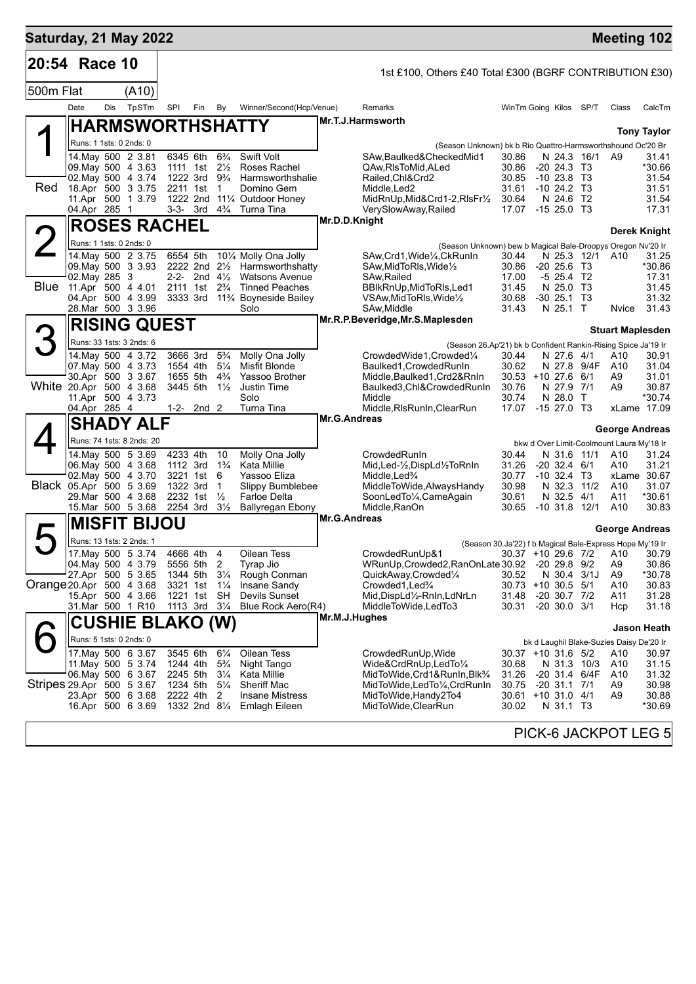| Saturday, 21 May 2022     |                                         |     |                                                |          |                                        |                                  |                                                   |                     |                                                                                             |                             |                                           |                   | <b>Meeting 102</b>                                       |                     |
|---------------------------|-----------------------------------------|-----|------------------------------------------------|----------|----------------------------------------|----------------------------------|---------------------------------------------------|---------------------|---------------------------------------------------------------------------------------------|-----------------------------|-------------------------------------------|-------------------|----------------------------------------------------------|---------------------|
| 20:54 Race 10             |                                         |     |                                                |          |                                        |                                  |                                                   |                     | 1st £100, Others £40 Total £300 (BGRF CONTRIBUTION £30)                                     |                             |                                           |                   |                                                          |                     |
| 500m Flat                 |                                         |     | (A10)                                          |          |                                        |                                  |                                                   |                     |                                                                                             |                             |                                           |                   |                                                          |                     |
|                           | Date                                    | Dis | TpSTm                                          | SPI      | Fin                                    | By                               | Winner/Second(Hcp/Venue)                          |                     | Remarks                                                                                     | WinTm Going Kilos SP/T      |                                           |                   | Class                                                    | CalcTm              |
|                           |                                         |     | <b>HARMSWORTHSHATTY</b>                        |          |                                        |                                  |                                                   |                     | Mr.T.J.Harmsworth                                                                           |                             |                                           |                   |                                                          |                     |
|                           | Runs: 1 1sts: 0 2nds: 0                 |     |                                                |          |                                        |                                  |                                                   |                     |                                                                                             |                             |                                           |                   |                                                          | <b>Tony Taylor</b>  |
|                           |                                         |     | 14. May 500 2 3.81                             | 6345 6th |                                        | $6\frac{3}{4}$                   | <b>Swift Volt</b>                                 |                     | (Season Unknown) bk b Rio Quattro-Harmsworthshound Oc'20 Br<br>SAw, Baulked& Checked Mid1   | 30.86                       |                                           | N 24.3 16/1       | A9                                                       | 31.41               |
|                           | 09 May 500 4 3.63                       |     |                                                |          | 1111 1st 21/ <sub>2</sub>              |                                  | Roses Rachel                                      |                     | QAw, RIs To Mid, ALed                                                                       | 30.86                       | $-20$ 24.3 T <sub>3</sub>                 |                   |                                                          | *30.66              |
| Red                       | 02. May 500 4 3.74<br>18.Apr 500 3 3.75 |     |                                                |          | 1222 3rd<br>2211 1st                   | 9¾<br>$\overline{1}$             | Harmsworthshalie<br>Domino Gem                    |                     | Railed, Chl&Crd2<br>Middle, Led <sub>2</sub>                                                | 30.85<br>31.61              | $-1023.8$ T3<br>$-10$ 24.2 T <sub>3</sub> |                   |                                                          | 31.54<br>31.51      |
|                           |                                         |     | 11.Apr 500 1 3.79                              |          |                                        |                                  | 1222 2nd 111/4 Outdoor Honey                      |                     | MidRnUp, Mid&Crd1-2, RIsFr1/2                                                               | 30.64                       | N 24.6 T2                                 |                   |                                                          | 31.54               |
|                           | 04.Apr 285 1                            |     |                                                |          |                                        |                                  | 3-3- 3rd 4 <sup>3</sup> / <sub>4</sub> Turna Tina |                     | VerySlowAway, Railed                                                                        | 17.07 -15 25.0 T3           |                                           |                   |                                                          | 17.31               |
|                           |                                         |     | <b>ROSES RACHEL</b>                            |          |                                        |                                  |                                                   | Mr.D.D.Knight       |                                                                                             |                             |                                           |                   |                                                          | <b>Derek Knight</b> |
|                           | Runs: 1 1sts: 0 2nds: 0                 |     |                                                |          |                                        |                                  |                                                   |                     | (Season Unknown) bew b Magical Bale-Droopys Oregon Nv'20 Ir                                 |                             |                                           |                   |                                                          |                     |
|                           | 09 May 500 3 3 93                       |     | 14.May 500 2 3.75                              | 6554 5th | 2222 2nd $2\frac{1}{2}$                |                                  | 101/4 Molly Ona Jolly<br>Harmsworthshatty         |                     | SAw, Crd1, Wide <sup>1</sup> / <sub>4</sub> , CkRunIn<br>SAw, MidToRIs, Wide <sup>1/2</sup> | 30.44<br>30.86              | $-20, 25.6$ T <sub>3</sub>                | N 25.3 12/1       | A10                                                      | 31.25<br>*30.86     |
|                           | 02. May 285 3                           |     |                                                |          | 2-2- 2nd $4\frac{1}{2}$                |                                  | <b>Watsons Avenue</b>                             |                     | SAw, Railed                                                                                 | 17.00                       | $-5$ 25.4 T2                              |                   |                                                          | 17.31               |
|                           | Blue 11.Apr 500 4 4.01                  |     |                                                |          | 2111 1st 2 <sup>3</sup> / <sub>4</sub> |                                  | <b>Tinned Peaches</b>                             |                     | BBIkRnUp, MidToRIs, Led1                                                                    | 31.45                       | N 25.0                                    | T3                |                                                          | 31.45               |
|                           | 04.Apr 500 4 3.99<br>28. Mar 500 3 3.96 |     |                                                |          | 3333 3rd                               |                                  | 11% Boyneside Bailey<br>Solo                      |                     | VSAw, MidToRIs, Wide <sup>1</sup> / <sub>2</sub><br>SAw, Middle                             | 30.68<br>31.43              | $-30$ 25.1<br>N 25.1 T                    | T3                | Nvice                                                    | 31.32<br>31.43      |
|                           |                                         |     | <b>RISING QUEST</b>                            |          |                                        |                                  |                                                   |                     | Mr.R.P.Beveridge, Mr.S.Maplesden                                                            |                             |                                           |                   |                                                          |                     |
|                           |                                         |     |                                                |          |                                        |                                  |                                                   |                     |                                                                                             |                             |                                           |                   | <b>Stuart Maplesden</b>                                  |                     |
|                           |                                         |     | Runs: 33 1sts: 3 2nds: 6<br>14. May 500 4 3.72 |          | 3666 3rd                               | $5\frac{3}{4}$                   | Molly Ona Jolly                                   |                     | (Season 26.Ap'21) bk b Confident Rankin-Rising Spice Ja'19 Ir<br>CrowdedWide1,Crowded1/4    |                             |                                           |                   |                                                          | 30.91               |
|                           | 07 May 500 4 3.73                       |     |                                                | 1554 4th |                                        | $5\frac{1}{4}$                   | Misfit Blonde                                     |                     | Baulked1, Crowded RunIn                                                                     | 30.44<br>30.62              | N 27.6 4/1                                | N 27.8 9/4F       | A10<br>A10                                               | 31.04               |
|                           | 30.Apr 500 3 3.67                       |     |                                                | 1655 5th |                                        | $4\frac{3}{4}$                   | Yassoo Brother                                    |                     | Middle, Baulked1, Crd2&RnIn                                                                 | $30.53 + 10.27.6$ 6/1       |                                           |                   | A9                                                       | 31.01               |
| White 20.Apr 500 4 3.68   | 11.Apr 500 4 3.73                       |     |                                                | 3445 5th |                                        | $1\frac{1}{2}$                   | Justin Time<br>Solo                               |                     | Baulked3, Chl&Crowded RunIn<br>Middle                                                       | 30.76<br>30.74              | N 27.9 7/1<br>N 28.0 T                    |                   | A9                                                       | 30.87<br>*30.74     |
|                           | 04.Apr 285 4                            |     |                                                |          | 1-2- $2nd$ 2                           |                                  | Turna Tina                                        |                     | Middle, RIs RunIn, Clear Run                                                                | 17.07                       | $-1527.0$ T3                              |                   | xLame 17.09                                              |                     |
|                           |                                         |     | <b>SHADY ALF</b>                               |          |                                        |                                  |                                                   | Mr.G.Andreas        |                                                                                             |                             |                                           |                   | <b>George Andreas</b>                                    |                     |
|                           |                                         |     | Runs: 74 1sts: 8 2nds: 20                      |          |                                        |                                  |                                                   |                     |                                                                                             |                             |                                           |                   | bkw d Over Limit-Coolmount Laura My'18 Ir                |                     |
|                           |                                         |     | 14 May 500 5 3.69                              | 4233 4th |                                        | 10                               | Molly Ona Jolly                                   |                     | CrowdedRunIn                                                                                | 30.44                       |                                           | N 31.6 11/1       | A10                                                      | 31.24               |
|                           | 06. May 500 4 3.68                      |     |                                                |          | 1112 3rd                               | $1\frac{3}{4}$                   | Kata Millie                                       |                     | Mid, Led-1/2, DispLd1/2ToRnIn                                                               | 31.26                       | $-20$ 32.4 $6/1$                          |                   | A10                                                      | 31.21               |
| Black 05.Apr 500 5 3.69   | 02. May 500 4 3.70                      |     |                                                | 1322 3rd | 3221 1st                               | - 6<br>$\mathbf 1$               | Yassoo Eliza<br>Slippy Bumblebee                  |                     | Middle, Led <sup>3</sup> /4<br>MiddleToWide, Always Handy                                   | 30.77<br>30.98              | $-10, 32.4$ T3<br>N 32.3                  | 11/2              | xLame 30.67<br>A10                                       | 31.07               |
|                           | 29. Mar 500 4 3.68                      |     |                                                | 2232 1st |                                        | $\frac{1}{2}$                    | <b>Farloe Delta</b>                               |                     | SoonLedTo1/4, CameAgain                                                                     | 30.61                       | N 32.5 4/1                                |                   | A11                                                      | *30.61              |
|                           | 15.Mar 500 5 3.68                       |     |                                                | 2254 3rd |                                        | $3\frac{1}{2}$                   | Ballyregan Ebony                                  | <b>Mr.G.Andreas</b> | Middle, RanOn                                                                               | 30.65                       | $-10$ 31.8 12/1                           |                   | A10                                                      | 30.83               |
|                           |                                         |     | <b>MISFIT BIJOU</b>                            |          |                                        |                                  |                                                   |                     |                                                                                             |                             |                                           |                   | George Andreas                                           |                     |
|                           | Runs: 13 1sts: 2 2nds: 1                |     |                                                |          |                                        |                                  |                                                   |                     |                                                                                             |                             |                                           |                   | (Season 30.Ja'22) f b Magical Bale-Express Hope My'19 Ir |                     |
|                           | 04 May 500 4 3.79                       |     | 17. May 500 5 3.74                             |          | 4666 4th<br>5556 5th                   | 4<br>2                           | Oilean Tess<br>Tyrap Jio                          |                     | CrowdedRunUp&1<br>WRunUp, Crowded 2, RanOnLate 30.92 - 20 29.8 9/2                          |                             |                                           |                   | 30.37 +10 29.6 7/2 A10 30.79<br>A9                       | 30.86               |
|                           | 27.Apr 500 5 3.65                       |     |                                                |          | 1344 5th                               | $3\frac{1}{4}$                   | Rough Conman                                      |                     | QuickAway,Crowded1/4                                                                        | 30.52                       | N 30.4 3/1J                               |                   | A9                                                       | *30.78              |
| Orange 20.Apr 500 4 3.68  |                                         |     |                                                | 3321 1st |                                        | $1\frac{1}{4}$                   | Insane Sandy                                      |                     | Crowded1, Led <sup>3</sup> / <sub>4</sub>                                                   | 30.73 +10 30.5 5/1          |                                           |                   | A10                                                      | 30.83               |
|                           | 15.Apr 500 4 3.66<br>31.Mar 500 1 R10   |     |                                                | 1221 1st | 1113 3rd                               | <b>SH</b><br>$3\frac{1}{4}$      | Devils Sunset<br>Blue Rock Aero(R4)               |                     | Mid, DispLd1/2-RnIn, LdNrLn<br>MiddleToWide,LedTo3                                          | 31.48<br>30.31              | $-20$ 30.7 $7/2$<br>$-20$ 30.0 3/1        |                   | A11<br>Hcp                                               | 31.28<br>31.18      |
|                           |                                         |     |                                                |          |                                        |                                  |                                                   | Mr.M.J.Hughes       |                                                                                             |                             |                                           |                   |                                                          |                     |
|                           |                                         |     | <b>CUSHIE BLAKO (W)</b>                        |          |                                        |                                  |                                                   |                     |                                                                                             |                             |                                           |                   |                                                          | Jason Heath         |
|                           | Runs: 5 1sts: 0 2nds: 0                 |     | 17 May 500 6 3.67                              | 3545 6th |                                        |                                  | Oilean Tess                                       |                     | CrowdedRunUp, Wide                                                                          |                             |                                           |                   | bk d Laughil Blake-Suzies Daisy De'20 Ir<br>A10          | 30.97               |
|                           |                                         |     | 11. May 500 5 3.74                             | 1244 4th |                                        | $6\frac{1}{4}$<br>$5\frac{3}{4}$ | Night Tango                                       |                     | Wide&CrdRnUp,LedTo1/4                                                                       | 30.37 +10 31.6 5/2<br>30.68 |                                           | N 31.3 10/3       | A10                                                      | 31.15               |
|                           | 06. May 500 6 3.67                      |     |                                                | 2245 5th |                                        | $3\frac{1}{4}$                   | Kata Millie                                       |                     | MidToWide,Crd1&RunIn,Blk <sup>3</sup> /4                                                    | 31.26                       |                                           | $-20$ 31.4 $6/4F$ | A10                                                      | 31.32               |
| Stripes 29.Apr 500 5 3.67 |                                         |     | 23.Apr 500 6 3.68                              |          | 1234 5th<br>2222 4th                   | $5\frac{1}{4}$<br>2              | <b>Sheriff Mac</b><br><b>Insane Mistress</b>      |                     | MidToWide,LedTo¼,CrdRunIn<br>MidToWide, Handy 2To4                                          | 30.75<br>30.61 +10 31.0 4/1 | $-20$ 31.1 $7/1$                          |                   | A9<br>A9                                                 | 30.98<br>30.88      |
|                           |                                         |     | 16.Apr 500 6 3.69                              |          | 1332 2nd 81/4                          |                                  | <b>Emlagh Eileen</b>                              |                     | MidToWide, ClearRun                                                                         | 30.02                       | N 31.1 T3                                 |                   |                                                          | *30.69              |
|                           |                                         |     |                                                |          |                                        |                                  |                                                   |                     |                                                                                             |                             |                                           |                   |                                                          |                     |
|                           |                                         |     |                                                |          |                                        |                                  |                                                   |                     |                                                                                             |                             |                                           |                   | PICK-6 JACKPOT LEG 5                                     |                     |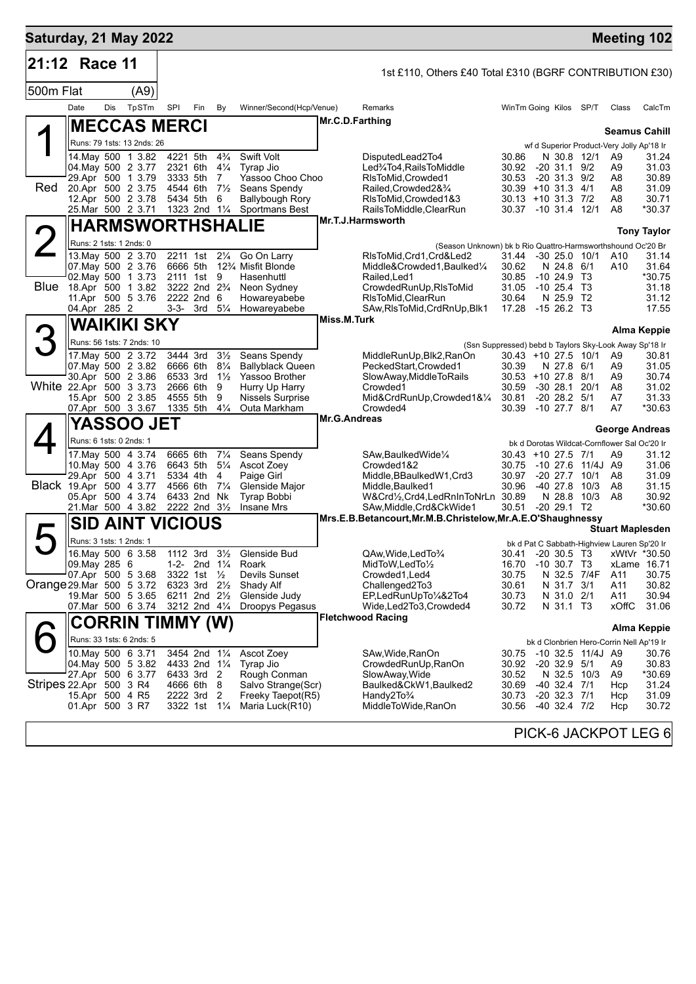| Saturday, 21 May 2022    |                                    |     |                                              |                      |                                         |                                  |                                                             |                     |                                                             |                                |                                  |                   | <b>Meeting 102</b>                                                     |                    |
|--------------------------|------------------------------------|-----|----------------------------------------------|----------------------|-----------------------------------------|----------------------------------|-------------------------------------------------------------|---------------------|-------------------------------------------------------------|--------------------------------|----------------------------------|-------------------|------------------------------------------------------------------------|--------------------|
| 21:12                    | Race 11                            |     |                                              |                      |                                         |                                  |                                                             |                     | 1st £110, Others £40 Total £310 (BGRF CONTRIBUTION £30)     |                                |                                  |                   |                                                                        |                    |
| 500m Flat                |                                    |     | (A9)                                         |                      |                                         |                                  |                                                             |                     |                                                             |                                |                                  |                   |                                                                        |                    |
|                          | Date                               | Dis | TpSTm                                        | SPI                  | Fin                                     | By                               | Winner/Second(Hcp/Venue)                                    |                     | Remarks                                                     | WinTm Going Kilos              |                                  | SP/T              | Class                                                                  | CalcTm             |
|                          |                                    |     | <b>MECCAS MERCI</b>                          |                      |                                         |                                  |                                                             | Mr.C.D.Farthing     |                                                             |                                |                                  |                   |                                                                        |                    |
|                          |                                    |     | Runs: 79 1sts: 13 2nds: 26                   |                      |                                         |                                  |                                                             |                     |                                                             |                                |                                  |                   | <b>Seamus Cahill</b>                                                   |                    |
|                          |                                    |     | 14. May 500 1 3.82                           | 4221 5th             |                                         | $4\frac{3}{4}$                   | Swift Volt                                                  |                     | DisputedLead2To4                                            | 30.86                          | N 30.8 12/1                      |                   | wf d Superior Product-Very Jolly Ap'18 Ir<br>A9                        | 31.24              |
|                          |                                    |     | 04. May 500 2 3.77                           | 2321 6th             |                                         | $4\frac{1}{4}$                   | Tyrap Jio                                                   |                     | Led%To4,RailsToMiddle                                       | 30.92                          | -20 31.1                         | 9/2               | A9                                                                     | 31.03              |
| Red                      |                                    |     | 29.Apr 500 1 3.79<br>20.Apr 500 2 3.75       | 3333 5th<br>4544 6th |                                         | 7<br>$7\frac{1}{2}$              | Yassoo Choo Choo<br>Seans Spendy                            |                     | RIsToMid, Crowded1<br>Railed, Crowded 2& 3/4                | 30.53<br>$30.39 + 10.31.3$ 4/1 | $-20$ 31.3 $9/2$                 |                   | A8<br>A8                                                               | 30.89<br>31.09     |
|                          |                                    |     | 12.Apr 500 2 3.78                            |                      | 5434 5th                                | 6                                | <b>Ballybough Rory</b>                                      |                     | RIsToMid, Crowded 1&3                                       | $30.13 + 10.31.3$ 7/2          |                                  |                   | A8                                                                     | 30.71              |
|                          |                                    |     | 25. Mar 500 2 3.71                           |                      | 1323 2nd 11/4                           |                                  | <b>Sportmans Best</b>                                       |                     | RailsToMiddle, ClearRun<br>Mr.T.J.Harmsworth                | 30.37 -10 31.4 12/1            |                                  |                   | A8                                                                     | *30.37             |
|                          |                                    |     | <b>HARMSWORTHSHALIE</b>                      |                      |                                         |                                  |                                                             |                     |                                                             |                                |                                  |                   |                                                                        | <b>Tony Taylor</b> |
|                          | Runs: 2 1sts: 1 2nds: 0            |     |                                              |                      |                                         |                                  |                                                             |                     | (Season Unknown) bk b Rio Quattro-Harmsworthshound Oc'20 Br |                                |                                  |                   |                                                                        |                    |
|                          |                                    |     | 13. May 500 2 3.70<br>07. May 500 2 3.76     | 6666 5th             | 2211 1st                                | $2\frac{1}{4}$                   | Go On Larry<br>12 <sup>3</sup> / <sub>4</sub> Misfit Blonde |                     | RIsToMid, Crd1, Crd&Led2<br>Middle&Crowded1, Baulked1/4     | 31.44<br>30.62                 | $-30$ 25.0 10/1<br>N 24.8 6/1    |                   | A10<br>A10                                                             | 31.14<br>31.64     |
|                          |                                    |     | 02. May 500 1 3.73                           |                      | 2111 1st 9                              |                                  | Hasenhuttl                                                  |                     | Railed, Led1                                                | 30.85                          | $-10, 24.9$ T <sub>3</sub>       |                   |                                                                        | *30.75             |
| Blue                     |                                    |     | 18.Apr 500 1 3.82                            |                      | 3222 2nd 2 <sup>3</sup> / <sub>4</sub>  |                                  | Neon Sydney<br>Howareyabebe                                 |                     | CrowdedRunUp, RIsToMid<br>RIsToMid, ClearRun                | 31.05<br>30.64                 | -10 25.4                         | Т3                |                                                                        | 31.18              |
|                          | 04.Apr 285 2                       |     | 11.Apr 500 5 3.76                            |                      | 2222 2nd 6<br>$3-3-3$ rd $5\frac{1}{4}$ |                                  | Howareyabebe                                                |                     | SAw, RIsToMid, CrdRnUp, Blk1                                | 17.28                          | N 25.9 T2<br>$-1526.2$ T3        |                   |                                                                        | 31.12<br>17.55     |
|                          |                                    |     | WAIKIKI SKY                                  |                      |                                         |                                  |                                                             | Miss.M.Turk         |                                                             |                                |                                  |                   |                                                                        |                    |
|                          |                                    |     | Runs: 56 1sts: 7 2nds: 10                    |                      |                                         |                                  |                                                             |                     |                                                             |                                |                                  |                   | (Ssn Suppressed) bebd b Taylors Sky-Look Away Sp'18 Ir                 | Alma Keppie        |
|                          |                                    |     | 17. May 500 2 3.72                           |                      | 3444 3rd                                | $3\frac{1}{2}$                   | Seans Spendy                                                |                     | MiddleRunUp, Blk2, RanOn                                    | $30.43 + 1027.51011$           |                                  |                   | A9                                                                     | 30.81              |
|                          |                                    |     | 07. May 500 2 3.82                           | 6666 6th             |                                         | $8\frac{1}{4}$                   | <b>Ballyblack Queen</b>                                     |                     | PeckedStart, Crowded1                                       | 30.39                          | N 27.8 6/1                       |                   | A9                                                                     | 31.05              |
|                          |                                    |     | 30.Apr 500 2 3.86<br>White 22.Apr 500 3 3.73 | 6533 3rd             | 2666 6th                                | $1\frac{1}{2}$<br>9              | Yassoo Brother<br>Hurry Up Harry                            |                     | SlowAway, MiddleToRails<br>Crowded1                         | $30.53 + 10.27.8$ 8/1<br>30.59 | $-3028.1$                        | 20/1              | A9<br>A8                                                               | 30.74<br>31.02     |
|                          |                                    |     | 15.Apr 500 2 3.85                            | 4555 5th             |                                         | 9                                | <b>Nissels Surprise</b>                                     |                     | Mid&CrdRunUp,Crowded1&1/4                                   | 30.81                          | $-20$ 28.2 $5/1$                 |                   | A7                                                                     | 31.33              |
|                          |                                    |     | 07.Apr 500 3 3.67                            | 1335 5th             |                                         | $4\frac{1}{4}$                   | Outa Markham                                                | <b>Mr.G.Andreas</b> | Crowded4                                                    | 30.39                          | $-10$ 27.7 $8/1$                 |                   | A7                                                                     | *30.63             |
|                          |                                    |     | <b>YASSOO JET</b>                            |                      |                                         |                                  |                                                             |                     |                                                             |                                |                                  |                   | George Andreas                                                         |                    |
|                          | Runs: 6 1sts: 0 2nds: 1            |     |                                              |                      |                                         |                                  |                                                             |                     |                                                             |                                |                                  |                   | bk d Dorotas Wildcat-Cornflower Sal Oc'20 Ir                           |                    |
|                          |                                    |     | 17 May 500 4 3.74<br>10. May 500 4 3.76      |                      | 6665 6th<br>6643 5th                    | $7\frac{1}{4}$<br>$5\frac{1}{4}$ | Seans Spendy<br>Ascot Zoey                                  |                     | SAw, Baulked Wide <sup>1/4</sup><br>Crowded1&2              | $30.43 + 1027.57$<br>30.75     |                                  | -10 27.6 11/4J A9 | A9                                                                     | 31.12<br>31.06     |
|                          |                                    |     | 29.Apr 500 4 3.71                            | 5334 4th             |                                         | 4                                | Paige Girl                                                  |                     | Middle, BBaulked W1, Crd3                                   | 30.97                          | $-20$ 27.7 $10/1$                |                   | A8                                                                     | 31.09              |
|                          | Black 19.Apr 500 4 3.77            |     | 05.Apr 500 4 3.74                            | 4566 6th             | 6433 2nd                                | $7\frac{1}{4}$<br>Nk             | Glenside Major<br>Tyrap Bobbi                               |                     | Middle, Baulked 1<br>W&Crd1/2,Crd4,LedRnInToNrLn 30.89      | 30.96                          | $-4027.8$<br>N 28.8              | 10/3<br>10/3      | A8<br>A8                                                               | 31.15<br>30.92     |
|                          |                                    |     | 21. Mar 500 4 3.82                           |                      | 2222 2nd 31/2                           |                                  | <b>Insane Mrs</b>                                           |                     | SAw, Middle, Crd&CkWide1                                    | 30.51                          | $-20$ 29.1 T <sub>2</sub>        |                   |                                                                        | *30.60             |
|                          |                                    |     | <b>SID AINT VICIOUS</b>                      |                      |                                         |                                  |                                                             |                     | Mrs.E.B.Betancourt, Mr.M.B.Christelow, Mr.A.E.O'Shaughnessy |                                |                                  |                   |                                                                        |                    |
|                          | Runs: 3 1sts: 1 2nds: 1            |     |                                              |                      |                                         |                                  |                                                             |                     |                                                             |                                |                                  |                   | <b>Stuart Maplesden</b><br>bk d Pat C Sabbath-Highview Lauren Sp'20 Ir |                    |
|                          |                                    |     | 16. May 500 6 3.58                           |                      | 1112 3rd 31/2                           |                                  | Glenside Bud                                                |                     | QAw, Wide, Led To 3/4                                       |                                |                                  |                   | 30.41 -20 30.5 T3 xWtVr *30.50                                         |                    |
|                          | 09. May 285 6                      |     |                                              |                      | 1-2- 2nd $1\frac{1}{4}$                 |                                  | Roark                                                       |                     | MidToW, LedTo1/2                                            | 16.70                          | -10 30.7 T3                      |                   | xLame 16.71                                                            |                    |
| Orange 29.Mar 500 5 3.72 |                                    |     | 07.Apr 500 5 3.68                            |                      | 3322 1st $\frac{1}{2}$<br>6323 3rd 21/2 |                                  | Devils Sunset<br>Shady Alf                                  |                     | Crowded1, Led4<br>Challenged2To3                            | 30.75<br>30.61                 | N 31.7 3/1                       | N 32.5 7/4F       | A11<br>A11                                                             | 30.75<br>30.82     |
|                          |                                    |     | 19.Mar 500 5 3.65                            |                      | 6211 2nd $2\frac{1}{2}$                 |                                  | Glenside Judy                                               |                     | EP,LedRunUpTo1/4&2To4                                       | 30.73                          | N 31.0 2/1                       |                   | A11                                                                    | 30.94              |
|                          |                                    |     | 07 Mar 500 6 3.74                            |                      | 3212 2nd 41/4                           |                                  | Droopys Pegasus                                             |                     | Wide,Led2To3,Crowded4                                       | 30.72                          | N 31.1 T <sub>3</sub>            |                   | xOffC                                                                  | 31.06              |
|                          |                                    |     | CORRIN TIMMY (W)                             |                      |                                         |                                  |                                                             |                     | <b>Fletchwood Racing</b>                                    |                                |                                  |                   |                                                                        | Alma Keppie        |
|                          |                                    |     | Runs: 33 1sts: 6 2nds: 5                     |                      |                                         |                                  |                                                             |                     |                                                             |                                |                                  |                   | bk d Clonbrien Hero-Corrin Nell Ap'19 Ir                               |                    |
|                          |                                    |     | 10. May 500 6 3.71                           |                      | 3454 2nd 11/4                           |                                  | Ascot Zoey                                                  |                     | SAw, Wide, RanOn                                            | 30.75                          |                                  | -10 32.5 11/4J A9 |                                                                        | 30.76              |
|                          |                                    |     | 04. May 500 5 3.82<br>27.Apr 500 6 3.77      |                      | 4433 2nd 11/4<br>6433 3rd 2             |                                  | Tyrap Jio<br>Rough Conman                                   |                     | CrowdedRunUp, RanOn<br>SlowAway, Wide                       | 30.92<br>30.52                 | $-20$ 32.9 $5/1$                 | N 32.5 10/3       | A9<br>A9                                                               | 30.83<br>*30.69    |
| Stripes 22.Apr 500 3 R4  |                                    |     |                                              |                      | 4666 6th 8                              |                                  | Salvo Strange(Scr)                                          |                     | Baulked&CkW1, Baulked2                                      | 30.69                          | $-40$ 32.4 $7/1$                 |                   | Hcp                                                                    | 31.24              |
|                          | 15.Apr 500 4 R5<br>01.Apr 500 3 R7 |     |                                              |                      | 2222 3rd<br>3322 1st 11/ <sub>4</sub>   | -2                               | Freeky Taepot(R5)<br>Maria Luck(R10)                        |                     | Handy2To <sup>3</sup> /4<br>MiddleToWide, RanOn             | 30.73<br>30.56                 | $-20$ 32.3 $7/1$<br>-40 32.4 7/2 |                   | Hcp<br>Hcp                                                             | 31.09<br>30.72     |
|                          |                                    |     |                                              |                      |                                         |                                  |                                                             |                     |                                                             |                                |                                  |                   |                                                                        |                    |
|                          |                                    |     |                                              |                      |                                         |                                  |                                                             |                     |                                                             |                                |                                  |                   | DICK & IACKDOT LEC A                                                   |                    |

PICK-6 JACKPOT LEG 6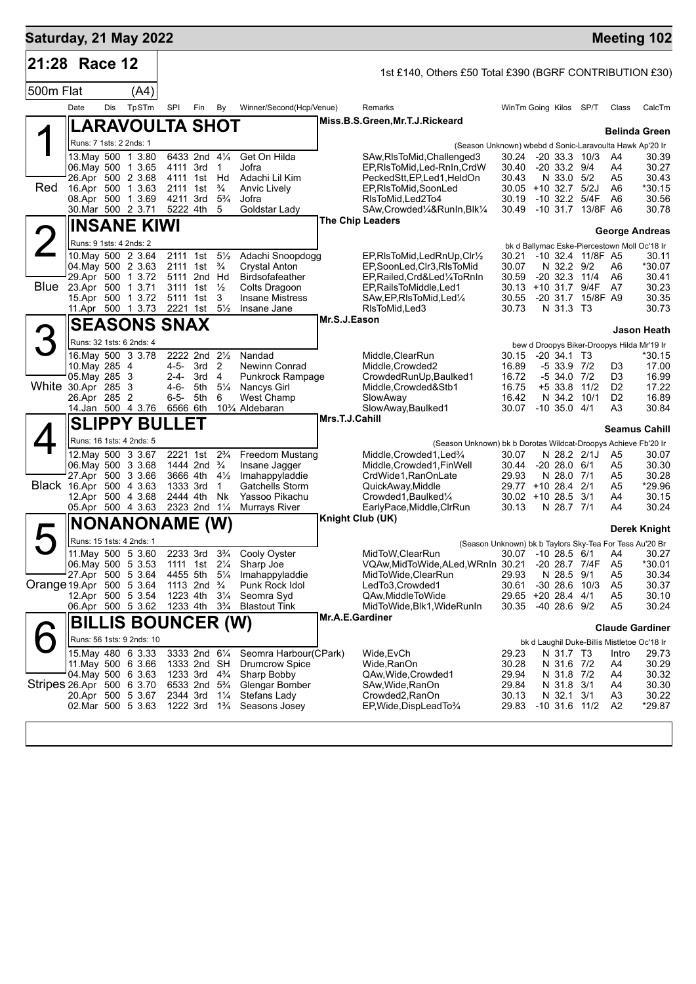|                                         |                                          |     | Saturday, 21 May 2022                   |                                                         |     |                     |                                                                      |                        |                                                                                 |                                          |                                |                   |                       | <b>Meeting 102</b>                           |
|-----------------------------------------|------------------------------------------|-----|-----------------------------------------|---------------------------------------------------------|-----|---------------------|----------------------------------------------------------------------|------------------------|---------------------------------------------------------------------------------|------------------------------------------|--------------------------------|-------------------|-----------------------|----------------------------------------------|
| 21:28 Race 12                           |                                          |     |                                         |                                                         |     |                     |                                                                      |                        | 1st £140, Others £50 Total £390 (BGRF CONTRIBUTION £30)                         |                                          |                                |                   |                       |                                              |
| 500m Flat                               |                                          |     | (A4)                                    |                                                         |     |                     |                                                                      |                        |                                                                                 |                                          |                                |                   |                       |                                              |
|                                         | Date                                     | Dis | TpSTm                                   | SPI                                                     | Fin | By                  | Winner/Second(Hcp/Venue)                                             |                        | Remarks                                                                         | WinTm Going Kilos                        |                                | SP/T              | Class                 | CalcTm                                       |
| ◢                                       |                                          |     | <b>LARAVOULTA SHOT</b>                  |                                                         |     |                     |                                                                      |                        | Miss.B.S.Green, Mr.T.J.Rickeard                                                 |                                          |                                |                   |                       | <b>Belinda Green</b>                         |
|                                         | Runs: 7 1sts: 2 2nds: 1                  |     |                                         |                                                         |     |                     |                                                                      |                        | (Season Unknown) wbebd d Sonic-Laravoulta Hawk Ap'20 Ir                         |                                          |                                |                   |                       |                                              |
|                                         | 13. May 500 1 3.80                       |     |                                         | 6433 2nd 41/4                                           |     |                     | Get On Hilda                                                         |                        | SAw, RIs To Mid, Challenged 3                                                   | 30.24                                    |                                | $-20$ 33.3 10/3   | A4                    | 30.39                                        |
|                                         | 06. May 500 1 3.65                       |     |                                         | 4111 3rd                                                |     | $\overline{1}$      | Jofra                                                                |                        | EP, RIsToMid, Led-RnIn, CrdW                                                    | 30.40                                    | $-20$ 33.2 $9/4$               |                   | A4                    | 30.27                                        |
| Red                                     | 26.Apr 500 2 3.68<br>16.Apr 500 1 3.63   |     |                                         | 4111 1st<br>2111 1st                                    |     | Hd<br>$\frac{3}{4}$ | Adachi Lil Kim<br><b>Anvic Lively</b>                                |                        | PeckedStt,EP,Led1,HeldOn<br>EP,RIsToMid,SoonLed                                 | 30.43<br>30.05 +10 32.7 5/2J             | N 33.0                         | 5/2               | A5<br>A6              | 30.43<br>*30.15                              |
|                                         | 08.Apr 500 1 3.69                        |     |                                         | 4211 3rd                                                |     | $5\frac{3}{4}$      | Jofra                                                                |                        | RIsToMid, Led2To4                                                               | 30.19                                    |                                | -10 32.2 5/4F     | A <sub>6</sub>        | 30.56                                        |
|                                         | 30. Mar 500 2 3.71                       |     |                                         | 5222 4th                                                |     | 5                   | Goldstar Lady                                                        |                        | SAw, Crowded 1/4& RunIn, Blk 1/4                                                | 30.49 -10 31.7 13/8F A6                  |                                |                   |                       | 30.78                                        |
|                                         |                                          |     | <b>INSANE KIWI</b>                      |                                                         |     |                     |                                                                      |                        | The Chip Leaders                                                                |                                          |                                |                   |                       | George Andreas                               |
|                                         | Runs: 9 1sts: 4 2nds: 2                  |     |                                         |                                                         |     |                     |                                                                      |                        |                                                                                 |                                          |                                |                   |                       | bk d Ballymac Eske-Piercestown Moll Oc'18 Ir |
|                                         | 10. May 500 2 3.64                       |     |                                         | 2111 1st                                                |     | $5\frac{1}{2}$      | Adachi Snoopdogg                                                     |                        | EP, RIsToMid, Led RnUp, Clr <sup>1</sup> / <sub>2</sub>                         | 30.21                                    |                                | -10 32.4 11/8F A5 |                       | 30.11                                        |
|                                         | 04 May 500 2 3.63<br>29.Apr 500 1 3.72   |     |                                         | 2111 1st<br>5111 2nd Hd                                 |     | $\frac{3}{4}$       | <b>Crystal Anton</b><br>Birdsofafeather                              |                        | EP,SoonLed,Clr3,RIsToMid<br>EP, Railed, Crd&Led1/4ToRnIn                        | 30.07<br>30.59                           | N 32.2 9/2<br>$-20$ 32.3 11/4  |                   | A6<br>A6              | *30.07<br>30.41                              |
| Blue                                    | 23.Apr 500 1 3.71                        |     |                                         | 3111 1st $\frac{1}{2}$                                  |     |                     | Colts Dragoon                                                        |                        | EP, Rails To Middle, Led1                                                       | 30.13 +10 31.7 9/4F                      |                                |                   | A7                    | 30.23                                        |
|                                         | 15.Apr 500 1 3.72                        |     |                                         | 5111 1st                                                |     | 3                   | <b>Insane Mistress</b>                                               |                        | SAw, EP, RIs To Mid, Led 1/4                                                    | 30.55                                    |                                | -20 31.7 15/8F A9 |                       | 30.35                                        |
|                                         | 11.Apr 500 1 3.73                        |     |                                         | 2221 1st 51/2                                           |     |                     | Insane Jane                                                          | Mr.S.J.Eason           | RIsToMid, Led3                                                                  | 30.73                                    | N 31.3 T3                      |                   |                       | 30.73                                        |
|                                         |                                          |     | <b>SEASONS SNAX</b>                     |                                                         |     |                     |                                                                      |                        |                                                                                 |                                          |                                |                   |                       | Jason Heath                                  |
|                                         | Runs: 32 1sts: 6 2nds: 4                 |     |                                         |                                                         |     |                     |                                                                      |                        |                                                                                 |                                          |                                |                   |                       | bew d Droopys Biker-Droopys Hilda Mr'19 Ir   |
|                                         | 16. May 500 3 3.78                       |     |                                         | 2222 2nd 21/2                                           |     |                     | Nandad                                                               |                        | Middle, ClearRun                                                                | 30.15                                    | $-20, 34.1, T3$                |                   |                       | *30.15                                       |
|                                         | 10. May 285 4<br>05. May 285 3           |     |                                         | 4-5-<br>2-4- 3rd                                        | 3rd | $\overline{2}$<br>4 | <b>Newinn Conrad</b><br><b>Punkrock Rampage</b>                      |                        | Middle, Crowded2<br>CrowdedRunUp, Baulked1                                      | 16.89<br>16.72                           | $-533.97/2$<br>$-5$ 34.0 $7/2$ |                   | D3<br>D3              | 17.00<br>16.99                               |
| White 30.Apr 285 3                      |                                          |     |                                         | 4-6-                                                    | 5th | $5\frac{1}{4}$      | Nancys Girl                                                          |                        | Middle, Crowded&Stb1                                                            | 16.75                                    | $+5$ 33.8                      | 11/2              | D <sub>2</sub>        | 17.22                                        |
|                                         | 26.Apr 285 2                             |     |                                         | $6 - 5 -$                                               | 5th | 6                   | West Champ                                                           |                        | SlowAway                                                                        | 16.42                                    | N 34.2 10/1                    |                   | D <sub>2</sub>        | 16.89                                        |
|                                         |                                          |     | 14.Jan 500 4 3.76                       | 6566 6th                                                |     |                     | 10 <sup>3</sup> / <sub>4</sub> Aldebaran                             | Mrs.T.J.Cahill         | SlowAway, Baulked1                                                              | 30.07                                    | $-10, 35.0, 4/1$               |                   | A3                    | 30.84                                        |
|                                         |                                          |     | <b>SLIPPY BULLET</b>                    |                                                         |     |                     |                                                                      |                        |                                                                                 |                                          |                                |                   |                       | <b>Seamus Cahill</b>                         |
|                                         | Runs: 16 1sts: 4 2nds: 5                 |     |                                         |                                                         |     |                     |                                                                      |                        | (Season Unknown) bk b Dorotas Wildcat-Droopys Achieve Fb'20 Ir                  |                                          |                                |                   |                       |                                              |
|                                         | 12. May 500 3 3.67<br>06. May 500 3 3.68 |     |                                         | 2221 1st<br>1444 2nd <sup>3</sup> / <sub>4</sub>        |     | $2\frac{3}{4}$      | <b>Freedom Mustang</b><br>Insane Jagger                              |                        | Middle, Crowded 1, Led <sup>3</sup> / <sub>4</sub><br>Middle, Crowded1, FinWell | 30.07<br>30.44                           | N 28.2 2/1J<br>$-2028.0$       | 6/1               | A <sub>5</sub><br>A5  | 30.07<br>30.30                               |
|                                         | 27.Apr 500 3 3.66                        |     |                                         | 3666 4th                                                |     | $4\frac{1}{2}$      | Imahappyladdie                                                       |                        | CrdWide1, RanOnLate                                                             | 29.93                                    | N 28.0 7/1                     |                   | A <sub>5</sub>        | 30.28                                        |
| Black 16.Apr 500 4 3.63                 |                                          |     |                                         | 1333 3rd                                                |     | 1                   | Gatchells Storm                                                      |                        | QuickAway, Middle                                                               | 29.77 +10 28.4 2/1                       |                                |                   | A5                    | *29.96                                       |
|                                         | 12.Apr 500 4 3.68<br>05.Apr 500 4 3.63   |     |                                         | 2444 4th<br>2323 2nd 11/4                               |     | Nk                  | Yassoo Pikachu<br>Murrays River                                      |                        | Crowded1, Baulked1/4<br>EarlyPace, Middle, ClrRun                               | 30.02 +10 28.5 3/1<br>30.13              | N 28.7 7/1                     |                   | A4<br>A4              | 30.15<br>30.24                               |
|                                         |                                          |     |                                         |                                                         |     |                     |                                                                      |                        | Knight Club (UK)                                                                |                                          |                                |                   |                       |                                              |
|                                         |                                          |     | <b>NONANONAME (W)</b>                   |                                                         |     |                     |                                                                      |                        |                                                                                 |                                          |                                |                   |                       | Derek Knight                                 |
|                                         | Runs: 15 1sts: 4 2nds: 1                 |     | 11. May 500 5 3.60                      | 2233 3rd 3 <sup>3</sup> / <sub>4</sub>                  |     |                     | Cooly Oyster                                                         |                        | (Season Unknown) bk b Taylors Sky-Tea For Tess Au'20 Br<br>MidToW, ClearRun     |                                          |                                |                   | 30.07 -10 28.5 6/1 A4 | 30.27                                        |
|                                         | 06. May 500 5 3.53                       |     |                                         | 1111 1st 21/4                                           |     |                     | Sharp Joe                                                            |                        | VQAw, MidToWide, ALed, WRnIn 30.21                                              |                                          | -20 28.7 7/4F                  |                   | A5                    | *30.01                                       |
|                                         | 27.Apr 500 5 3.64                        |     |                                         | 4455 5th 51/4                                           |     |                     | Imahappyladdie                                                       |                        | MidToWide, ClearRun                                                             | 29.93                                    | N 28.5 9/1                     |                   | A5                    | 30.34                                        |
| Orange 19.Apr 500 5 3.64                |                                          |     |                                         | 1113 2nd $\frac{3}{4}$                                  |     |                     | Punk Rock Idol                                                       |                        | LedTo3,Crowded1                                                                 | 30.61                                    | $-30$ 28.6 $10/3$              |                   | A5                    | 30.37                                        |
|                                         | 12.Apr 500 5 3.54<br>06.Apr 500 5 3.62   |     |                                         | 1223 4th 31/4<br>1233 4th 3 <sup>3</sup> / <sub>4</sub> |     |                     | Seomra Syd<br><b>Blastout Tink</b>                                   |                        | QAw, Middle To Wide<br>MidToWide, Blk1, WideRunIn                               | 29.65 +20 28.4 4/1<br>30.35 -40 28.6 9/2 |                                |                   | A5<br>A5              | 30.10<br>30.24                               |
|                                         |                                          |     | <b>BILLIS BOUNCER (W)</b>               |                                                         |     |                     |                                                                      | <b>Mr.A.E.Gardiner</b> |                                                                                 |                                          |                                |                   |                       |                                              |
|                                         |                                          |     |                                         |                                                         |     |                     |                                                                      |                        |                                                                                 |                                          |                                |                   |                       | <b>Claude Gardiner</b>                       |
|                                         |                                          |     | Runs: 56 1sts: 9 2nds: 10               |                                                         |     |                     |                                                                      |                        |                                                                                 |                                          |                                |                   |                       | bk d Laughil Duke-Billis Mistletoe Oc'18 Ir  |
|                                         |                                          |     | 15. May 480 6 3.33<br>11 May 500 6 3.66 | 1333 2nd SH                                             |     |                     | 3333 2nd 61/4 Seomra Harbour(CPark)<br><b>Drumcrow Spice</b>         |                        | Wide,EvCh<br>Wide,RanOn                                                         | 29.23<br>30.28                           | N 31.7 T3<br>N 31.6 7/2        |                   | Intro<br>A4           | 29.73<br>30.29                               |
|                                         | 04. May 500 6 3.63                       |     |                                         | 1233 3rd 4 <sup>3</sup> / <sub>4</sub>                  |     |                     | Sharp Bobby                                                          |                        | QAw, Wide, Crowded1                                                             | 29.94                                    | N 31.8 7/2                     |                   | A4                    | 30.32                                        |
| Stripes 26.Apr 500 6 3.70 6533 2nd 53/4 |                                          |     |                                         |                                                         |     |                     | Glengar Bomber                                                       |                        | SAw, Wide, RanOn                                                                | 29.84                                    | N 31.8 3/1                     |                   | A4                    | 30.30                                        |
|                                         | 20.Apr 500 5 3.67<br>02.Mar 500 5 3.63   |     |                                         | 2344 3rd                                                |     | $1\frac{1}{4}$      | Stefans Lady<br>1222 3rd 1 <sup>3</sup> / <sub>4</sub> Seasons Josey |                        | Crowded2, RanOn<br>EP, Wide, DispLead To 3/4                                    | 30.13<br>29.83 -10 31.6 11/2             | N 32.1 3/1                     |                   | A3<br>A2              | 30.22<br>*29.87                              |
|                                         |                                          |     |                                         |                                                         |     |                     |                                                                      |                        |                                                                                 |                                          |                                |                   |                       |                                              |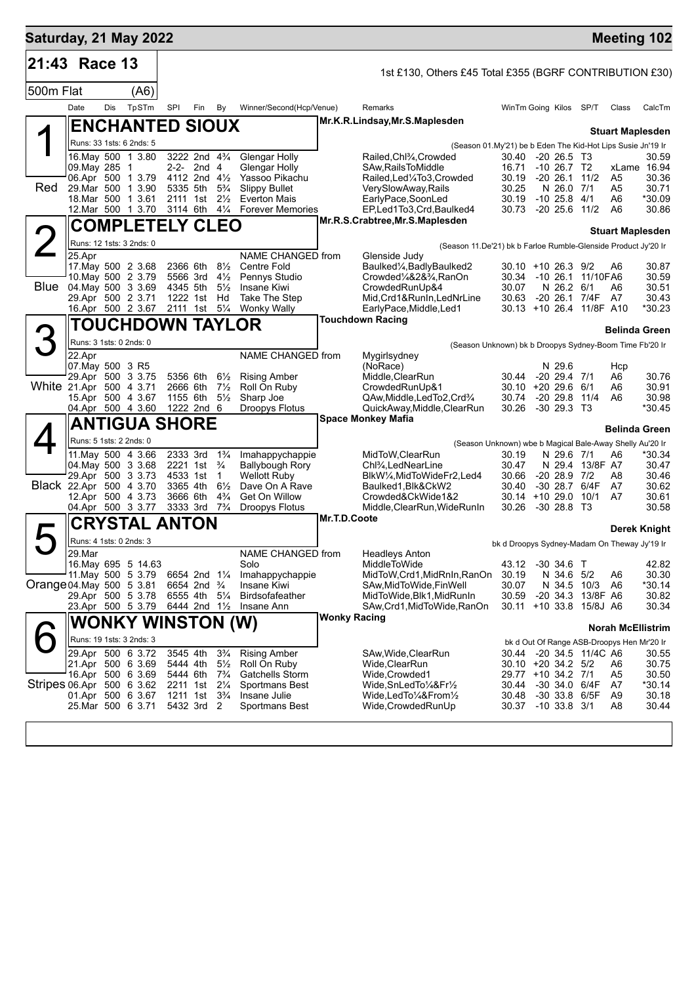| Saturday, 21 May 2022     |                                                      |     |                                          |                      |                                                       |                                  |                                        |                                                                |                                                                                                                  |                |                                                |                           | <b>Meeting 102</b>                           |                 |  |  |
|---------------------------|------------------------------------------------------|-----|------------------------------------------|----------------------|-------------------------------------------------------|----------------------------------|----------------------------------------|----------------------------------------------------------------|------------------------------------------------------------------------------------------------------------------|----------------|------------------------------------------------|---------------------------|----------------------------------------------|-----------------|--|--|
| 21:43 Race 13             |                                                      |     |                                          |                      |                                                       |                                  |                                        |                                                                | 1st £130, Others £45 Total £355 (BGRF CONTRIBUTION £30)                                                          |                |                                                |                           |                                              |                 |  |  |
| 500m Flat                 |                                                      |     | (A6)                                     |                      |                                                       |                                  |                                        |                                                                |                                                                                                                  |                |                                                |                           |                                              |                 |  |  |
|                           | Date                                                 | Dis | TpSTm                                    | SPI                  | Fin                                                   | By                               | Winner/Second(Hcp/Venue)               |                                                                | Remarks                                                                                                          |                | WinTm Going Kilos                              | SP/T                      | Class                                        | CalcTm          |  |  |
|                           |                                                      |     | <b>ENCHANTED SIOUX</b>                   |                      |                                                       |                                  |                                        |                                                                | Mr.K.R.Lindsay, Mr.S.Maplesden                                                                                   |                |                                                |                           |                                              |                 |  |  |
|                           |                                                      |     | Runs: 33 1sts: 6 2nds: 5                 |                      |                                                       |                                  |                                        |                                                                |                                                                                                                  |                |                                                |                           | <b>Stuart Maplesden</b>                      |                 |  |  |
|                           |                                                      |     | 16. May 500 1 3.80                       |                      | 3222 2nd 43/4                                         |                                  | Glengar Holly                          |                                                                | (Season 01.My'21) be b Eden The Kid-Hot Lips Susie Jn'19 Ir<br>Railed, Chl <sup>3</sup> / <sub>4</sub> , Crowded | 30.40          | $-20, 26.5, 13$                                |                           |                                              | 30.59           |  |  |
|                           | 09.May 285                                           |     | $\overline{1}$                           |                      | 2-2- 2nd 4                                            |                                  | Glengar Holly                          |                                                                | SAw, Rails To Middle                                                                                             | 16.71          | $-10$ 26.7 T <sub>2</sub>                      |                           |                                              | xLame 16.94     |  |  |
|                           |                                                      |     | 06.Apr 500 1 3.79                        |                      | 4112 2nd $4\frac{1}{2}$                               |                                  | Yassoo Pikachu                         |                                                                | Railed, Led <sup>1</sup> / <sub>4</sub> To3, Crowded                                                             | 30.19          | $-20$ 26.1 $11/2$                              |                           | A5                                           | 30.36           |  |  |
| Red                       | 29.Mar 500                                           |     | 1 3.90                                   | 5335 5th             |                                                       | $5\frac{3}{4}$                   | <b>Slippy Bullet</b>                   |                                                                | VerySlowAway,Rails                                                                                               | 30.25          |                                                | N 26.0 7/1                | A5                                           | 30.71           |  |  |
|                           |                                                      |     | 18.Mar 500 1 3.61                        | 2111 1st             |                                                       | $2\frac{1}{2}$                   | <b>Everton Mais</b>                    |                                                                | EarlyPace,SoonLed                                                                                                | 30.19          | $-10$ 25.8 $4/1$                               |                           | A6                                           | *30.09          |  |  |
|                           |                                                      |     | 12.Mar 500 1 3.70                        | 3114 6th             |                                                       | $4\frac{1}{4}$                   | <b>Forever Memories</b>                |                                                                | EP,Led1To3,Crd,Baulked4<br>Mr.R.S.Crabtree, Mr.S.Maplesden                                                       | 30.73          | $-20$ 25.6 $11/2$                              |                           | A6                                           | 30.86           |  |  |
|                           | <b>COMPLETELY CLEO</b>                               |     |                                          |                      |                                                       |                                  |                                        | <b>Stuart Maplesden</b>                                        |                                                                                                                  |                |                                                |                           |                                              |                 |  |  |
|                           | Runs: 12 1sts: 3 2nds: 0                             |     |                                          |                      |                                                       |                                  |                                        | (Season 11.De'21) bk b Farloe Rumble-Glenside Product Jy'20 Ir |                                                                                                                  |                |                                                |                           |                                              |                 |  |  |
|                           | 25.Apr                                               |     |                                          |                      |                                                       |                                  | NAME CHANGED from                      |                                                                | Glenside Judy                                                                                                    |                |                                                |                           |                                              |                 |  |  |
|                           |                                                      |     | 17. May 500 2 3.68                       |                      | 2366 6th                                              | $8\frac{1}{2}$                   | Centre Fold                            |                                                                | Baulked <sup>1</sup> / <sub>4</sub> , Badly Baulked <sub>2</sub>                                                 |                | $30.10 + 1026.39/2$                            |                           | A6                                           | 30.87           |  |  |
| Blue                      |                                                      |     | 10. May 500 2 3.79<br>04. May 500 3 3.69 | 4345 5th             | 5566 3rd                                              | $4\frac{1}{2}$<br>$5\frac{1}{2}$ | Pennys Studio<br>Insane Kiwi           |                                                                | Crowded <sup>1</sup> / <sub>4</sub> &2& <sup>3</sup> / <sub>4</sub> .RanOn<br>CrowdedRunUp&4                     | 30.34<br>30.07 | -10 26.1 11/10FA6                              | N 26.2 6/1                | A6                                           | 30.59<br>30.51  |  |  |
|                           |                                                      |     | 29.Apr 500 2 3.71                        |                      | 1222 1st Hd                                           |                                  | Take The Step                          |                                                                | Mid, Crd1&RunIn, LedNrLine                                                                                       | 30.63          | -20 26.1 7/4F A7                               |                           |                                              | 30.43           |  |  |
|                           |                                                      |     | 16.Apr 500 2 3.67                        |                      | 2111 1st 51/4                                         |                                  | <b>Wonky Wally</b>                     |                                                                | EarlyPace, Middle, Led1                                                                                          |                | 30.13 +10 26.4 11/8F A10                       |                           |                                              | *30.23          |  |  |
|                           |                                                      |     | <b>TOUCHDOWN TAYLOR</b>                  |                      |                                                       |                                  |                                        |                                                                | <b>Touchdown Racing</b>                                                                                          |                |                                                |                           |                                              |                 |  |  |
|                           |                                                      |     | Runs: 3 1sts: 0 2nds: 0                  |                      |                                                       |                                  |                                        |                                                                | <b>Belinda Green</b>                                                                                             |                |                                                |                           |                                              |                 |  |  |
|                           |                                                      |     |                                          |                      |                                                       |                                  |                                        | (Season Unknown) bk b Droopys Sydney-Boom Time Fb'20 Ir        |                                                                                                                  |                |                                                |                           |                                              |                 |  |  |
|                           | 22.Apr<br>07. May 500 3 R5                           |     |                                          |                      |                                                       |                                  | NAME CHANGED from                      |                                                                | Mygirlsydney<br>(NoRace)                                                                                         |                | N 29.6                                         |                           | Hcp                                          |                 |  |  |
|                           |                                                      |     | 29.Apr 500 3 3.75                        |                      | 5356 6th                                              | $6\frac{1}{2}$                   | <b>Rising Amber</b>                    |                                                                | Middle, ClearRun                                                                                                 |                | 30.44 -20 29.4 7/1                             |                           | A6                                           | 30.76           |  |  |
| White 21.Apr 500 4 3.71   |                                                      |     |                                          |                      | 2666 6th                                              | $7\frac{1}{2}$                   | Roll On Ruby                           |                                                                | CrowdedRunUp&1                                                                                                   |                | 30.10 +20 29.6 6/1                             |                           | A6                                           | 30.91           |  |  |
|                           |                                                      |     | 15.Apr 500 4 3.67                        |                      | 1155 6th                                              | $5\frac{1}{2}$                   | Sharp Joe                              |                                                                | QAw, Middle, Led To 2, Crd <sup>3</sup> / <sub>4</sub>                                                           | 30.74          | $-20$ 29.8 $11/4$                              |                           | A6                                           | 30.98           |  |  |
|                           |                                                      |     | 04.Apr 500 4 3.60                        |                      | 1222 2nd 6                                            |                                  | Droopys Flotus                         |                                                                | QuickAway, Middle, ClearRun                                                                                      | 30.26          | $-30$ 29.3 T <sub>3</sub>                      |                           |                                              | *30.45          |  |  |
|                           | <b>ANTIGUA SHORE</b>                                 |     |                                          |                      |                                                       |                                  |                                        | <b>Space Monkey Mafia</b><br><b>Belinda Green</b>              |                                                                                                                  |                |                                                |                           |                                              |                 |  |  |
|                           |                                                      |     | Runs: 5 1sts: 2 2nds: 0                  |                      |                                                       |                                  |                                        |                                                                | (Season Unknown) wbe b Magical Bale-Away Shelly Au'20 Ir                                                         |                |                                                |                           |                                              |                 |  |  |
|                           |                                                      |     | 11. May 500 4 3.66                       | 2333 3rd             |                                                       | $1\frac{3}{4}$                   | Imahappychappie                        |                                                                | MidToW, ClearRun                                                                                                 | 30.19          |                                                | N 29.6 7/1                | A6                                           | *30.34          |  |  |
|                           |                                                      |     | 04. May 500 3 3.68                       |                      | 2221 1st                                              | $\frac{3}{4}$                    | <b>Ballybough Rory</b>                 |                                                                | Chl <sup>3</sup> / <sub>4</sub> , LedNearLine                                                                    | 30.47          |                                                | N 29.4 13/8F A7           |                                              | 30.47           |  |  |
|                           |                                                      |     | 29.Apr 500 3 3.73                        | 4533 1st             |                                                       | $\mathbf 1$                      | <b>Wellott Ruby</b>                    |                                                                | BlkW1/4, MidToWideFr2, Led4                                                                                      | 30.66          | $-20$ 28.9 $7/2$                               |                           | A8                                           | 30.46           |  |  |
|                           |                                                      |     | Black 22.Apr 500 4 3.70                  | 3365 4th<br>3666 6th |                                                       | $6\frac{1}{2}$<br>$4\frac{3}{4}$ | Dave On A Rave                         |                                                                | Baulked1, Blk&CkW2                                                                                               | 30.40          | -30 28.7<br>$+1029.010/1$                      | 6/4F                      | A7<br>A7                                     | 30.62<br>30.61  |  |  |
|                           |                                                      |     | 12.Apr 500 4 3.73<br>04.Apr 500 3 3.77   | 3333 3rd             |                                                       | $7\frac{3}{4}$                   | Get On Willow<br><b>Droopys Flotus</b> |                                                                | Crowded&CkWide1&2<br>Middle, ClearRun, WideRunIn                                                                 | 30.14<br>30.26 | -30 28.8 T3                                    |                           |                                              | 30.58           |  |  |
|                           |                                                      |     |                                          |                      |                                                       |                                  |                                        | Mr.T.D.Coote                                                   |                                                                                                                  |                |                                                |                           |                                              |                 |  |  |
|                           | <b>CRYSTAL ANTON</b>                                 |     |                                          |                      |                                                       |                                  |                                        | Derek Knight                                                   |                                                                                                                  |                |                                                |                           |                                              |                 |  |  |
|                           |                                                      |     | Runs: 4 1sts: 0 2nds: 3                  |                      |                                                       |                                  |                                        |                                                                |                                                                                                                  |                |                                                |                           | bk d Droopys Sydney-Madam On Theway Jy'19 Ir |                 |  |  |
|                           | $29$ . Mar                                           |     |                                          |                      |                                                       |                                  | NAME CHANGED from                      |                                                                | <b>Headleys Anton</b>                                                                                            |                |                                                |                           |                                              |                 |  |  |
|                           |                                                      |     | 16. May 695 5 14.63                      |                      |                                                       |                                  | Solo                                   |                                                                | MiddleToWide                                                                                                     | 43.12          | $-30$ 34.6 T                                   |                           |                                              | 42.82           |  |  |
| Orange 04. May 500 5 3.81 |                                                      |     | 11 May 500 5 3.79                        |                      | 6654 2nd 11/4<br>6654 2nd <sup>3</sup> / <sub>4</sub> |                                  | Imahappychappie<br>Insane Kiwi         |                                                                | MidToW,Crd1,MidRnIn,RanOn<br>SAw, MidToWide, Fin Well                                                            | 30.19<br>30.07 |                                                | N 34.6 5/2<br>N 34.5 10/3 | A6<br>A6                                     | 30.30<br>*30.14 |  |  |
|                           |                                                      |     | 29.Apr 500 5 3.78                        |                      | 6555 4th                                              | $5\frac{1}{4}$                   | <b>Birdsofafeather</b>                 |                                                                | MidToWide, Blk1, MidRunIn                                                                                        | 30.59          | -20 34.3 13/8F A6                              |                           |                                              | 30.82           |  |  |
|                           |                                                      |     | 23.Apr 500 5 3.79                        |                      | 6444 2nd 1 <sup>1</sup> / <sub>2</sub>                |                                  | Insane Ann                             |                                                                | SAw, Crd1, MidToWide, RanOn                                                                                      |                | 30.11 +10 33.8 15/8J A6                        |                           |                                              | 30.34           |  |  |
|                           |                                                      |     |                                          |                      |                                                       |                                  |                                        | <b>Wonky Racing</b>                                            |                                                                                                                  |                |                                                |                           |                                              |                 |  |  |
|                           | <b>WONKY WINSTON (W)</b><br>Runs: 19 1sts: 3 2nds: 3 |     |                                          |                      |                                                       |                                  |                                        | <b>Norah McEllistrim</b>                                       |                                                                                                                  |                |                                                |                           |                                              |                 |  |  |
|                           |                                                      |     |                                          |                      |                                                       |                                  |                                        |                                                                |                                                                                                                  |                |                                                |                           | bk d Out Of Range ASB-Droopys Hen Mr'20 Ir   |                 |  |  |
|                           |                                                      |     | 29.Apr 500 6 3.72<br>21.Apr 500 6 3.69   |                      | 3545 4th<br>5444 4th                                  | $3\frac{3}{4}$<br>$5\frac{1}{2}$ | <b>Rising Amber</b><br>Roll On Ruby    |                                                                | SAw, Wide, Clear Run<br>Wide, Clear Run                                                                          |                | 30.44 - 20 34.5 11/4C A6<br>30.10 +20 34.2 5/2 |                           | A6                                           | 30.55<br>30.75  |  |  |
|                           |                                                      |     | 16.Apr 500 6 3.69                        | 5444 6th             |                                                       | $7\frac{3}{4}$                   | Gatchells Storm                        |                                                                | Wide,Crowded1                                                                                                    |                | 29.77 +10 34.2 7/1                             |                           | A5                                           | 30.50           |  |  |
| Stripes 06.Apr 500 6 3.62 |                                                      |     |                                          |                      | 2211 1st 21/4                                         |                                  | Sportmans Best                         |                                                                | Wide, SnLed To 1/4& Fr <sup>1</sup> / <sub>2</sub>                                                               | 30.44          | -30 34.0 6/4F                                  |                           | A7                                           | *30.14          |  |  |
|                           |                                                      |     | 01.Apr 500 6 3.67                        |                      | 1211 1st                                              | $3\frac{3}{4}$                   | Insane Julie                           |                                                                | Wide,LedTo¼&From½                                                                                                | 30.48          | -30 33.8 6/5F                                  |                           | A9                                           | 30.18           |  |  |
|                           |                                                      |     | 25.Mar 500 6 3.71                        |                      | 5432 3rd 2                                            |                                  | Sportmans Best                         |                                                                | Wide,CrowdedRunUp                                                                                                | 30.37          | $-10$ 33.8 $3/1$                               |                           | A8                                           | 30.44           |  |  |
|                           |                                                      |     |                                          |                      |                                                       |                                  |                                        |                                                                |                                                                                                                  |                |                                                |                           |                                              |                 |  |  |
|                           |                                                      |     |                                          |                      |                                                       |                                  |                                        |                                                                |                                                                                                                  |                |                                                |                           |                                              |                 |  |  |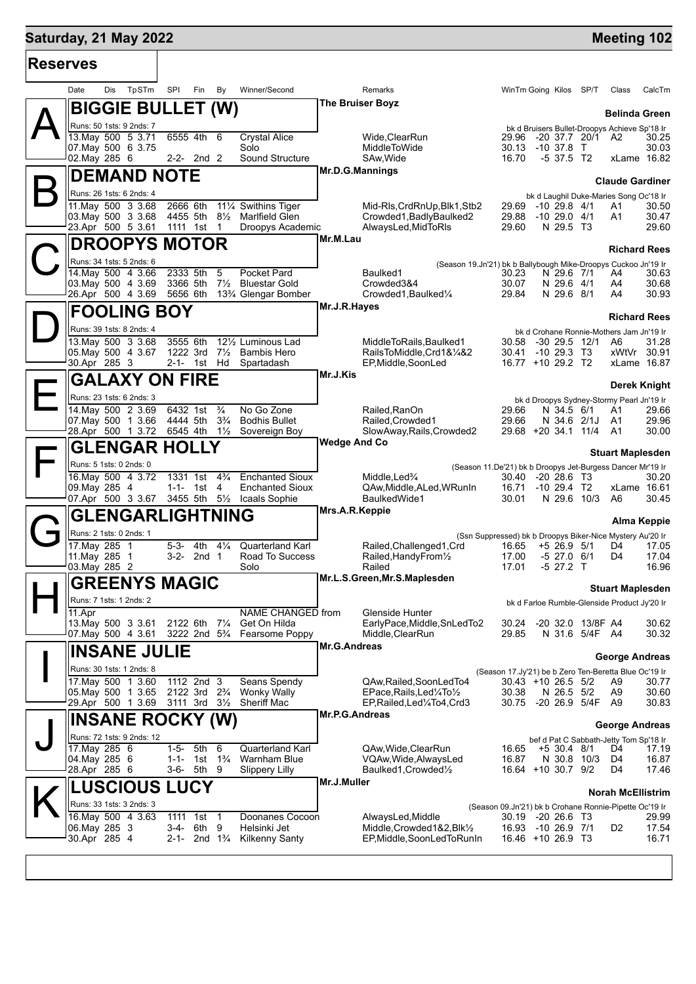## **Saturday, 21 May 2022 Manufacture 102 Meeting 102 Reserves** Date Dis TpSTm SPI Fin By Winner/Second **Remarks** Remarks WinTm Going Kilos SP/T Class CalcTm  $\mathsf{A}\Vert$ **BIGGIE BULLET (W)** Runs: 50 1sts: 9 2nds: 7 **Belinda Green** bk d Bruisers Bullet-Droopys Achieve Sp'18 Ir<br>29.96 -20 37.7 20/1 A2 30.25 **The Bruiser Boyz** 13.May 500 5 3.71 6555 4th 6 Crystal Alice Wide, ClearRun 29.96 -20 37.7 20/1 A2 30.25<br>13.25 07.MiddleToWide 30.13 -10 37.8 T 30.03 07.May 500 6 3.75 Solo 30.03 Solo MiddleToWide 30.13 -10 37.8 T 30.03<br>10.13 -10 37.8 T 30.03 Solo MiddleToWide 30.13 -10 37.8 T 30.03<br>16.70 -5 37.5 T2 xLame 16.82 02.May 285 6 2-2- 2nd 2 Sound Structure SAw,Wide 16.70 -5 37.5 T2 xLame 16.82  $\mathsf{B}\Vert$ **DEMAND NOTE** Runs: 26 1sts: 6 2nds: 4 **Claude Gardiner** bk d Laughil Duke-Maries Song Oc'18 Ir **Mr.D.G.Mannings** 11.May 500 3 3.68 2666 6th 11¼ Swithins Tiger Mid-Rls,CrdRnUp,Blk1,Stb2 29.69 -10 29.8 4/1 A1 30.50 03.May 500 3 3.68 4455 5th 8½ Marlfield Glen Crowded1,BadlyBaulked2 29.88 -10 29.0 4/1 A1 30.47 Droopys Academic  $\mathbf{C}^{\parallel}_{\mathbb{R}}$ **DROOPYS MOTOR** Runs: 34 1sts: 5 2nds: 6 **Richard Rees** (Season 19.Jn'21) bk b Ballybough Mike-Droopys Cuckoo Jn'19 Ir **Mr.M.Lau** 14.May 500 4 3.66 2333 5th 5 Pocket Pard Baulked1 30.23 N 29.6 7/1 A4 3.69 3366 5th 7% Bluestar Gold Crowded 384 30.07 N 29.6 4/1 A4 03.May 500 4 3.69 3366 5th 7½ Bluestar Gold Crowded3&4 30.07 N 29.6 4/1 A4 30.68 13<sup>3</sup>/<sub>4</sub> Glengar Bomber  $\mathsf{D}\|_2^2$ **FOOLING BOY** Runs: 39 1sts: 8 2nds: 4 **Richard Rees** bk d Crohane Ronnie-Mothers Jam Jn'19 Ir **Mr.J.R.Hayes** 13.May 500 3 3.68 3555 6th 12½ Luminous Lad MiddleToRails,Baulked1 30.58 -30 29.5 12/1 A6 31.28 05.May 500 4 3.67 1222 3rd 7½ Bambis Hero<br>30.Apr 285 3 2-1- 1st Hd Spartadash 2-1- 1st Hd Spartadash EP, Middle, SoonLed 16.77 +10 29.2 T2 xLame 16.87 E **GALAXY ON FIRE** Runs: 23 1sts: 6 2nds: 3 **Derek Knight** bk d Droopys Sydney-Stormy Pearl Jn'19 Ir<br>29.66 N 34.5 6/1 A1 29.66 **Mr.J.Kis** 14.May 500 2 3.69 6432 1st ¾ No Go Zone Railed,RanOn 29.66 N 34.5 6/1 A1 29.66 07.May 500 1 3.66 4444 5th<br>28.Apr 500 1 3.72 6545 4th 28.Apr 500 1 3.72 6545 4th 1½ Sovereign Boy SlowAway,Rails,Crowded2 29.68 +20 34.1 11/4 A1 30.00  $\mathsf{F}\vert$ **GLENGAR HOLLY** Runs: 5 1sts: 0 2nds: 0 **Stuart Maplesden** (Season 11.De'21) bk b Droopys Jet-Burgess Dancer Mr'19 Ir **Wedge And Co** 16.May 500 4 3.72 1331 1st 4¾ Enchanted Sioux Middle,Led¾ 30.40 -20 28.6 T3 30.20 09.May 285 4 1-1- 1st 4 Enchanted Sioux QAw,Middle,ALed,WRunIn 16.71 -10 29.4 T2 xLame 16.61 07.Apr 500 3 3.67 3455 5th 5½ Icaals Sophie BaulkedWide1 30.01 N 29.6 10/3 A6 30.45  $G_{\mathbb{F}}^{\mathbb{N}}$ **GLENGARLIGHTNING** Runs: 2 1sts: 0 2nds: 1 **Alma Keppie** (Ssn Suppressed) bk b Droopys Biker-Nice Mystery Au'20 Ir **Mrs.A.R.Keppie** 17.May 285 1 5-3- 4th 4¼ Quarterland Karl Railed,Challenged1,Crd 16.65 +5 26.9 5/1 D4 17.05 11.04 1 16.96 1 3-2- 2nd 1 Road To Success Railed,HandyFrom  $\frac{1}{2}$  17.00 -5 27.0 6/1 D4 17.04 16.96 03.May 285 2 Solo H **GREENYS MAGIC** Runs: 7 1sts: 1 2nds: 2 **Stuart Maplesden** bk d Farloe Rumble-Glenside Product Jy'20 Ir **Mr.L.S.Green,Mr.S.Maplesden** 11.Apr NAME CHANGED from Glenside Hunter<br>13.May 500 3 3.61 2122 6th 7½ Get On Hilda EarlyPace.Middle.SnLedTo2 13.May 500 3 3.61 2122 6th 7¼ Get On Hilda EarlyPace,Middle,SnLedTo2 30.24 -20 32.0 13/8F A4 30.62 07.May 500 4 3.61 3222 2nd 5¾ Fearsome Poppy Middle,ClearRun 29.85 N 31.6 5/4F A4 30.32 I **INSANE JULIE** Runs: 30 1sts: 1 2nds: 8 **George Andreas** (Season 17.Jy'21) be b Zero Ten-Beretta Blue Oc'19 Ir **Mr.G.Andreas** 17.May 500 1 3.60 1112 2nd 3 Seans Spendy QAw,Railed,SoonLedTo4 30.43 +10 26.5 5/2 A9 30.77 05.May 500 1 3.65 2122 3rd 2¾ Wonky Wally EPace,Rails,Led¼To½ 30.38 N 26.5 5/2 A9 30.60 EP.Railed.Led¼To4.Crd3 J **INSANE ROCKY (W)** Runs: 72 1sts: 9 2nds: 12<br>17. May 285 6 **George Andreas** bef d Pat C Sabbath-Jetty Tom Sp'18 Ir **Mr.P.G.Andreas** 17.May 285 6 1-5- 5th 6 Quarterland Karl QAw,Wide,ClearRun 16.65 +5 30.4 8/1 D4 17.19 04.May 285 6 1-1- 1st 1¾ Warnham Blue VQAw,Wide,AlwaysLed 16.87 N 30.8 10/3 D4 16.87 28.Apr 285 6 3-6- 5th 9 Slippery Lilly Baulked1,Crowded½ 16.64 +10 30.7 9/2 D4 17.46  $\mathsf{K}\Vert$ **LUSCIOUS LUCY** Runs: 33 1sts: 3 2nds: 3<br>16.May 500 4 3.63 **Norah McEllistrim** (Season 09.Jn'21) bk b Crohane Ronnie-Pipette Oc'19 Ir **Mr.J.Muller** 16.May 500 4 3.63 1111 1st 1 Doonanes Cocoon AlwaysLed, Middle 30.19 -20 26.6 T3<br>06.May 285 3 3 3-4- 6th 9 Helsinki Jet Middle, Crowded 1&2, Blk<sup>1</sup>/<sub>2</sub> 16.93 -10 26.9 7/1 06.May 285 3 3-4- 6th 9 Helsinki Jet Middle,Crowded1&2,Blk½ 16.93 -10 26.9 7/1 D2 17.54 2-1- 2nd 1¼ Kilkenny Santy **EP,Middle,SoonLedToRunIn** 16.46 +10 26.9 T3 16.71